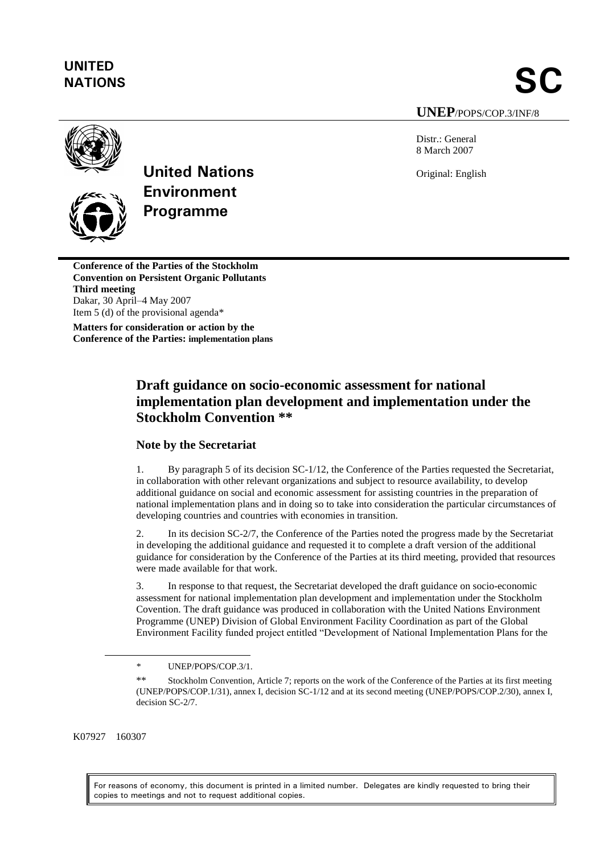# **UNITED**

**NATIONS** SC

**UNEP**/POPS/COP.3/INF/8

Distr.: General 8 March 2007

Original: English



**United Nations Environment Programme**

**Conference of the Parties of the Stockholm Convention on Persistent Organic Pollutants Third meeting** Dakar, 30 April–4 May 2007 Item 5 (d) of the provisional agenda\*

**Matters for consideration or action by the Conference of the Parties: implementation plans**

## **Draft guidance on socio-economic assessment for national implementation plan development and implementation under the Stockholm Convention \*\***

#### **Note by the Secretariat**

1. By paragraph 5 of its decision SC-1/12, the Conference of the Parties requested the Secretariat, in collaboration with other relevant organizations and subject to resource availability, to develop additional guidance on social and economic assessment for assisting countries in the preparation of national implementation plans and in doing so to take into consideration the particular circumstances of developing countries and countries with economies in transition.

2. In its decision SC-2/7, the Conference of the Parties noted the progress made by the Secretariat in developing the additional guidance and requested it to complete a draft version of the additional guidance for consideration by the Conference of the Parties at its third meeting, provided that resources were made available for that work.

3. In response to that request, the Secretariat developed the draft guidance on socio-economic assessment for national implementation plan development and implementation under the Stockholm Covention. The draft guidance was produced in collaboration with the United Nations Environment Programme (UNEP) Division of Global Environment Facility Coordination as part of the Global Environment Facility funded project entitled "Development of National Implementation Plans for the

K07927 160307

 $\overline{a}$ 

For reasons of economy, this document is printed in a limited number. Delegates are kindly requested to bring their copies to meetings and not to request additional copies.

<sup>\*</sup> UNEP/POPS/COP.3/1.

<sup>\*\*</sup> Stockholm Convention, Article 7; reports on the work of the Conference of the Parties at its first meeting (UNEP/POPS/COP.1/31), annex I, decision SC-1/12 and at its second meeting (UNEP/POPS/COP.2/30), annex I, decision SC-2/7.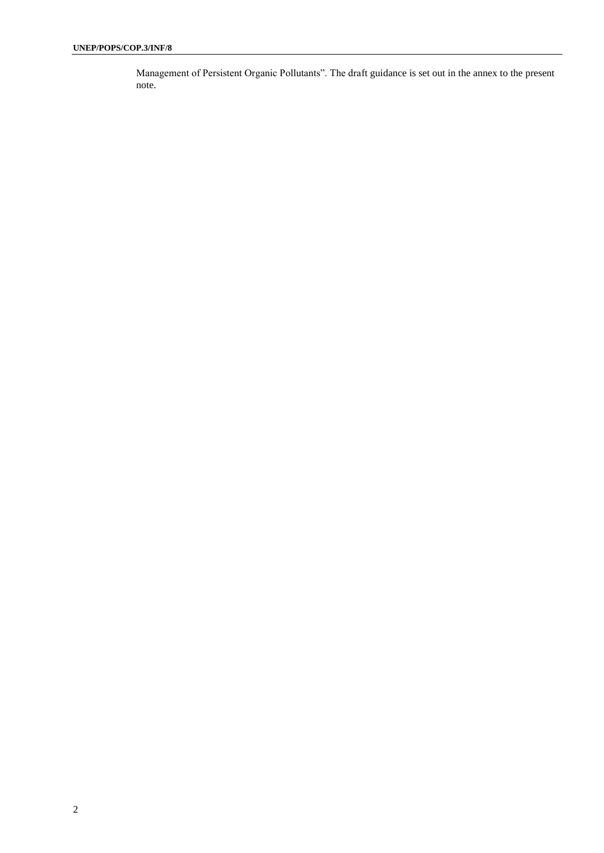Management of Persistent Organic Pollutants". The draft guidance is set out in the annex to the present note.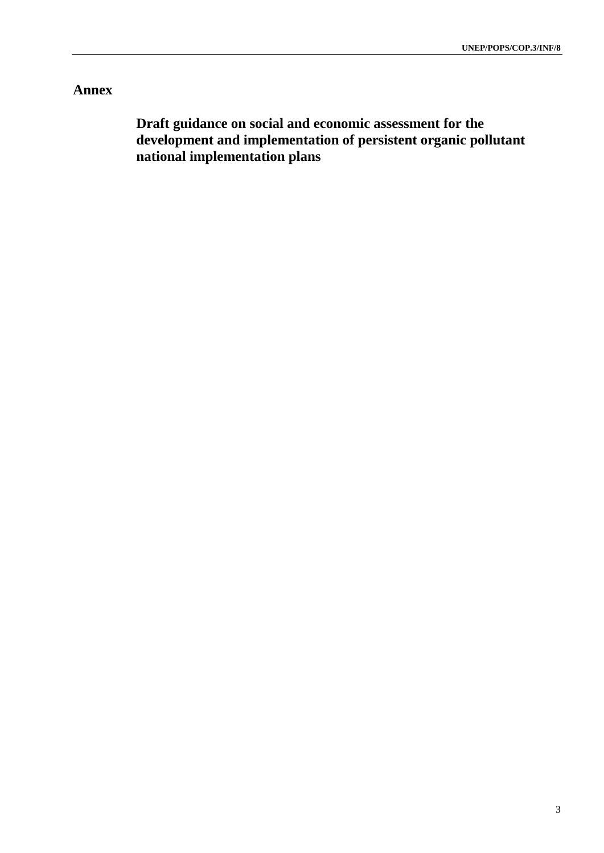### **Annex**

**Draft guidance on social and economic assessment for the development and implementation of persistent organic pollutant national implementation plans**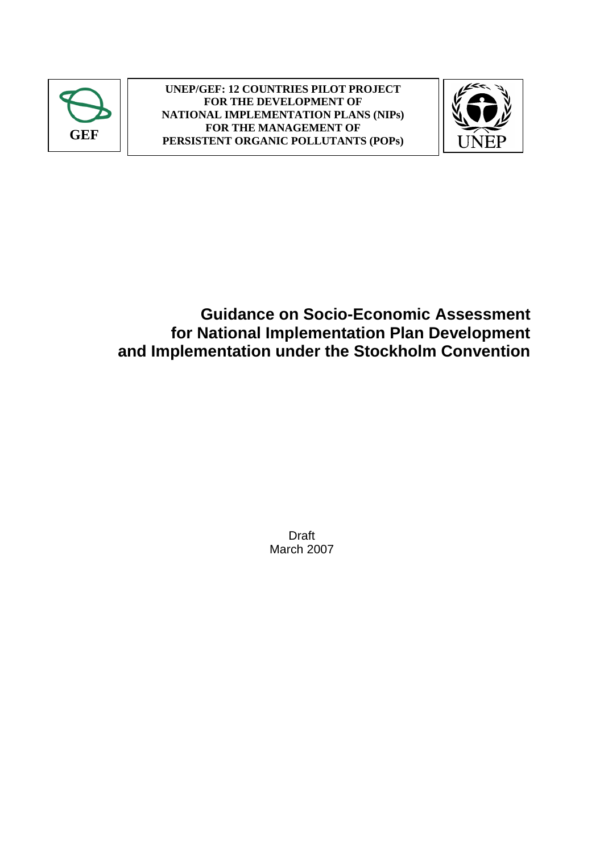



## **Guidance on Socio-Economic Assessment for National Implementation Plan Development and Implementation under the Stockholm Convention**

Draft March 2007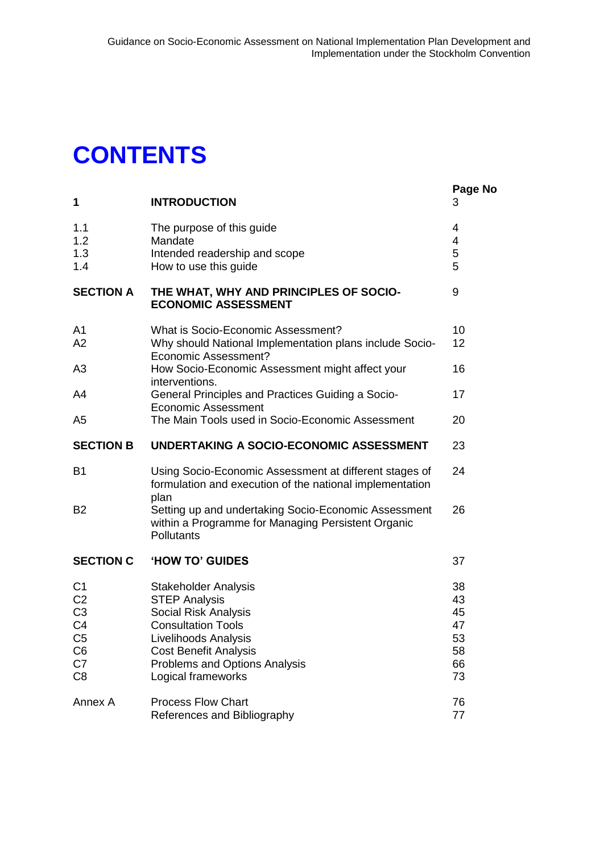## **CONTENTS**

| 1                                                                                      | <b>INTRODUCTION</b>                                                                                                              | Page No<br>3               |
|----------------------------------------------------------------------------------------|----------------------------------------------------------------------------------------------------------------------------------|----------------------------|
| 1.1<br>1.2<br>1.3<br>1.4                                                               | The purpose of this guide<br>Mandate<br>Intended readership and scope<br>How to use this guide                                   | 4<br>4<br>5<br>5           |
| <b>SECTION A</b>                                                                       | THE WHAT, WHY AND PRINCIPLES OF SOCIO-<br><b>ECONOMIC ASSESSMENT</b>                                                             | 9                          |
| A <sub>1</sub><br>A2                                                                   | What is Socio-Economic Assessment?<br>Why should National Implementation plans include Socio-<br><b>Economic Assessment?</b>     | 10<br>12                   |
| A3                                                                                     | How Socio-Economic Assessment might affect your<br>interventions.                                                                | 16                         |
| A4                                                                                     | General Principles and Practices Guiding a Socio-<br><b>Economic Assessment</b>                                                  | 17                         |
| A <sub>5</sub>                                                                         | The Main Tools used in Socio-Economic Assessment                                                                                 | 20                         |
| <b>SECTION B</b>                                                                       | UNDERTAKING A SOCIO-ECONOMIC ASSESSMENT                                                                                          | 23                         |
| B <sub>1</sub>                                                                         | Using Socio-Economic Assessment at different stages of<br>formulation and execution of the national implementation<br>plan       | 24                         |
| B <sub>2</sub>                                                                         | Setting up and undertaking Socio-Economic Assessment<br>within a Programme for Managing Persistent Organic<br>Pollutants         | 26                         |
| <b>SECTION C</b>                                                                       | <b>HOW TO' GUIDES</b>                                                                                                            | 37                         |
| C <sub>1</sub><br>C <sub>2</sub><br>C <sub>3</sub><br>C <sub>4</sub><br>C <sub>5</sub> | <b>Stakeholder Analysis</b><br><b>STEP Analysis</b><br>Social Risk Analysis<br><b>Consultation Tools</b><br>Livelihoods Analysis | 38<br>43<br>45<br>47<br>53 |
| C <sub>6</sub>                                                                         | <b>Cost Benefit Analysis</b>                                                                                                     | 58                         |
| C7<br>C <sub>8</sub>                                                                   | Problems and Options Analysis<br>Logical frameworks                                                                              | 66<br>73                   |
| Annex A                                                                                | <b>Process Flow Chart</b><br>References and Bibliography                                                                         | 76<br>77                   |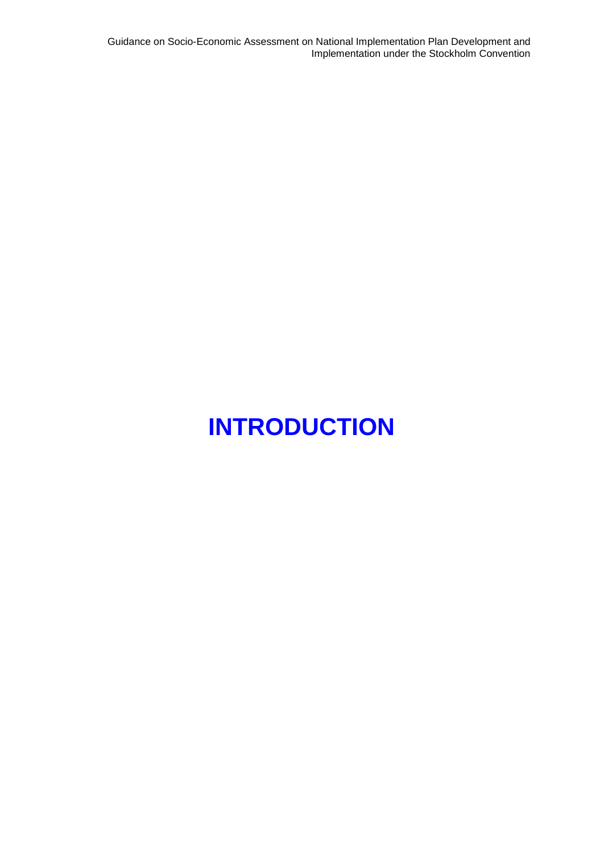Guidance on Socio-Economic Assessment on National Implementation Plan Development and Implementation under the Stockholm Convention

# **INTRODUCTION**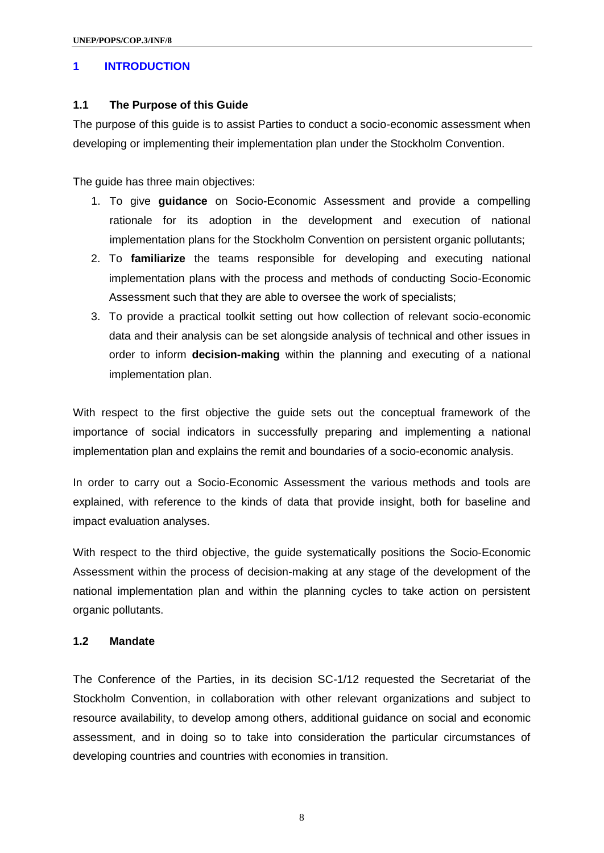#### **1 INTRODUCTION**

#### **1.1 The Purpose of this Guide**

The purpose of this guide is to assist Parties to conduct a socio-economic assessment when developing or implementing their implementation plan under the Stockholm Convention.

The guide has three main objectives:

- 1. To give **guidance** on Socio-Economic Assessment and provide a compelling rationale for its adoption in the development and execution of national implementation plans for the Stockholm Convention on persistent organic pollutants;
- 2. To **familiarize** the teams responsible for developing and executing national implementation plans with the process and methods of conducting Socio-Economic Assessment such that they are able to oversee the work of specialists;
- 3. To provide a practical toolkit setting out how collection of relevant socio-economic data and their analysis can be set alongside analysis of technical and other issues in order to inform **decision-making** within the planning and executing of a national implementation plan.

With respect to the first objective the guide sets out the conceptual framework of the importance of social indicators in successfully preparing and implementing a national implementation plan and explains the remit and boundaries of a socio-economic analysis.

In order to carry out a Socio-Economic Assessment the various methods and tools are explained, with reference to the kinds of data that provide insight, both for baseline and impact evaluation analyses.

With respect to the third objective, the guide systematically positions the Socio-Economic Assessment within the process of decision-making at any stage of the development of the national implementation plan and within the planning cycles to take action on persistent organic pollutants.

#### **1.2 Mandate**

The Conference of the Parties, in its decision SC-1/12 requested the Secretariat of the Stockholm Convention, in collaboration with other relevant organizations and subject to resource availability, to develop among others, additional guidance on social and economic assessment, and in doing so to take into consideration the particular circumstances of developing countries and countries with economies in transition.

8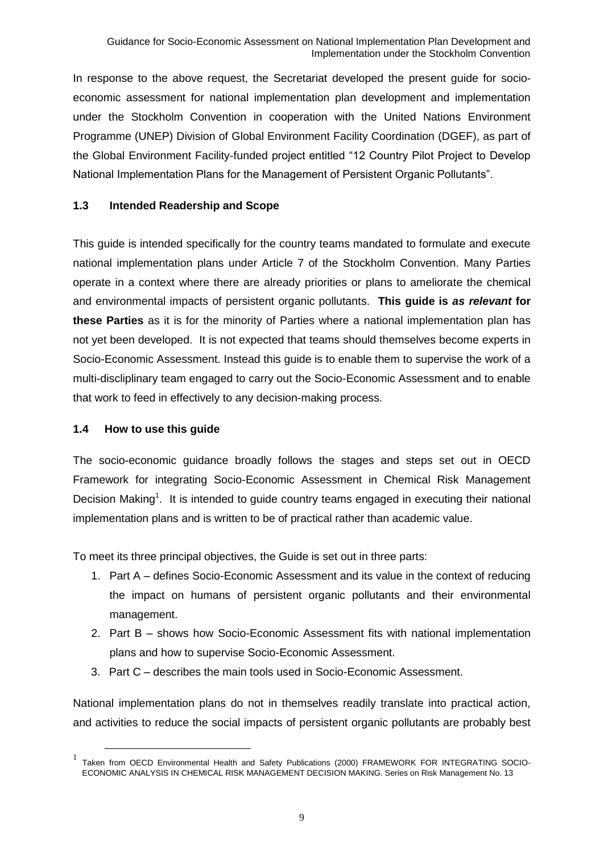In response to the above request, the Secretariat developed the present guide for socioeconomic assessment for national implementation plan development and implementation under the Stockholm Convention in cooperation with the United Nations Environment Programme (UNEP) Division of Global Environment Facility Coordination (DGEF), as part of the Global Environment Facility-funded project entitled "12 Country Pilot Project to Develop National Implementation Plans for the Management of Persistent Organic Pollutants".

#### **1.3 Intended Readership and Scope**

This guide is intended specifically for the country teams mandated to formulate and execute national implementation plans under Article 7 of the Stockholm Convention. Many Parties operate in a context where there are already priorities or plans to ameliorate the chemical and environmental impacts of persistent organic pollutants. **This guide is** *as relevant* **for these Parties** as it is for the minority of Parties where a national implementation plan has not yet been developed. It is not expected that teams should themselves become experts in Socio-Economic Assessment. Instead this guide is to enable them to supervise the work of a multi-discliplinary team engaged to carry out the Socio-Economic Assessment and to enable that work to feed in effectively to any decision-making process.

#### **1.4 How to use this guide**

 $\overline{a}$ 

The socio-economic guidance broadly follows the stages and steps set out in OECD Framework for integrating Socio-Economic Assessment in Chemical Risk Management Decision Making<sup>1</sup>. It is intended to guide country teams engaged in executing their national implementation plans and is written to be of practical rather than academic value.

To meet its three principal objectives, the Guide is set out in three parts:

- 1. Part A defines Socio-Economic Assessment and its value in the context of reducing the impact on humans of persistent organic pollutants and their environmental management.
- 2. Part B shows how Socio-Economic Assessment fits with national implementation plans and how to supervise Socio-Economic Assessment.
- 3. Part C describes the main tools used in Socio-Economic Assessment.

National implementation plans do not in themselves readily translate into practical action, and activities to reduce the social impacts of persistent organic pollutants are probably best

<sup>1</sup> Taken from OECD Environmental Health and Safety Publications (2000) FRAMEWORK FOR INTEGRATING SOCIO-ECONOMIC ANALYSIS IN CHEMICAL RISK MANAGEMENT DECISION MAKING. Series on Risk Management No. 13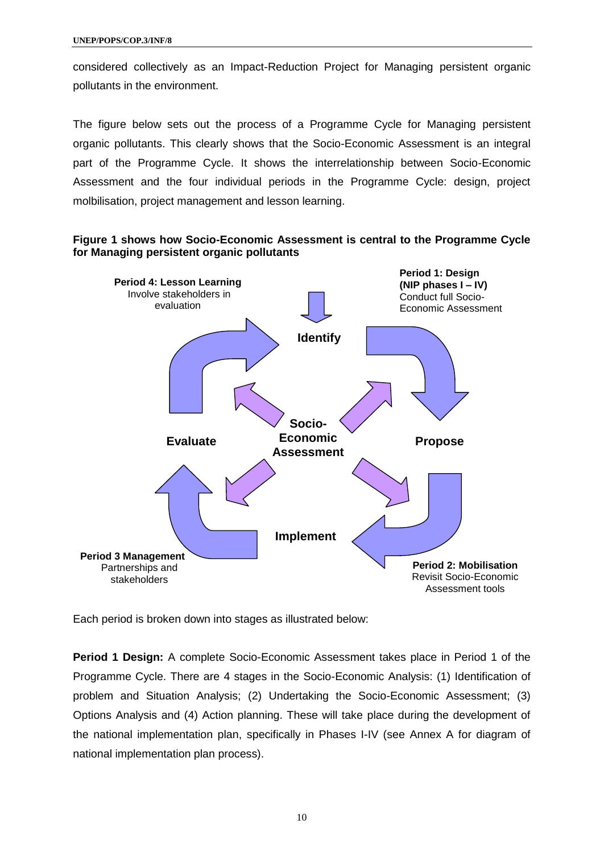considered collectively as an Impact-Reduction Project for Managing persistent organic pollutants in the environment.

The figure below sets out the process of a Programme Cycle for Managing persistent organic pollutants. This clearly shows that the Socio-Economic Assessment is an integral part of the Programme Cycle. It shows the interrelationship between Socio-Economic Assessment and the four individual periods in the Programme Cycle: design, project molbilisation, project management and lesson learning.

#### **Figure 1 shows how Socio-Economic Assessment is central to the Programme Cycle for Managing persistent organic pollutants**



Each period is broken down into stages as illustrated below:

**Period 1 Design:** A complete Socio-Economic Assessment takes place in Period 1 of the Programme Cycle. There are 4 stages in the Socio-Economic Analysis: (1) Identification of problem and Situation Analysis; (2) Undertaking the Socio-Economic Assessment; (3) Options Analysis and (4) Action planning. These will take place during the development of the national implementation plan, specifically in Phases I-IV (see Annex A for diagram of national implementation plan process).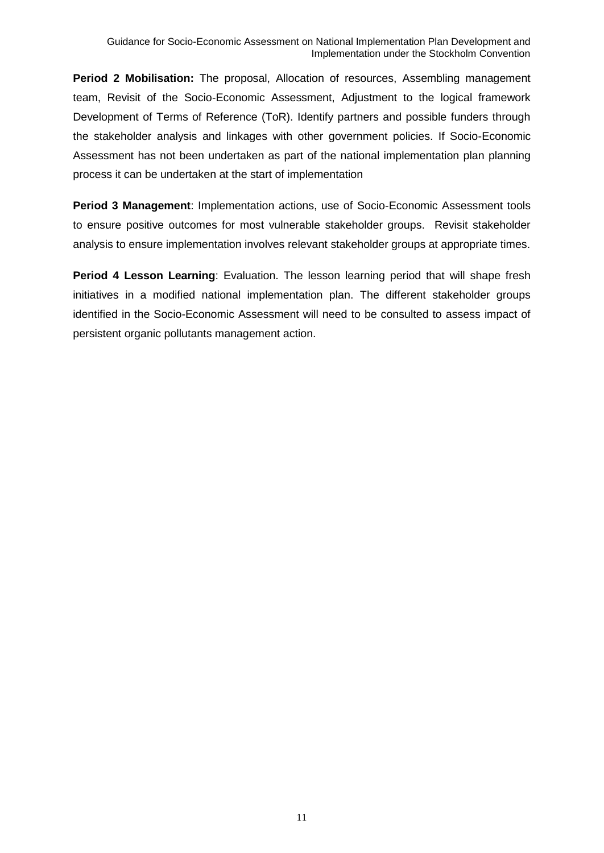**Period 2 Mobilisation:** The proposal, Allocation of resources, Assembling management team, Revisit of the Socio-Economic Assessment, Adjustment to the logical framework Development of Terms of Reference (ToR). Identify partners and possible funders through the stakeholder analysis and linkages with other government policies. If Socio-Economic Assessment has not been undertaken as part of the national implementation plan planning process it can be undertaken at the start of implementation

**Period 3 Management**: Implementation actions, use of Socio-Economic Assessment tools to ensure positive outcomes for most vulnerable stakeholder groups. Revisit stakeholder analysis to ensure implementation involves relevant stakeholder groups at appropriate times.

**Period 4 Lesson Learning: Evaluation. The lesson learning period that will shape fresh** initiatives in a modified national implementation plan. The different stakeholder groups identified in the Socio-Economic Assessment will need to be consulted to assess impact of persistent organic pollutants management action.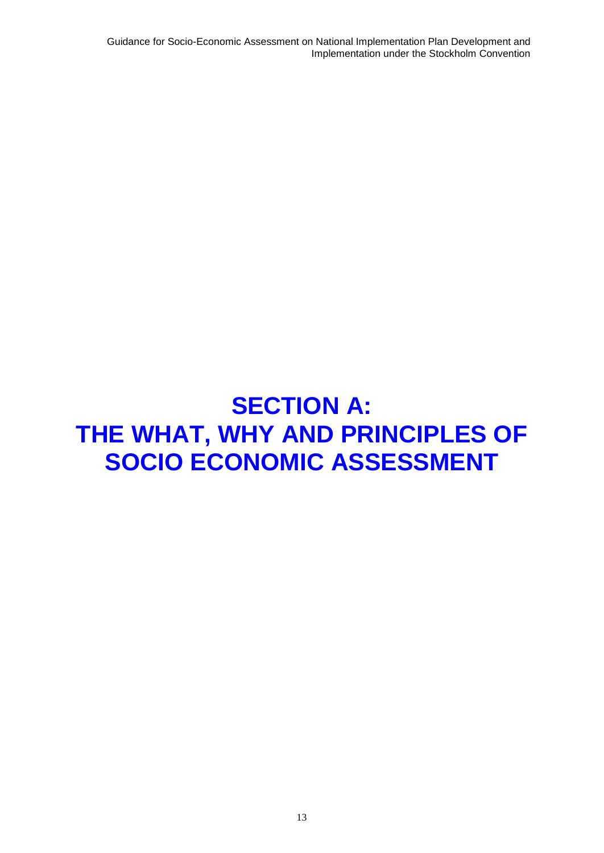Guidance for Socio-Economic Assessment on National Implementation Plan Development and Implementation under the Stockholm Convention

## **SECTION A: THE WHAT, WHY AND PRINCIPLES OF SOCIO ECONOMIC ASSESSMENT**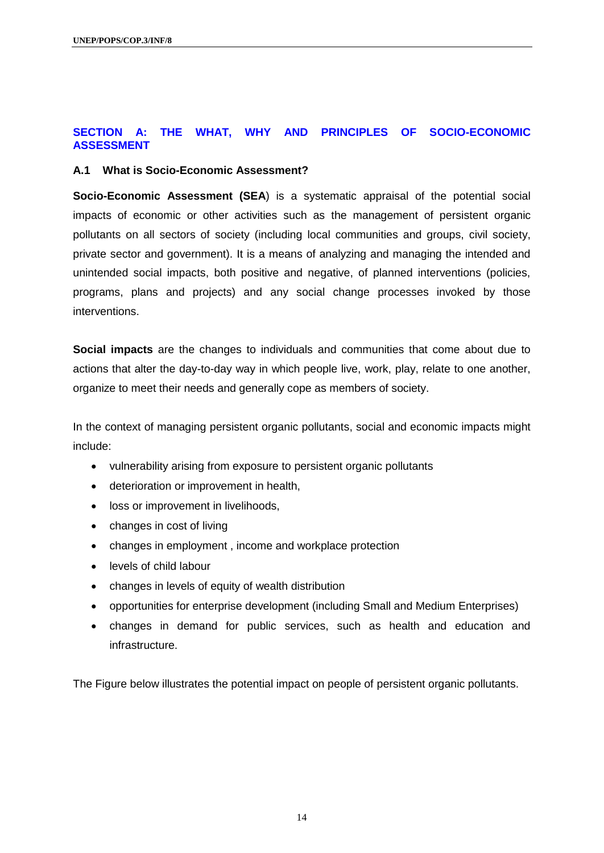#### **SECTION A: THE WHAT, WHY AND PRINCIPLES OF SOCIO-ECONOMIC ASSESSMENT**

#### **A.1 What is Socio-Economic Assessment?**

**Socio-Economic Assessment (SEA**) is a systematic appraisal of the potential social impacts of economic or other activities such as the management of persistent organic pollutants on all sectors of society (including local communities and groups, civil society, private sector and government). It is a means of analyzing and managing the intended and unintended social impacts, both positive and negative, of planned interventions (policies, programs, plans and projects) and any social change processes invoked by those interventions.

**Social impacts** are the changes to individuals and communities that come about due to actions that alter the day-to-day way in which people live, work, play, relate to one another, organize to meet their needs and generally cope as members of society.

In the context of managing persistent organic pollutants, social and economic impacts might include:

- vulnerability arising from exposure to persistent organic pollutants
- deterioration or improvement in health,
- loss or improvement in livelihoods,
- changes in cost of living
- changes in employment, income and workplace protection
- levels of child labour
- changes in levels of equity of wealth distribution
- opportunities for enterprise development (including Small and Medium Enterprises)
- changes in demand for public services, such as health and education and infrastructure.

The Figure below illustrates the potential impact on people of persistent organic pollutants.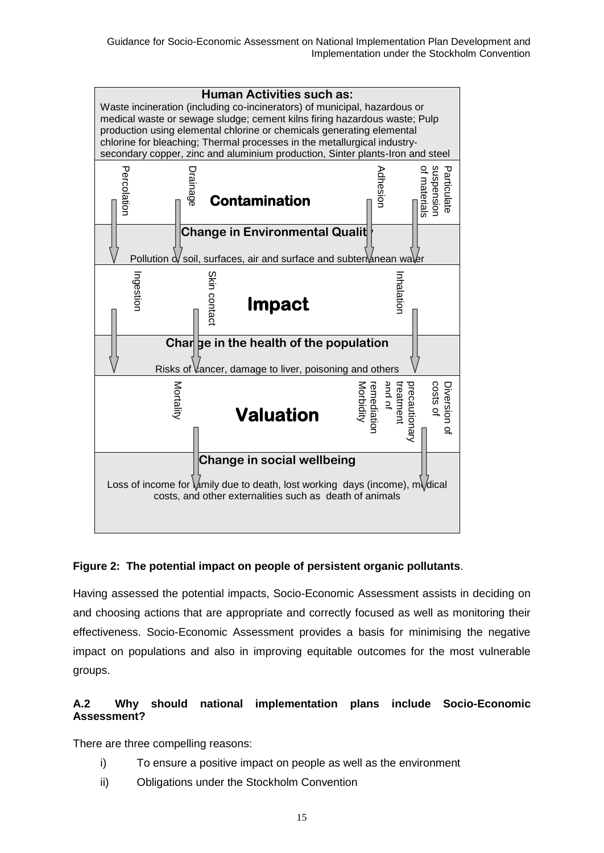

#### **Figure 2: The potential impact on people of persistent organic pollutants**.

Having assessed the potential impacts, Socio-Economic Assessment assists in deciding on and choosing actions that are appropriate and correctly focused as well as monitoring their effectiveness. Socio-Economic Assessment provides a basis for minimising the negative impact on populations and also in improving equitable outcomes for the most vulnerable groups.

#### **A.2 Why should national implementation plans include Socio-Economic Assessment?**

There are three compelling reasons:

- i) To ensure a positive impact on people as well as the environment
- ii) Obligations under the Stockholm Convention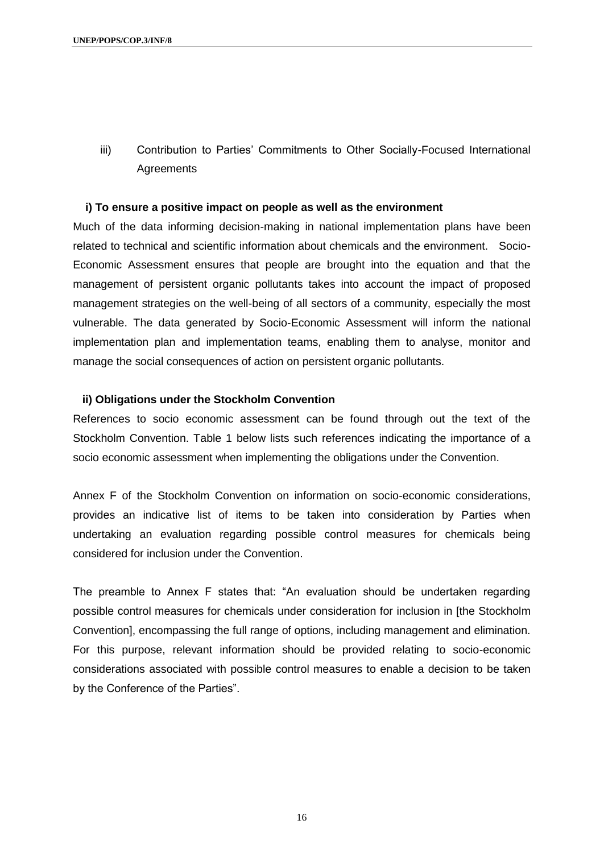iii) Contribution to Parties' Commitments to Other Socially-Focused International **Agreements** 

#### **i) To ensure a positive impact on people as well as the environment**

Much of the data informing decision-making in national implementation plans have been related to technical and scientific information about chemicals and the environment. Socio-Economic Assessment ensures that people are brought into the equation and that the management of persistent organic pollutants takes into account the impact of proposed management strategies on the well-being of all sectors of a community, especially the most vulnerable. The data generated by Socio-Economic Assessment will inform the national implementation plan and implementation teams, enabling them to analyse, monitor and manage the social consequences of action on persistent organic pollutants.

#### **ii) Obligations under the Stockholm Convention**

References to socio economic assessment can be found through out the text of the Stockholm Convention. Table 1 below lists such references indicating the importance of a socio economic assessment when implementing the obligations under the Convention.

Annex F of the Stockholm Convention on information on socio-economic considerations, provides an indicative list of items to be taken into consideration by Parties when undertaking an evaluation regarding possible control measures for chemicals being considered for inclusion under the Convention.

The preamble to Annex F states that: "An evaluation should be undertaken regarding possible control measures for chemicals under consideration for inclusion in [the Stockholm Convention], encompassing the full range of options, including management and elimination. For this purpose, relevant information should be provided relating to socio-economic considerations associated with possible control measures to enable a decision to be taken by the Conference of the Parties".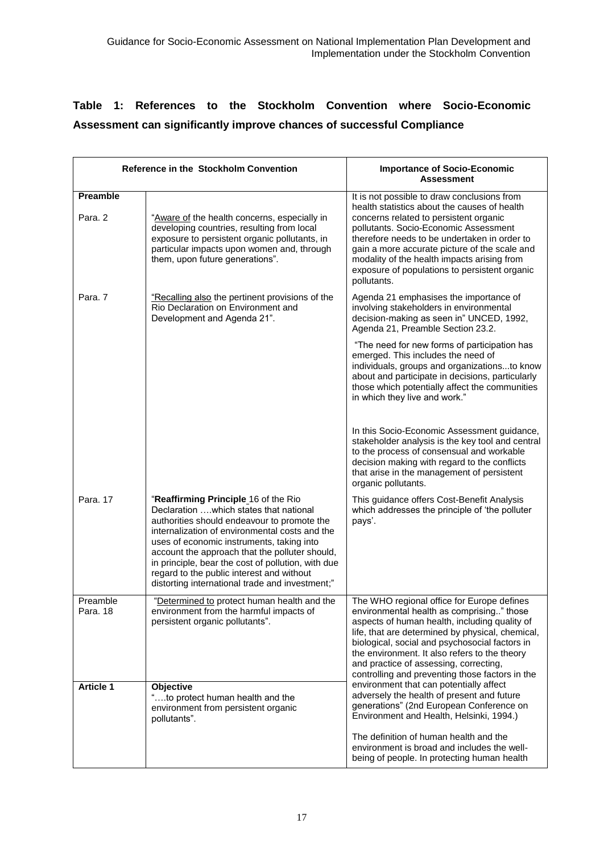## **Table 1: References to the Stockholm Convention where Socio-Economic Assessment can significantly improve chances of successful Compliance**

| <b>Reference in the Stockholm Convention</b> |                                                                                                                                                                                                                                                                                                                                                                                                                                      | <b>Importance of Socio-Economic</b><br>Assessment                                                                                                                                                                                                                                                                                                                                              |
|----------------------------------------------|--------------------------------------------------------------------------------------------------------------------------------------------------------------------------------------------------------------------------------------------------------------------------------------------------------------------------------------------------------------------------------------------------------------------------------------|------------------------------------------------------------------------------------------------------------------------------------------------------------------------------------------------------------------------------------------------------------------------------------------------------------------------------------------------------------------------------------------------|
| Preamble<br>Para, 2                          | "Aware of the health concerns, especially in<br>developing countries, resulting from local<br>exposure to persistent organic pollutants, in<br>particular impacts upon women and, through<br>them, upon future generations".                                                                                                                                                                                                         | It is not possible to draw conclusions from<br>health statistics about the causes of health<br>concerns related to persistent organic<br>pollutants. Socio-Economic Assessment<br>therefore needs to be undertaken in order to<br>gain a more accurate picture of the scale and<br>modality of the health impacts arising from<br>exposure of populations to persistent organic<br>pollutants. |
| Para, 7                                      | "Recalling also the pertinent provisions of the<br>Rio Declaration on Environment and<br>Development and Agenda 21".                                                                                                                                                                                                                                                                                                                 | Agenda 21 emphasises the importance of<br>involving stakeholders in environmental<br>decision-making as seen in" UNCED, 1992,<br>Agenda 21, Preamble Section 23.2.                                                                                                                                                                                                                             |
|                                              |                                                                                                                                                                                                                                                                                                                                                                                                                                      | "The need for new forms of participation has<br>emerged. This includes the need of<br>individuals, groups and organizationsto know<br>about and participate in decisions, particularly<br>those which potentially affect the communities<br>in which they live and work."                                                                                                                      |
|                                              |                                                                                                                                                                                                                                                                                                                                                                                                                                      | In this Socio-Economic Assessment guidance,<br>stakeholder analysis is the key tool and central<br>to the process of consensual and workable<br>decision making with regard to the conflicts<br>that arise in the management of persistent<br>organic pollutants.                                                                                                                              |
| Para, 17                                     | "Reaffirming Principle 16 of the Rio<br>Declaration which states that national<br>authorities should endeavour to promote the<br>internalization of environmental costs and the<br>uses of economic instruments, taking into<br>account the approach that the polluter should,<br>in principle, bear the cost of pollution, with due<br>regard to the public interest and without<br>distorting international trade and investment;" | This guidance offers Cost-Benefit Analysis<br>which addresses the principle of 'the polluter<br>pays'.                                                                                                                                                                                                                                                                                         |
| Preamble<br>Para. 18                         | "Determined to protect human health and the<br>environment from the harmful impacts of<br>persistent organic pollutants".                                                                                                                                                                                                                                                                                                            | The WHO regional office for Europe defines<br>environmental health as comprising" those<br>aspects of human health, including quality of<br>life, that are determined by physical, chemical,<br>biological, social and psychosocial factors in<br>the environment. It also refers to the theory<br>and practice of assessing, correcting,<br>controlling and preventing those factors in the   |
| <b>Article 1</b>                             | Objective<br>"to protect human health and the<br>environment from persistent organic<br>pollutants".                                                                                                                                                                                                                                                                                                                                 | environment that can potentially affect<br>adversely the health of present and future<br>generations" (2nd European Conference on<br>Environment and Health, Helsinki, 1994.)                                                                                                                                                                                                                  |
|                                              |                                                                                                                                                                                                                                                                                                                                                                                                                                      | The definition of human health and the<br>environment is broad and includes the well-<br>being of people. In protecting human health                                                                                                                                                                                                                                                           |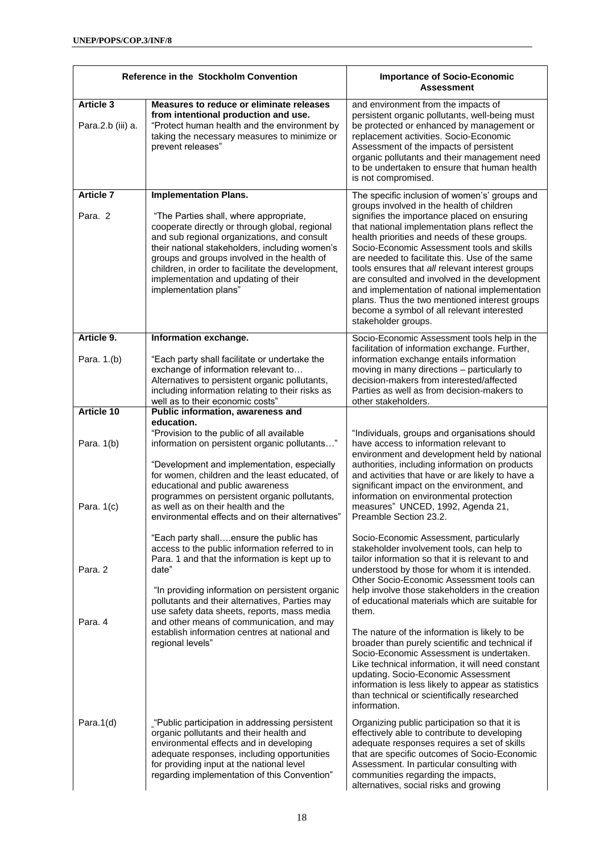| <b>Reference in the Stockholm Convention</b>    |                                                                                                                                                                                                                                                                                                                                                                                                                                                                  | <b>Importance of Socio-Economic</b><br><b>Assessment</b>                                                                                                                                                                                                                                                                                                                                                                                                                                                                                                                                                                                                |  |
|-------------------------------------------------|------------------------------------------------------------------------------------------------------------------------------------------------------------------------------------------------------------------------------------------------------------------------------------------------------------------------------------------------------------------------------------------------------------------------------------------------------------------|---------------------------------------------------------------------------------------------------------------------------------------------------------------------------------------------------------------------------------------------------------------------------------------------------------------------------------------------------------------------------------------------------------------------------------------------------------------------------------------------------------------------------------------------------------------------------------------------------------------------------------------------------------|--|
| <b>Article 3</b><br>Para.2.b (iii) a.           | Measures to reduce or eliminate releases<br>from intentional production and use.<br>"Protect human health and the environment by<br>taking the necessary measures to minimize or<br>prevent releases"                                                                                                                                                                                                                                                            | and environment from the impacts of<br>persistent organic pollutants, well-being must<br>be protected or enhanced by management or<br>replacement activities. Socio-Economic<br>Assessment of the impacts of persistent<br>organic pollutants and their management need<br>to be undertaken to ensure that human health<br>is not compromised.                                                                                                                                                                                                                                                                                                          |  |
| <b>Article 7</b><br>Para, 2                     | <b>Implementation Plans.</b><br>"The Parties shall, where appropriate,<br>cooperate directly or through global, regional<br>and sub regional organizations, and consult<br>their national stakeholders, including women's<br>groups and groups involved in the health of<br>children, in order to facilitate the development,<br>implementation and updating of their<br>implementation plans"                                                                   | The specific inclusion of women's' groups and<br>groups involved in the health of children<br>signifies the importance placed on ensuring<br>that national implementation plans reflect the<br>health priorities and needs of these groups.<br>Socio-Economic Assessment tools and skills<br>are needed to facilitate this. Use of the same<br>tools ensures that all relevant interest groups<br>are consulted and involved in the development<br>and implementation of national implementation<br>plans. Thus the two mentioned interest groups<br>become a symbol of all relevant interested<br>stakeholder groups.                                  |  |
| Article 9.<br>Para. 1.(b)                       | Information exchange.<br>"Each party shall facilitate or undertake the<br>exchange of information relevant to<br>Alternatives to persistent organic pollutants,<br>including information relating to their risks as                                                                                                                                                                                                                                              | Socio-Economic Assessment tools help in the<br>facilitation of information exchange. Further,<br>information exchange entails information<br>moving in many directions - particularly to<br>decision-makers from interested/affected<br>Parties as well as from decision-makers to<br>other stakeholders.                                                                                                                                                                                                                                                                                                                                               |  |
| <b>Article 10</b><br>Para. 1(b)<br>Para. $1(c)$ | well as to their economic costs"<br>Public information, awareness and<br>education.<br>"Provision to the public of all available<br>information on persistent organic pollutants"<br>"Development and implementation, especially<br>for women, children and the least educated, of<br>educational and public awareness<br>programmes on persistent organic pollutants,<br>as well as on their health and the<br>environmental effects and on their alternatives" | "Individuals, groups and organisations should<br>have access to information relevant to<br>environment and development held by national<br>authorities, including information on products<br>and activities that have or are likely to have a<br>significant impact on the environment, and<br>information on environmental protection<br>measures" UNCED, 1992, Agenda 21,<br>Preamble Section 23.2.                                                                                                                                                                                                                                                   |  |
| Para, 2<br>Para, 4                              | "Each party shallensure the public has<br>access to the public information referred to in<br>Para. 1 and that the information is kept up to<br>date"<br>"In providing information on persistent organic<br>pollutants and their alternatives, Parties may<br>use safety data sheets, reports, mass media<br>and other means of communication, and may<br>establish information centres at national and<br>regional levels"                                       | Socio-Economic Assessment, particularly<br>stakeholder involvement tools, can help to<br>tailor information so that it is relevant to and<br>understood by those for whom it is intended.<br>Other Socio-Economic Assessment tools can<br>help involve those stakeholders in the creation<br>of educational materials which are suitable for<br>them.<br>The nature of the information is likely to be<br>broader than purely scientific and technical if<br>Socio-Economic Assessment is undertaken.<br>Like technical information, it will need constant<br>updating. Socio-Economic Assessment<br>information is less likely to appear as statistics |  |
| Para. $1(d)$                                    | "Public participation in addressing persistent<br>organic pollutants and their health and<br>environmental effects and in developing<br>adequate responses, including opportunities<br>for providing input at the national level<br>regarding implementation of this Convention"                                                                                                                                                                                 | than technical or scientifically researched<br>information.<br>Organizing public participation so that it is<br>effectively able to contribute to developing<br>adequate responses requires a set of skills<br>that are specific outcomes of Socio-Economic<br>Assessment. In particular consulting with<br>communities regarding the impacts,<br>alternatives, social risks and growing                                                                                                                                                                                                                                                                |  |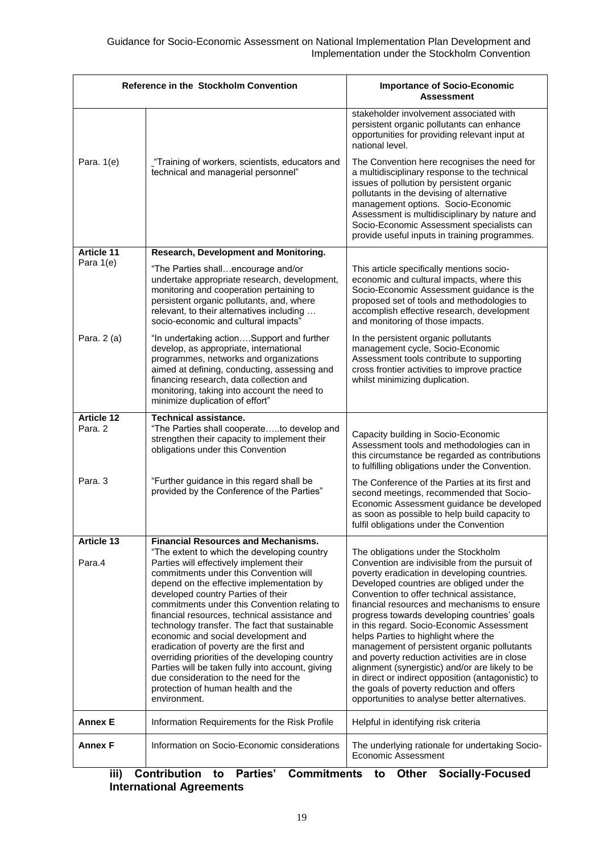| Reference in the Stockholm Convention |                                                                                                                                                                                                                                                                                                                                                                                                                                                                                                                                                                                                                                                                   | <b>Importance of Socio-Economic</b><br><b>Assessment</b>                                                                                                                                                                                                                                                                                                                                                                                                                                                                                                                                                                                                                                                                    |
|---------------------------------------|-------------------------------------------------------------------------------------------------------------------------------------------------------------------------------------------------------------------------------------------------------------------------------------------------------------------------------------------------------------------------------------------------------------------------------------------------------------------------------------------------------------------------------------------------------------------------------------------------------------------------------------------------------------------|-----------------------------------------------------------------------------------------------------------------------------------------------------------------------------------------------------------------------------------------------------------------------------------------------------------------------------------------------------------------------------------------------------------------------------------------------------------------------------------------------------------------------------------------------------------------------------------------------------------------------------------------------------------------------------------------------------------------------------|
|                                       |                                                                                                                                                                                                                                                                                                                                                                                                                                                                                                                                                                                                                                                                   | stakeholder involvement associated with<br>persistent organic pollutants can enhance<br>opportunities for providing relevant input at<br>national level.                                                                                                                                                                                                                                                                                                                                                                                                                                                                                                                                                                    |
| Para. 1(e)                            | "Training of workers, scientists, educators and<br>technical and managerial personnel"                                                                                                                                                                                                                                                                                                                                                                                                                                                                                                                                                                            | The Convention here recognises the need for<br>a multidisciplinary response to the technical<br>issues of pollution by persistent organic<br>pollutants in the devising of alternative<br>management options. Socio-Economic<br>Assessment is multidisciplinary by nature and<br>Socio-Economic Assessment specialists can<br>provide useful inputs in training programmes.                                                                                                                                                                                                                                                                                                                                                 |
| <b>Article 11</b>                     | Research, Development and Monitoring.                                                                                                                                                                                                                                                                                                                                                                                                                                                                                                                                                                                                                             |                                                                                                                                                                                                                                                                                                                                                                                                                                                                                                                                                                                                                                                                                                                             |
| Para 1(e)                             | "The Parties shallencourage and/or<br>undertake appropriate research, development,<br>monitoring and cooperation pertaining to<br>persistent organic pollutants, and, where<br>relevant, to their alternatives including<br>socio-economic and cultural impacts"                                                                                                                                                                                                                                                                                                                                                                                                  | This article specifically mentions socio-<br>economic and cultural impacts, where this<br>Socio-Economic Assessment guidance is the<br>proposed set of tools and methodologies to<br>accomplish effective research, development<br>and monitoring of those impacts.                                                                                                                                                                                                                                                                                                                                                                                                                                                         |
| Para. 2 (a)                           | "In undertaking actionSupport and further<br>develop, as appropriate, international<br>programmes, networks and organizations<br>aimed at defining, conducting, assessing and<br>financing research, data collection and<br>monitoring, taking into account the need to<br>minimize duplication of effort"                                                                                                                                                                                                                                                                                                                                                        | In the persistent organic pollutants<br>management cycle, Socio-Economic<br>Assessment tools contribute to supporting<br>cross frontier activities to improve practice<br>whilst minimizing duplication.                                                                                                                                                                                                                                                                                                                                                                                                                                                                                                                    |
| <b>Article 12</b><br>Para, 2          | <b>Technical assistance.</b><br>"The Parties shall cooperateto develop and<br>strengthen their capacity to implement their<br>obligations under this Convention                                                                                                                                                                                                                                                                                                                                                                                                                                                                                                   | Capacity building in Socio-Economic<br>Assessment tools and methodologies can in<br>this circumstance be regarded as contributions<br>to fulfilling obligations under the Convention.                                                                                                                                                                                                                                                                                                                                                                                                                                                                                                                                       |
| Para, 3                               | "Further guidance in this regard shall be<br>provided by the Conference of the Parties"                                                                                                                                                                                                                                                                                                                                                                                                                                                                                                                                                                           | The Conference of the Parties at its first and<br>second meetings, recommended that Socio-<br>Economic Assessment guidance be developed<br>as soon as possible to help build capacity to<br>fulfil obligations under the Convention                                                                                                                                                                                                                                                                                                                                                                                                                                                                                         |
| <b>Article 13</b>                     | <b>Financial Resources and Mechanisms.</b>                                                                                                                                                                                                                                                                                                                                                                                                                                                                                                                                                                                                                        |                                                                                                                                                                                                                                                                                                                                                                                                                                                                                                                                                                                                                                                                                                                             |
| Para.4                                | "The extent to which the developing country<br>Parties will effectively implement their<br>commitments under this Convention will<br>depend on the effective implementation by<br>developed country Parties of their<br>commitments under this Convention relating to<br>financial resources, technical assistance and<br>technology transfer. The fact that sustainable<br>economic and social development and<br>eradication of poverty are the first and<br>overriding priorities of the developing country<br>Parties will be taken fully into account, giving<br>due consideration to the need for the<br>protection of human health and the<br>environment. | The obligations under the Stockholm<br>Convention are indivisible from the pursuit of<br>poverty eradication in developing countries.<br>Developed countries are obliged under the<br>Convention to offer technical assistance,<br>financial resources and mechanisms to ensure<br>progress towards developing countries' goals<br>in this regard. Socio-Economic Assessment<br>helps Parties to highlight where the<br>management of persistent organic pollutants<br>and poverty reduction activities are in close<br>alignment (synergistic) and/or are likely to be<br>in direct or indirect opposition (antagonistic) to<br>the goals of poverty reduction and offers<br>opportunities to analyse better alternatives. |
| <b>Annex E</b>                        | Information Requirements for the Risk Profile                                                                                                                                                                                                                                                                                                                                                                                                                                                                                                                                                                                                                     | Helpful in identifying risk criteria                                                                                                                                                                                                                                                                                                                                                                                                                                                                                                                                                                                                                                                                                        |
| <b>Annex F</b>                        | Information on Socio-Economic considerations                                                                                                                                                                                                                                                                                                                                                                                                                                                                                                                                                                                                                      | The underlying rationale for undertaking Socio-<br>Economic Assessment                                                                                                                                                                                                                                                                                                                                                                                                                                                                                                                                                                                                                                                      |

#### **iii) Contribution to Parties' Commitments to Other Socially-Focused International Agreements**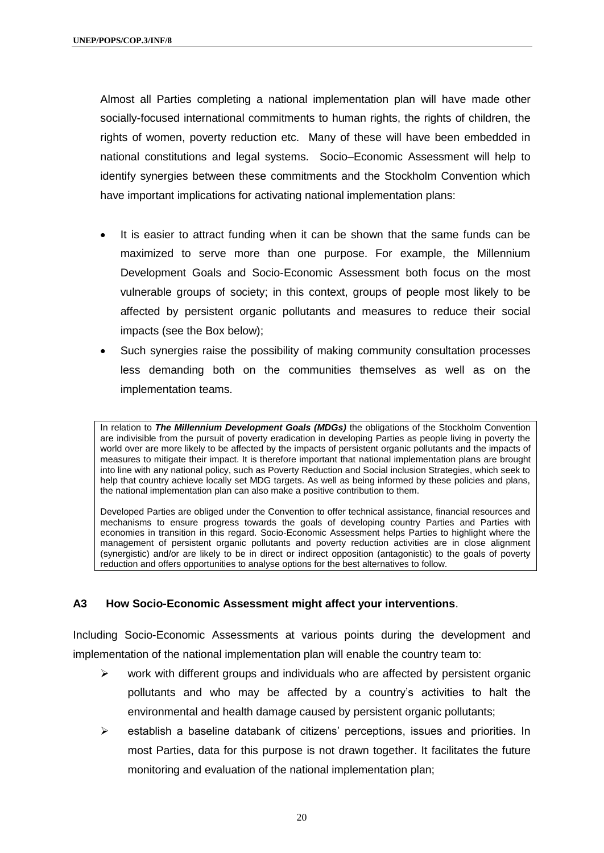Almost all Parties completing a national implementation plan will have made other socially-focused international commitments to human rights, the rights of children, the rights of women, poverty reduction etc. Many of these will have been embedded in national constitutions and legal systems. Socio–Economic Assessment will help to identify synergies between these commitments and the Stockholm Convention which have important implications for activating national implementation plans:

- It is easier to attract funding when it can be shown that the same funds can be maximized to serve more than one purpose. For example, the Millennium Development Goals and Socio-Economic Assessment both focus on the most vulnerable groups of society; in this context, groups of people most likely to be affected by persistent organic pollutants and measures to reduce their social impacts (see the Box below);
- Such synergies raise the possibility of making community consultation processes less demanding both on the communities themselves as well as on the implementation teams.

In relation to *The Millennium Development Goals (MDGs)* the obligations of the Stockholm Convention are indivisible from the pursuit of poverty eradication in developing Parties as people living in poverty the world over are more likely to be affected by the impacts of persistent organic pollutants and the impacts of measures to mitigate their impact. It is therefore important that national implementation plans are brought into line with any national policy, such as Poverty Reduction and Social inclusion Strategies, which seek to help that country achieve locally set MDG targets. As well as being informed by these policies and plans, the national implementation plan can also make a positive contribution to them.

Developed Parties are obliged under the Convention to offer technical assistance, financial resources and mechanisms to ensure progress towards the goals of developing country Parties and Parties with economies in transition in this regard. Socio-Economic Assessment helps Parties to highlight where the management of persistent organic pollutants and poverty reduction activities are in close alignment (synergistic) and/or are likely to be in direct or indirect opposition (antagonistic) to the goals of poverty reduction and offers opportunities to analyse options for the best alternatives to follow.

#### **A3 How Socio-Economic Assessment might affect your interventions**.

Including Socio-Economic Assessments at various points during the development and implementation of the national implementation plan will enable the country team to:

- $\triangleright$  work with different groups and individuals who are affected by persistent organic pollutants and who may be affected by a country's activities to halt the environmental and health damage caused by persistent organic pollutants;
- $\triangleright$  establish a baseline databank of citizens' perceptions, issues and priorities. In most Parties, data for this purpose is not drawn together. It facilitates the future monitoring and evaluation of the national implementation plan;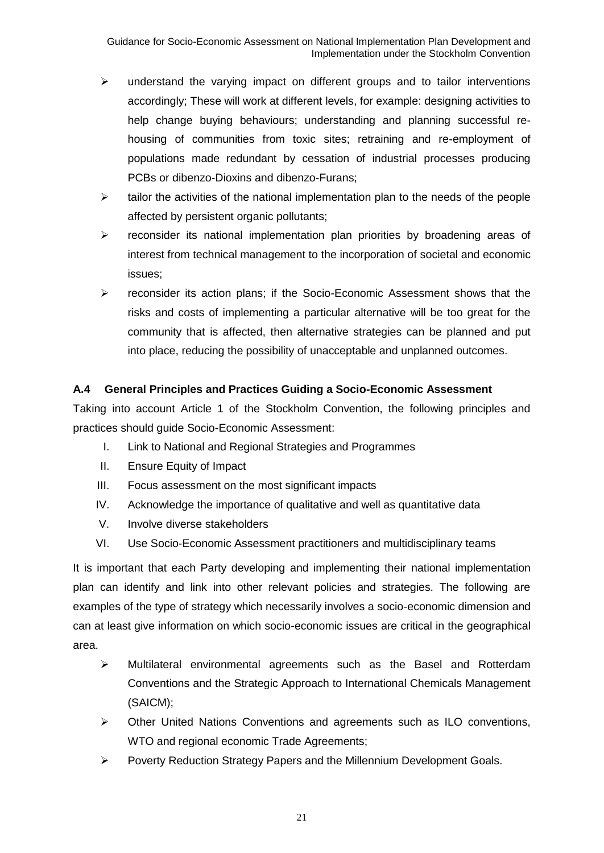- $\triangleright$  understand the varying impact on different groups and to tailor interventions accordingly; These will work at different levels, for example: designing activities to help change buying behaviours; understanding and planning successful rehousing of communities from toxic sites; retraining and re-employment of populations made redundant by cessation of industrial processes producing PCBs or dibenzo-Dioxins and dibenzo-Furans;
- $\triangleright$  tailor the activities of the national implementation plan to the needs of the people affected by persistent organic pollutants;
- $\triangleright$  reconsider its national implementation plan priorities by broadening areas of interest from technical management to the incorporation of societal and economic issues;
- reconsider its action plans; if the Socio-Economic Assessment shows that the risks and costs of implementing a particular alternative will be too great for the community that is affected, then alternative strategies can be planned and put into place, reducing the possibility of unacceptable and unplanned outcomes.

#### **A.4 General Principles and Practices Guiding a Socio-Economic Assessment**

Taking into account Article 1 of the Stockholm Convention, the following principles and practices should guide Socio-Economic Assessment:

- I. Link to National and Regional Strategies and Programmes
- II. Ensure Equity of Impact
- III. Focus assessment on the most significant impacts
- IV. Acknowledge the importance of qualitative and well as quantitative data
- V. Involve diverse stakeholders
- VI. Use Socio-Economic Assessment practitioners and multidisciplinary teams

It is important that each Party developing and implementing their national implementation plan can identify and link into other relevant policies and strategies. The following are examples of the type of strategy which necessarily involves a socio-economic dimension and can at least give information on which socio-economic issues are critical in the geographical area.

- $\triangleright$  Multilateral environmental agreements such as the Basel and Rotterdam Conventions and the Strategic Approach to International Chemicals Management (SAICM);
- Other United Nations Conventions and agreements such as ILO conventions, WTO and regional economic Trade Agreements;
- Poverty Reduction Strategy Papers and the Millennium Development Goals.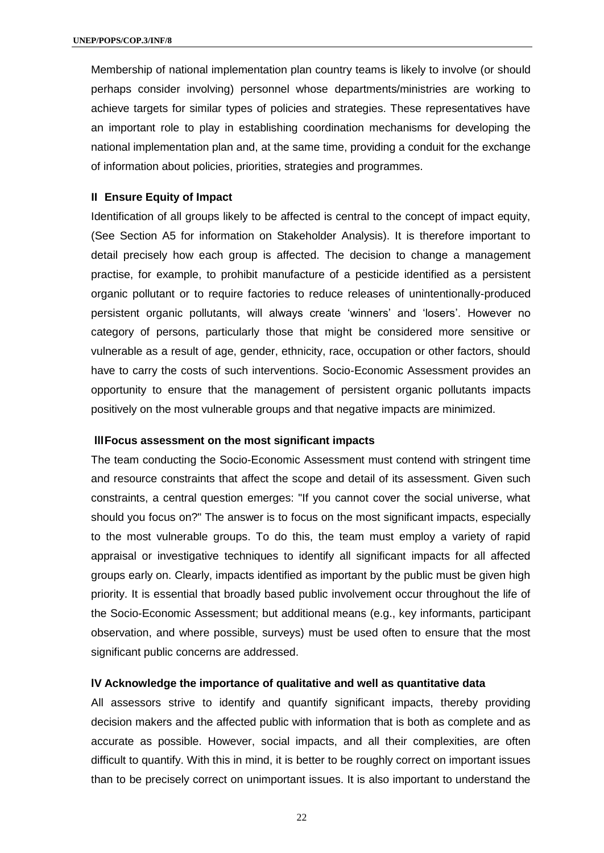Membership of national implementation plan country teams is likely to involve (or should perhaps consider involving) personnel whose departments/ministries are working to achieve targets for similar types of policies and strategies. These representatives have an important role to play in establishing coordination mechanisms for developing the national implementation plan and, at the same time, providing a conduit for the exchange of information about policies, priorities, strategies and programmes.

#### **II Ensure Equity of Impact**

Identification of all groups likely to be affected is central to the concept of impact equity, (See Section A5 for information on Stakeholder Analysis). It is therefore important to detail precisely how each group is affected. The decision to change a management practise, for example, to prohibit manufacture of a pesticide identified as a persistent organic pollutant or to require factories to reduce releases of unintentionally-produced persistent organic pollutants, will always create 'winners' and 'losers'. However no category of persons, particularly those that might be considered more sensitive or vulnerable as a result of age, gender, ethnicity, race, occupation or other factors, should have to carry the costs of such interventions. Socio-Economic Assessment provides an opportunity to ensure that the management of persistent organic pollutants impacts positively on the most vulnerable groups and that negative impacts are minimized.

#### **lllFocus assessment on the most significant impacts**

The team conducting the Socio-Economic Assessment must contend with stringent time and resource constraints that affect the scope and detail of its assessment. Given such constraints, a central question emerges: "If you cannot cover the social universe, what should you focus on?" The answer is to focus on the most significant impacts, especially to the most vulnerable groups. To do this, the team must employ a variety of rapid appraisal or investigative techniques to identify all significant impacts for all affected groups early on. Clearly, impacts identified as important by the public must be given high priority. It is essential that broadly based public involvement occur throughout the life of the Socio-Economic Assessment; but additional means (e.g., key informants, participant observation, and where possible, surveys) must be used often to ensure that the most significant public concerns are addressed.

#### **lV Acknowledge the importance of qualitative and well as quantitative data**

All assessors strive to identify and quantify significant impacts, thereby providing decision makers and the affected public with information that is both as complete and as accurate as possible. However, social impacts, and all their complexities, are often difficult to quantify. With this in mind, it is better to be roughly correct on important issues than to be precisely correct on unimportant issues. It is also important to understand the

22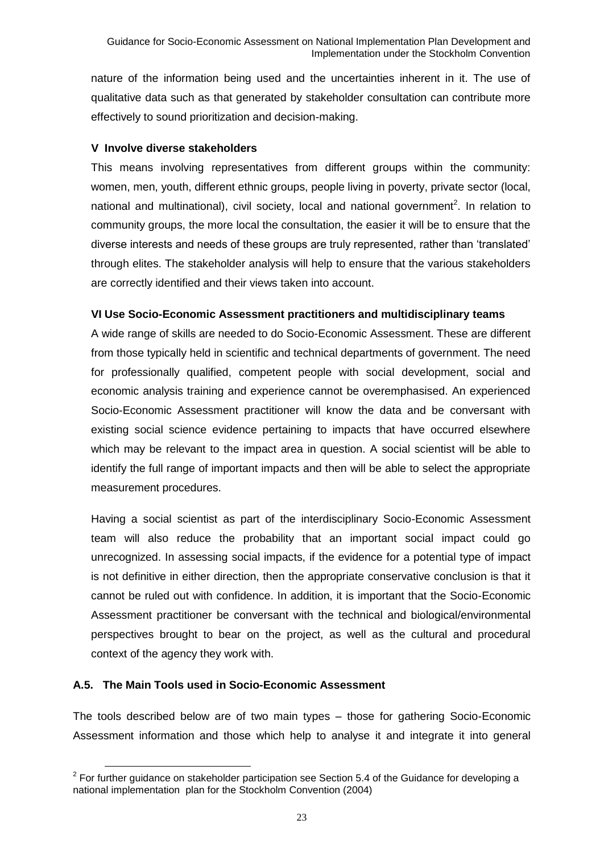nature of the information being used and the uncertainties inherent in it. The use of qualitative data such as that generated by stakeholder consultation can contribute more effectively to sound prioritization and decision-making.

#### **V Involve diverse stakeholders**

This means involving representatives from different groups within the community: women, men, youth, different ethnic groups, people living in poverty, private sector (local, national and multinational), civil society, local and national government<sup>2</sup>. In relation to community groups, the more local the consultation, the easier it will be to ensure that the diverse interests and needs of these groups are truly represented, rather than 'translated' through elites. The stakeholder analysis will help to ensure that the various stakeholders are correctly identified and their views taken into account.

#### **VI Use Socio-Economic Assessment practitioners and multidisciplinary teams**

A wide range of skills are needed to do Socio-Economic Assessment. These are different from those typically held in scientific and technical departments of government. The need for professionally qualified, competent people with social development, social and economic analysis training and experience cannot be overemphasised. An experienced Socio-Economic Assessment practitioner will know the data and be conversant with existing social science evidence pertaining to impacts that have occurred elsewhere which may be relevant to the impact area in question. A social scientist will be able to identify the full range of important impacts and then will be able to select the appropriate measurement procedures.

Having a social scientist as part of the interdisciplinary Socio-Economic Assessment team will also reduce the probability that an important social impact could go unrecognized. In assessing social impacts, if the evidence for a potential type of impact is not definitive in either direction, then the appropriate conservative conclusion is that it cannot be ruled out with confidence. In addition, it is important that the Socio-Economic Assessment practitioner be conversant with the technical and biological/environmental perspectives brought to bear on the project, as well as the cultural and procedural context of the agency they work with.

#### **A.5. The Main Tools used in Socio-Economic Assessment**

 $\overline{a}$ 

The tools described below are of two main types – those for gathering Socio-Economic Assessment information and those which help to analyse it and integrate it into general

 $2$  For further guidance on stakeholder participation see Section 5.4 of the Guidance for developing a national implementation plan for the Stockholm Convention (2004)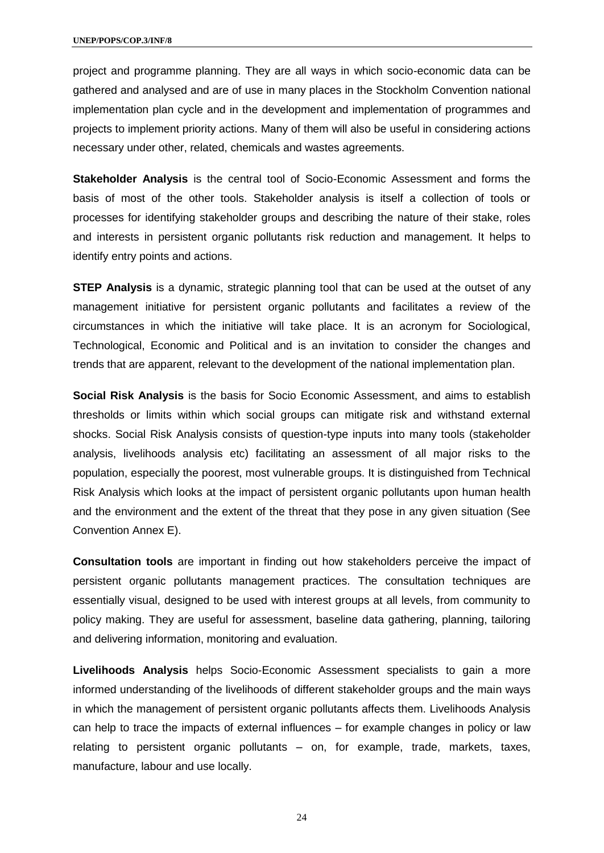project and programme planning. They are all ways in which socio-economic data can be gathered and analysed and are of use in many places in the Stockholm Convention national implementation plan cycle and in the development and implementation of programmes and projects to implement priority actions. Many of them will also be useful in considering actions necessary under other, related, chemicals and wastes agreements.

**Stakeholder Analysis** is the central tool of Socio-Economic Assessment and forms the basis of most of the other tools. Stakeholder analysis is itself a collection of tools or processes for identifying stakeholder groups and describing the nature of their stake, roles and interests in persistent organic pollutants risk reduction and management. It helps to identify entry points and actions.

**STEP Analysis** is a dynamic, strategic planning tool that can be used at the outset of any management initiative for persistent organic pollutants and facilitates a review of the circumstances in which the initiative will take place. It is an acronym for Sociological, Technological, Economic and Political and is an invitation to consider the changes and trends that are apparent, relevant to the development of the national implementation plan.

**Social Risk Analysis** is the basis for Socio Economic Assessment, and aims to establish thresholds or limits within which social groups can mitigate risk and withstand external shocks. Social Risk Analysis consists of question-type inputs into many tools (stakeholder analysis, livelihoods analysis etc) facilitating an assessment of all major risks to the population, especially the poorest, most vulnerable groups. It is distinguished from Technical Risk Analysis which looks at the impact of persistent organic pollutants upon human health and the environment and the extent of the threat that they pose in any given situation (See Convention Annex E).

**Consultation tools** are important in finding out how stakeholders perceive the impact of persistent organic pollutants management practices. The consultation techniques are essentially visual, designed to be used with interest groups at all levels, from community to policy making. They are useful for assessment, baseline data gathering, planning, tailoring and delivering information, monitoring and evaluation.

**Livelihoods Analysis** helps Socio-Economic Assessment specialists to gain a more informed understanding of the livelihoods of different stakeholder groups and the main ways in which the management of persistent organic pollutants affects them. Livelihoods Analysis can help to trace the impacts of external influences – for example changes in policy or law relating to persistent organic pollutants – on, for example, trade, markets, taxes, manufacture, labour and use locally.

24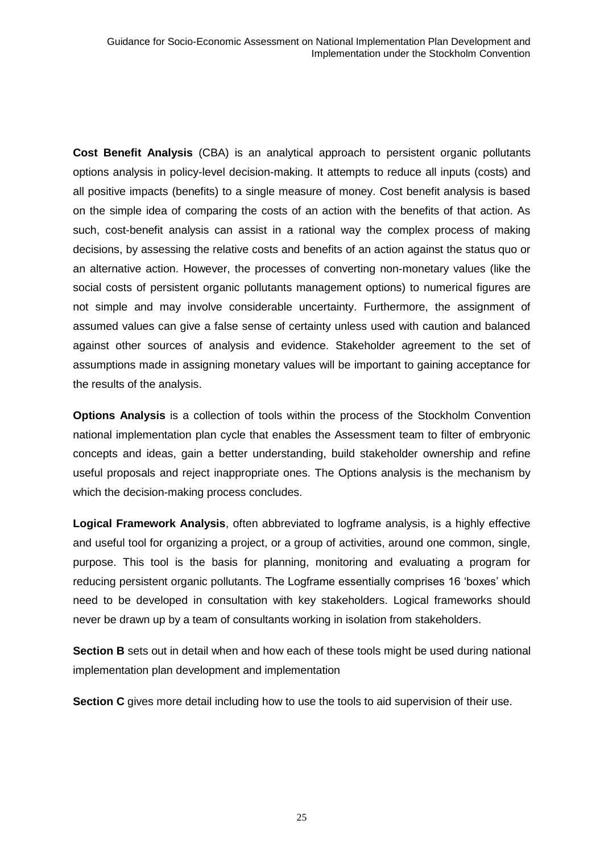**Cost Benefit Analysis** (CBA) is an analytical approach to persistent organic pollutants options analysis in policy-level decision-making. It attempts to reduce all inputs (costs) and all positive impacts (benefits) to a single measure of money. Cost benefit analysis is based on the simple idea of comparing the costs of an action with the benefits of that action. As such, cost-benefit analysis can assist in a rational way the complex process of making decisions, by assessing the relative costs and benefits of an action against the status quo or an alternative action. However, the processes of converting non-monetary values (like the social costs of persistent organic pollutants management options) to numerical figures are not simple and may involve considerable uncertainty. Furthermore, the assignment of assumed values can give a false sense of certainty unless used with caution and balanced against other sources of analysis and evidence. Stakeholder agreement to the set of assumptions made in assigning monetary values will be important to gaining acceptance for the results of the analysis.

**Options Analysis** is a collection of tools within the process of the Stockholm Convention national implementation plan cycle that enables the Assessment team to filter of embryonic concepts and ideas, gain a better understanding, build stakeholder ownership and refine useful proposals and reject inappropriate ones. The Options analysis is the mechanism by which the decision-making process concludes.

**Logical Framework Analysis**, often abbreviated to logframe analysis, is a highly effective and useful tool for organizing a project, or a group of activities, around one common, single, purpose. This tool is the basis for planning, monitoring and evaluating a program for reducing persistent organic pollutants. The Logframe essentially comprises 16 'boxes' which need to be developed in consultation with key stakeholders. Logical frameworks should never be drawn up by a team of consultants working in isolation from stakeholders.

**Section B** sets out in detail when and how each of these tools might be used during national implementation plan development and implementation

**Section C** gives more detail including how to use the tools to aid supervision of their use.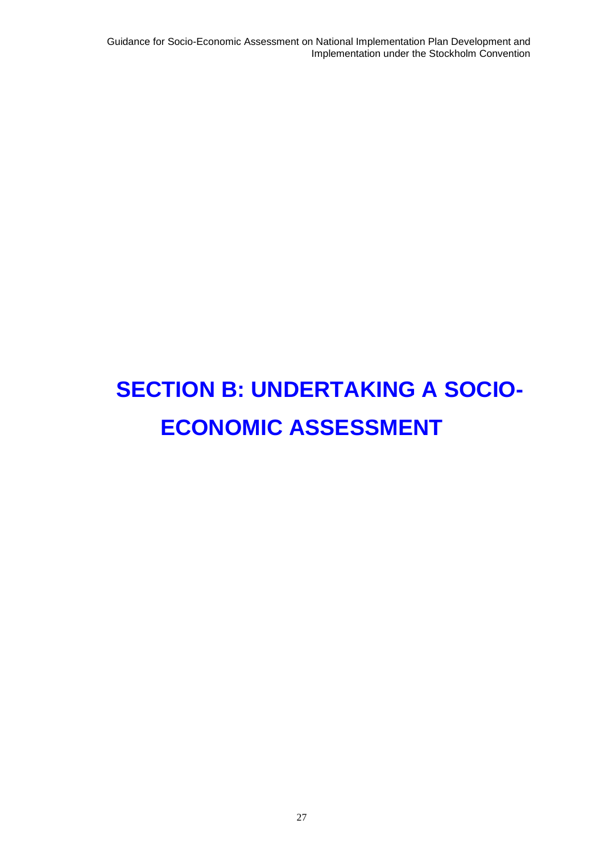Guidance for Socio-Economic Assessment on National Implementation Plan Development and Implementation under the Stockholm Convention

## **SECTION B: UNDERTAKING A SOCIO-ECONOMIC ASSESSMENT**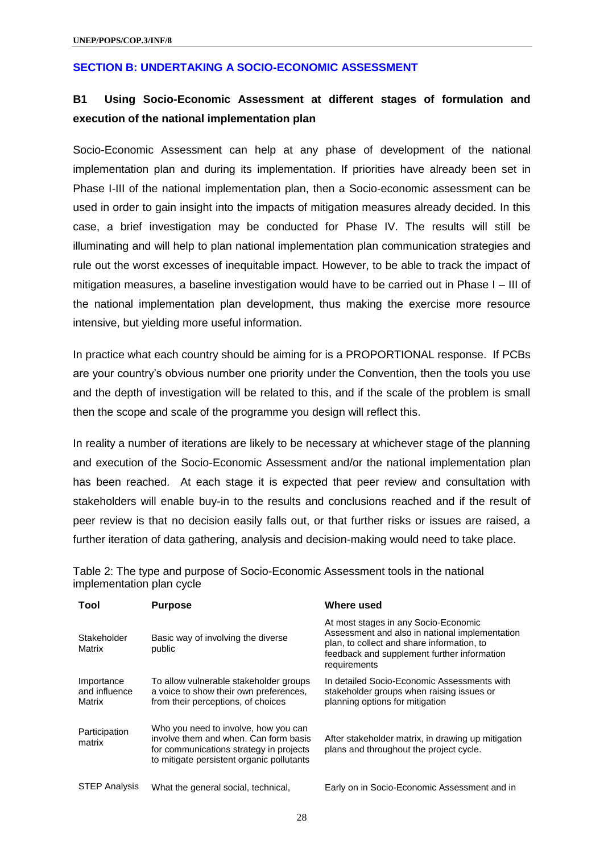#### **SECTION B: UNDERTAKING A SOCIO-ECONOMIC ASSESSMENT**

### **B1 Using Socio-Economic Assessment at different stages of formulation and execution of the national implementation plan**

Socio-Economic Assessment can help at any phase of development of the national implementation plan and during its implementation. If priorities have already been set in Phase I-III of the national implementation plan, then a Socio-economic assessment can be used in order to gain insight into the impacts of mitigation measures already decided. In this case, a brief investigation may be conducted for Phase IV. The results will still be illuminating and will help to plan national implementation plan communication strategies and rule out the worst excesses of inequitable impact. However, to be able to track the impact of mitigation measures, a baseline investigation would have to be carried out in Phase I – III of the national implementation plan development, thus making the exercise more resource intensive, but yielding more useful information.

In practice what each country should be aiming for is a PROPORTIONAL response. If PCBs are your country's obvious number one priority under the Convention, then the tools you use and the depth of investigation will be related to this, and if the scale of the problem is small then the scope and scale of the programme you design will reflect this.

In reality a number of iterations are likely to be necessary at whichever stage of the planning and execution of the Socio-Economic Assessment and/or the national implementation plan has been reached. At each stage it is expected that peer review and consultation with stakeholders will enable buy-in to the results and conclusions reached and if the result of peer review is that no decision easily falls out, or that further risks or issues are raised, a further iteration of data gathering, analysis and decision-making would need to take place.

Table 2: The type and purpose of Socio-Economic Assessment tools in the national implementation plan cycle

| Tool                                  | <b>Purpose</b>                                                                                                                                                        | Where used                                                                                                                                                                                          |
|---------------------------------------|-----------------------------------------------------------------------------------------------------------------------------------------------------------------------|-----------------------------------------------------------------------------------------------------------------------------------------------------------------------------------------------------|
| Stakeholder<br>Matrix                 | Basic way of involving the diverse<br>public                                                                                                                          | At most stages in any Socio-Economic<br>Assessment and also in national implementation<br>plan, to collect and share information, to<br>feedback and supplement further information<br>requirements |
| Importance<br>and influence<br>Matrix | To allow vulnerable stakeholder groups<br>a voice to show their own preferences.<br>from their perceptions, of choices                                                | In detailed Socio-Economic Assessments with<br>stakeholder groups when raising issues or<br>planning options for mitigation                                                                         |
| Participation<br>matrix               | Who you need to involve, how you can<br>involve them and when. Can form basis<br>for communications strategy in projects<br>to mitigate persistent organic pollutants | After stakeholder matrix, in drawing up mitigation<br>plans and throughout the project cycle.                                                                                                       |
| <b>STEP Analysis</b>                  | What the general social, technical,                                                                                                                                   | Early on in Socio-Economic Assessment and in                                                                                                                                                        |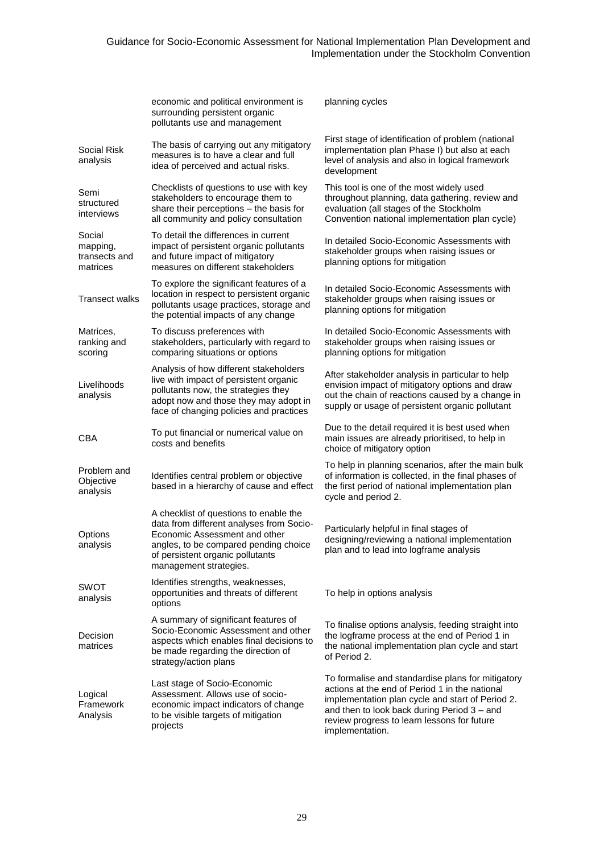|                                                 | economic and political environment is<br>surrounding persistent organic<br>pollutants use and management                                                                                                                   | planning cycles                                                                                                                                                                                                                                                          |
|-------------------------------------------------|----------------------------------------------------------------------------------------------------------------------------------------------------------------------------------------------------------------------------|--------------------------------------------------------------------------------------------------------------------------------------------------------------------------------------------------------------------------------------------------------------------------|
| Social Risk<br>analysis                         | The basis of carrying out any mitigatory<br>measures is to have a clear and full<br>idea of perceived and actual risks.                                                                                                    | First stage of identification of problem (national<br>implementation plan Phase I) but also at each<br>level of analysis and also in logical framework<br>development                                                                                                    |
| Semi<br>structured<br>interviews                | Checklists of questions to use with key<br>stakeholders to encourage them to<br>share their perceptions - the basis for<br>all community and policy consultation                                                           | This tool is one of the most widely used<br>throughout planning, data gathering, review and<br>evaluation (all stages of the Stockholm<br>Convention national implementation plan cycle)                                                                                 |
| Social<br>mapping,<br>transects and<br>matrices | To detail the differences in current<br>impact of persistent organic pollutants<br>and future impact of mitigatory<br>measures on different stakeholders                                                                   | In detailed Socio-Economic Assessments with<br>stakeholder groups when raising issues or<br>planning options for mitigation                                                                                                                                              |
| Transect walks                                  | To explore the significant features of a<br>location in respect to persistent organic<br>pollutants usage practices, storage and<br>the potential impacts of any change                                                    | In detailed Socio-Economic Assessments with<br>stakeholder groups when raising issues or<br>planning options for mitigation                                                                                                                                              |
| Matrices,<br>ranking and<br>scoring             | To discuss preferences with<br>stakeholders, particularly with regard to<br>comparing situations or options                                                                                                                | In detailed Socio-Economic Assessments with<br>stakeholder groups when raising issues or<br>planning options for mitigation                                                                                                                                              |
| Livelihoods<br>analysis                         | Analysis of how different stakeholders<br>live with impact of persistent organic<br>pollutants now, the strategies they<br>adopt now and those they may adopt in<br>face of changing policies and practices                | After stakeholder analysis in particular to help<br>envision impact of mitigatory options and draw<br>out the chain of reactions caused by a change in<br>supply or usage of persistent organic pollutant                                                                |
| CBA                                             | To put financial or numerical value on<br>costs and benefits                                                                                                                                                               | Due to the detail required it is best used when<br>main issues are already prioritised, to help in<br>choice of mitigatory option                                                                                                                                        |
| Problem and<br>Objective<br>analysis            | Identifies central problem or objective<br>based in a hierarchy of cause and effect                                                                                                                                        | To help in planning scenarios, after the main bulk<br>of information is collected, in the final phases of<br>the first period of national implementation plan<br>cycle and period 2.                                                                                     |
| Options<br>analysis                             | A checklist of questions to enable the<br>data from different analyses from Socio-<br>Economic Assessment and other<br>angles, to be compared pending choice<br>of persistent organic pollutants<br>management strategies. | Particularly helpful in final stages of<br>designing/reviewing a national implementation<br>plan and to lead into logframe analysis                                                                                                                                      |
| <b>SWOT</b><br>analysis                         | Identifies strengths, weaknesses,<br>opportunities and threats of different<br>options                                                                                                                                     | To help in options analysis                                                                                                                                                                                                                                              |
| Decision<br>matrices                            | A summary of significant features of<br>Socio-Economic Assessment and other<br>aspects which enables final decisions to<br>be made regarding the direction of<br>strategy/action plans                                     | To finalise options analysis, feeding straight into<br>the logframe process at the end of Period 1 in<br>the national implementation plan cycle and start<br>of Period 2.                                                                                                |
| Logical<br>Framework<br>Analysis                | Last stage of Socio-Economic<br>Assessment. Allows use of socio-<br>economic impact indicators of change<br>to be visible targets of mitigation<br>projects                                                                | To formalise and standardise plans for mitigatory<br>actions at the end of Period 1 in the national<br>implementation plan cycle and start of Period 2.<br>and then to look back during Period 3 - and<br>review progress to learn lessons for future<br>implementation. |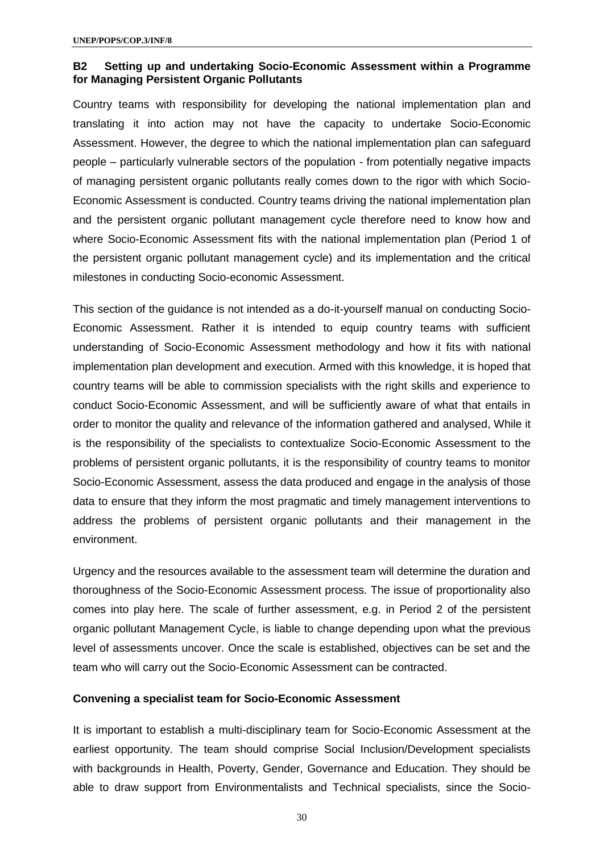#### **B2 Setting up and undertaking Socio-Economic Assessment within a Programme for Managing Persistent Organic Pollutants**

Country teams with responsibility for developing the national implementation plan and translating it into action may not have the capacity to undertake Socio-Economic Assessment. However, the degree to which the national implementation plan can safeguard people – particularly vulnerable sectors of the population - from potentially negative impacts of managing persistent organic pollutants really comes down to the rigor with which Socio-Economic Assessment is conducted. Country teams driving the national implementation plan and the persistent organic pollutant management cycle therefore need to know how and where Socio-Economic Assessment fits with the national implementation plan (Period 1 of the persistent organic pollutant management cycle) and its implementation and the critical milestones in conducting Socio-economic Assessment.

This section of the guidance is not intended as a do-it-yourself manual on conducting Socio-Economic Assessment. Rather it is intended to equip country teams with sufficient understanding of Socio-Economic Assessment methodology and how it fits with national implementation plan development and execution. Armed with this knowledge, it is hoped that country teams will be able to commission specialists with the right skills and experience to conduct Socio-Economic Assessment, and will be sufficiently aware of what that entails in order to monitor the quality and relevance of the information gathered and analysed, While it is the responsibility of the specialists to contextualize Socio-Economic Assessment to the problems of persistent organic pollutants, it is the responsibility of country teams to monitor Socio-Economic Assessment, assess the data produced and engage in the analysis of those data to ensure that they inform the most pragmatic and timely management interventions to address the problems of persistent organic pollutants and their management in the environment.

Urgency and the resources available to the assessment team will determine the duration and thoroughness of the Socio-Economic Assessment process. The issue of proportionality also comes into play here. The scale of further assessment, e.g. in Period 2 of the persistent organic pollutant Management Cycle, is liable to change depending upon what the previous level of assessments uncover. Once the scale is established, objectives can be set and the team who will carry out the Socio-Economic Assessment can be contracted.

#### **Convening a specialist team for Socio-Economic Assessment**

It is important to establish a multi-disciplinary team for Socio-Economic Assessment at the earliest opportunity. The team should comprise Social Inclusion/Development specialists with backgrounds in Health, Poverty, Gender, Governance and Education. They should be able to draw support from Environmentalists and Technical specialists, since the Socio-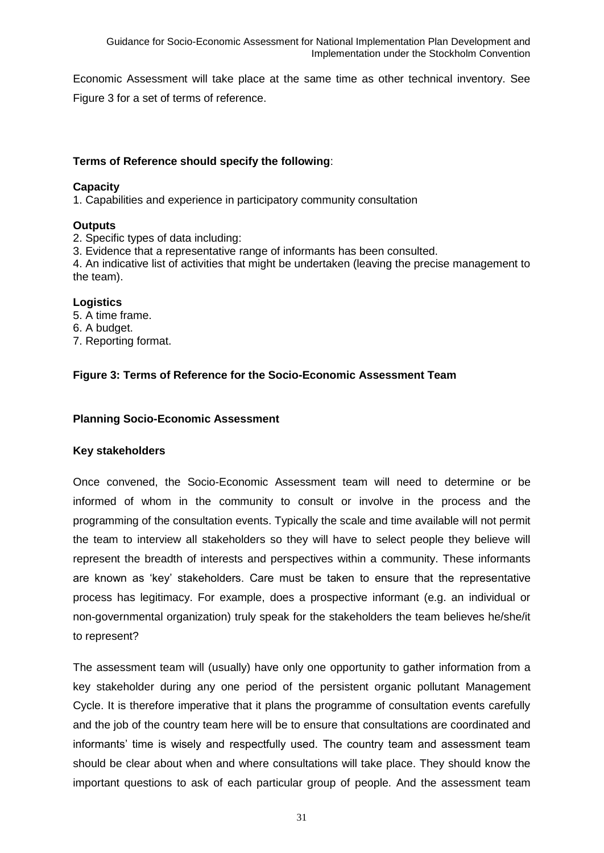Economic Assessment will take place at the same time as other technical inventory. See Figure 3 for a set of terms of reference.

#### **Terms of Reference should specify the following**:

#### **Capacity**

1. Capabilities and experience in participatory community consultation

#### **Outputs**

2. Specific types of data including:

3. Evidence that a representative range of informants has been consulted.

4. An indicative list of activities that might be undertaken (leaving the precise management to the team).

#### **Logistics**

- 5. A time frame.
- 6. A budget.
- 7. Reporting format.

#### **Figure 3: Terms of Reference for the Socio-Economic Assessment Team**

#### **Planning Socio-Economic Assessment**

#### **Key stakeholders**

Once convened, the Socio-Economic Assessment team will need to determine or be informed of whom in the community to consult or involve in the process and the programming of the consultation events. Typically the scale and time available will not permit the team to interview all stakeholders so they will have to select people they believe will represent the breadth of interests and perspectives within a community. These informants are known as 'key' stakeholders. Care must be taken to ensure that the representative process has legitimacy. For example, does a prospective informant (e.g. an individual or non-governmental organization) truly speak for the stakeholders the team believes he/she/it to represent?

The assessment team will (usually) have only one opportunity to gather information from a key stakeholder during any one period of the persistent organic pollutant Management Cycle. It is therefore imperative that it plans the programme of consultation events carefully and the job of the country team here will be to ensure that consultations are coordinated and informants' time is wisely and respectfully used. The country team and assessment team should be clear about when and where consultations will take place. They should know the important questions to ask of each particular group of people. And the assessment team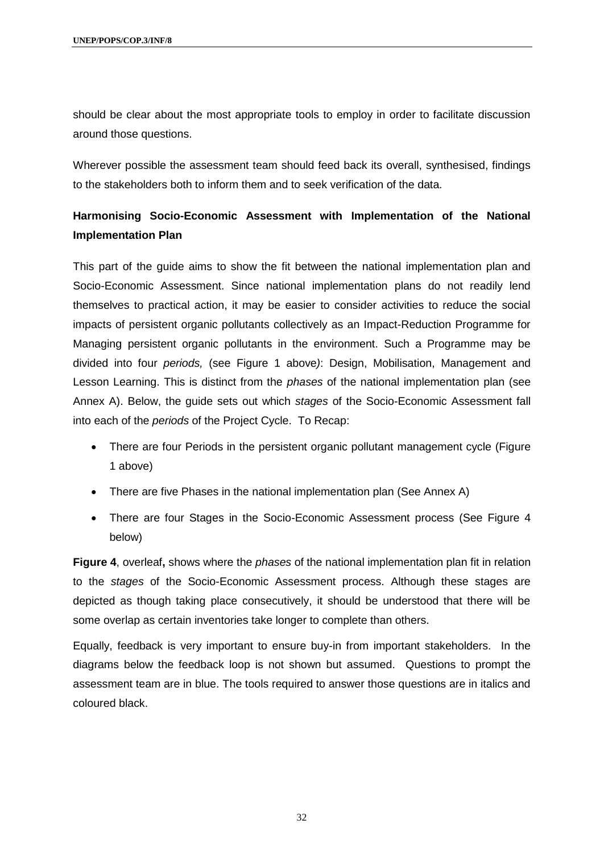should be clear about the most appropriate tools to employ in order to facilitate discussion around those questions.

Wherever possible the assessment team should feed back its overall, synthesised, findings to the stakeholders both to inform them and to seek verification of the data.

## **Harmonising Socio-Economic Assessment with Implementation of the National Implementation Plan**

This part of the guide aims to show the fit between the national implementation plan and Socio-Economic Assessment. Since national implementation plans do not readily lend themselves to practical action, it may be easier to consider activities to reduce the social impacts of persistent organic pollutants collectively as an Impact-Reduction Programme for Managing persistent organic pollutants in the environment. Such a Programme may be divided into four *periods,* (see Figure 1 above*)*: Design, Mobilisation, Management and Lesson Learning. This is distinct from the *phases* of the national implementation plan (see Annex A). Below, the guide sets out which *stages* of the Socio-Economic Assessment fall into each of the *periods* of the Project Cycle. To Recap:

- There are four Periods in the persistent organic pollutant management cycle (Figure 1 above)
- There are five Phases in the national implementation plan (See Annex A)
- There are four Stages in the Socio-Economic Assessment process (See Figure 4 below)

**Figure 4**, overleaf**,** shows where the *phases* of the national implementation plan fit in relation to the *stages* of the Socio-Economic Assessment process. Although these stages are depicted as though taking place consecutively, it should be understood that there will be some overlap as certain inventories take longer to complete than others.

Equally, feedback is very important to ensure buy-in from important stakeholders. In the diagrams below the feedback loop is not shown but assumed. Questions to prompt the assessment team are in blue. The tools required to answer those questions are in italics and coloured black.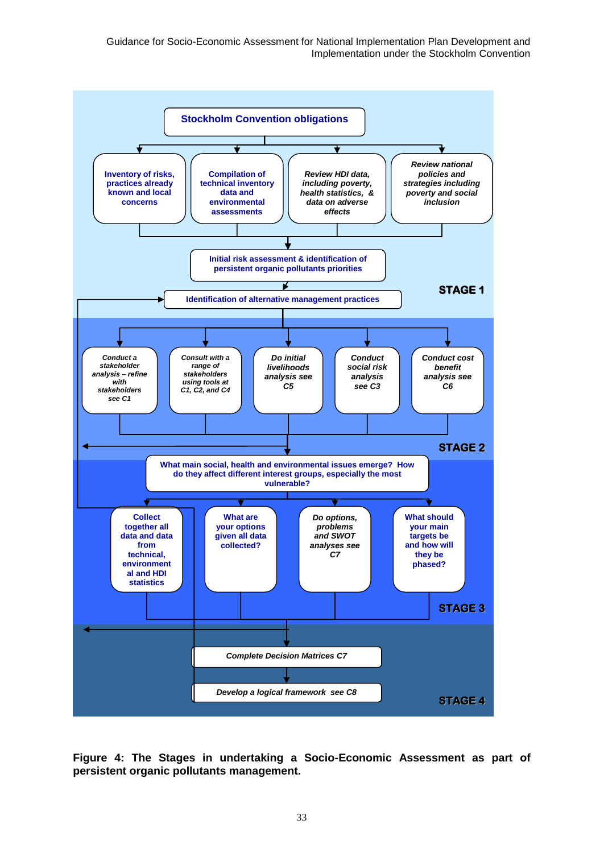Guidance for Socio-Economic Assessment for National Implementation Plan Development and Implementation under the Stockholm Convention



**Figure 4: The Stages in undertaking a Socio-Economic Assessment as part of persistent organic pollutants management.**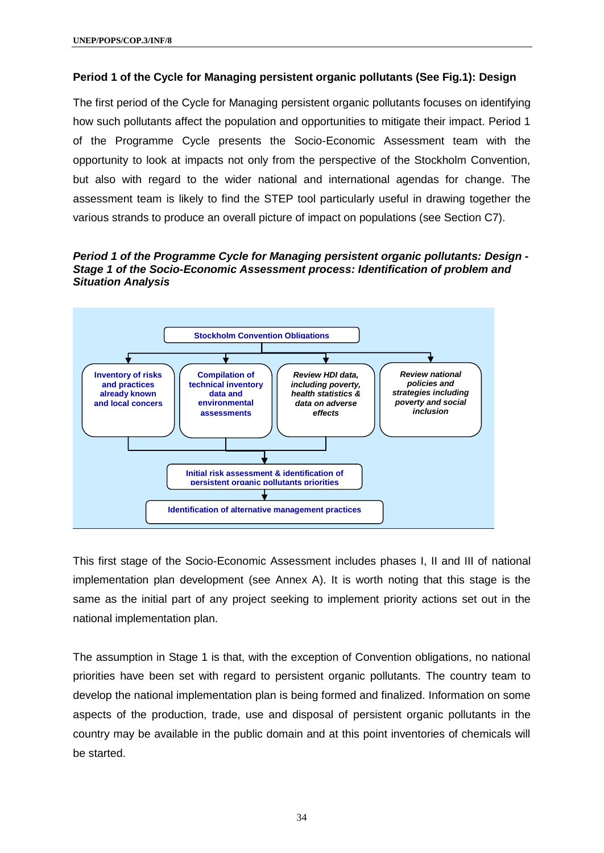#### **Period 1 of the Cycle for Managing persistent organic pollutants (See Fig.1): Design**

The first period of the Cycle for Managing persistent organic pollutants focuses on identifying how such pollutants affect the population and opportunities to mitigate their impact. Period 1 of the Programme Cycle presents the Socio-Economic Assessment team with the opportunity to look at impacts not only from the perspective of the Stockholm Convention, but also with regard to the wider national and international agendas for change. The assessment team is likely to find the STEP tool particularly useful in drawing together the various strands to produce an overall picture of impact on populations (see Section C7).

*Period 1 of the Programme Cycle for Managing persistent organic pollutants: Design - Stage 1 of the Socio-Economic Assessment process: Identification of problem and Situation Analysis*



This first stage of the Socio-Economic Assessment includes phases I, II and III of national implementation plan development (see Annex A). It is worth noting that this stage is the same as the initial part of any project seeking to implement priority actions set out in the national implementation plan.

The assumption in Stage 1 is that, with the exception of Convention obligations, no national priorities have been set with regard to persistent organic pollutants. The country team to develop the national implementation plan is being formed and finalized. Information on some aspects of the production, trade, use and disposal of persistent organic pollutants in the country may be available in the public domain and at this point inventories of chemicals will be started.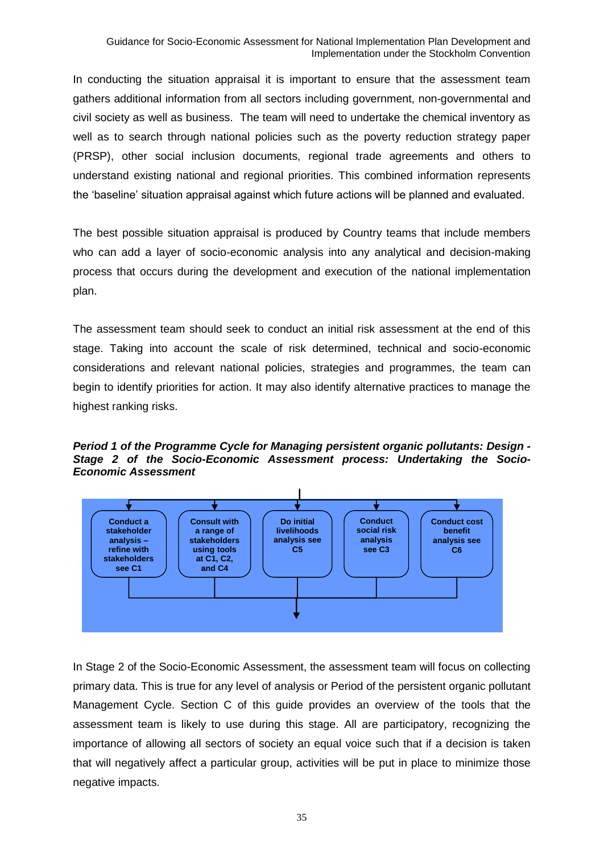In conducting the situation appraisal it is important to ensure that the assessment team gathers additional information from all sectors including government, non-governmental and civil society as well as business. The team will need to undertake the chemical inventory as well as to search through national policies such as the poverty reduction strategy paper (PRSP), other social inclusion documents, regional trade agreements and others to understand existing national and regional priorities. This combined information represents the 'baseline' situation appraisal against which future actions will be planned and evaluated.

The best possible situation appraisal is produced by Country teams that include members who can add a layer of socio-economic analysis into any analytical and decision-making process that occurs during the development and execution of the national implementation plan.

The assessment team should seek to conduct an initial risk assessment at the end of this stage. Taking into account the scale of risk determined, technical and socio-economic considerations and relevant national policies, strategies and programmes, the team can begin to identify priorities for action. It may also identify alternative practices to manage the highest ranking risks.

*Period 1 of the Programme Cycle for Managing persistent organic pollutants: Design - Stage 2 of the Socio-Economic Assessment process: Undertaking the Socio-Economic Assessment* 



In Stage 2 of the Socio-Economic Assessment, the assessment team will focus on collecting primary data. This is true for any level of analysis or Period of the persistent organic pollutant Management Cycle. Section C of this guide provides an overview of the tools that the assessment team is likely to use during this stage. All are participatory, recognizing the importance of allowing all sectors of society an equal voice such that if a decision is taken that will negatively affect a particular group, activities will be put in place to minimize those negative impacts.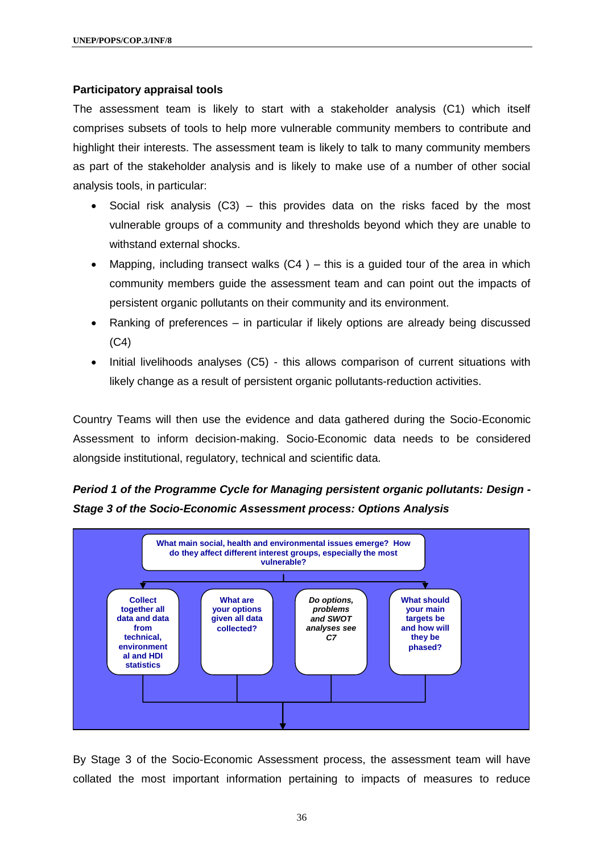#### **Participatory appraisal tools**

The assessment team is likely to start with a stakeholder analysis (C1) which itself comprises subsets of tools to help more vulnerable community members to contribute and highlight their interests. The assessment team is likely to talk to many community members as part of the stakeholder analysis and is likely to make use of a number of other social analysis tools, in particular:

- Social risk analysis  $(C3)$  this provides data on the risks faced by the most vulnerable groups of a community and thresholds beyond which they are unable to withstand external shocks.
- Mapping, including transect walks  $(C4)$  this is a guided tour of the area in which community members guide the assessment team and can point out the impacts of persistent organic pollutants on their community and its environment.
- Ranking of preferences in particular if likely options are already being discussed  $(C4)$
- Initial livelihoods analyses (C5) this allows comparison of current situations with likely change as a result of persistent organic pollutants-reduction activities.

Country Teams will then use the evidence and data gathered during the Socio-Economic Assessment to inform decision-making. Socio-Economic data needs to be considered alongside institutional, regulatory, technical and scientific data.

## *Period 1 of the Programme Cycle for Managing persistent organic pollutants: Design - Stage 3 of the Socio-Economic Assessment process: Options Analysis*



By Stage 3 of the Socio-Economic Assessment process, the assessment team will have collated the most important information pertaining to impacts of measures to reduce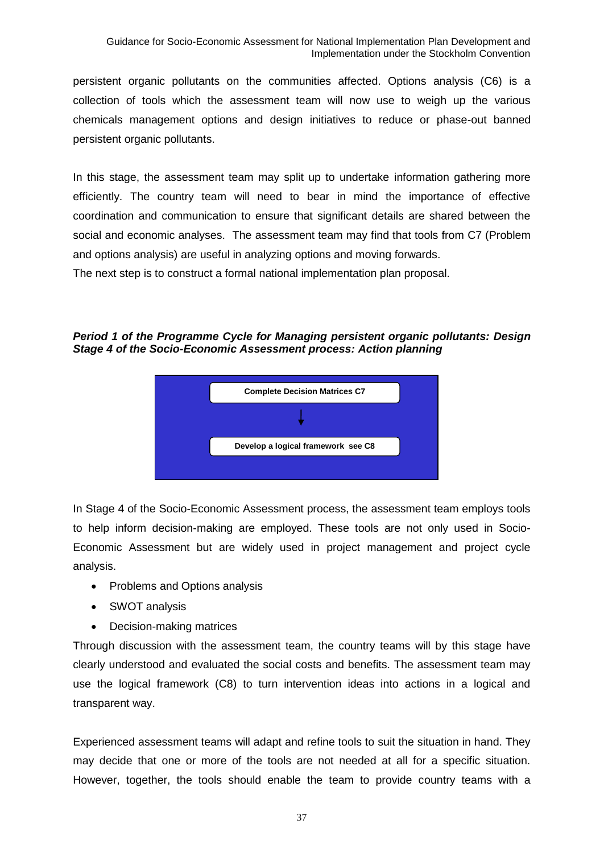persistent organic pollutants on the communities affected. Options analysis (C6) is a collection of tools which the assessment team will now use to weigh up the various chemicals management options and design initiatives to reduce or phase-out banned persistent organic pollutants.

In this stage, the assessment team may split up to undertake information gathering more efficiently. The country team will need to bear in mind the importance of effective coordination and communication to ensure that significant details are shared between the social and economic analyses. The assessment team may find that tools from C7 (Problem and options analysis) are useful in analyzing options and moving forwards.

The next step is to construct a formal national implementation plan proposal.

*Period 1 of the Programme Cycle for Managing persistent organic pollutants: Design Stage 4 of the Socio-Economic Assessment process: Action planning*



In Stage 4 of the Socio-Economic Assessment process, the assessment team employs tools to help inform decision-making are employed. These tools are not only used in Socio-Economic Assessment but are widely used in project management and project cycle analysis.

- Problems and Options analysis
- SWOT analysis
- Decision-making matrices

Through discussion with the assessment team, the country teams will by this stage have clearly understood and evaluated the social costs and benefits. The assessment team may use the logical framework (C8) to turn intervention ideas into actions in a logical and transparent way.

Experienced assessment teams will adapt and refine tools to suit the situation in hand. They may decide that one or more of the tools are not needed at all for a specific situation. However, together, the tools should enable the team to provide country teams with a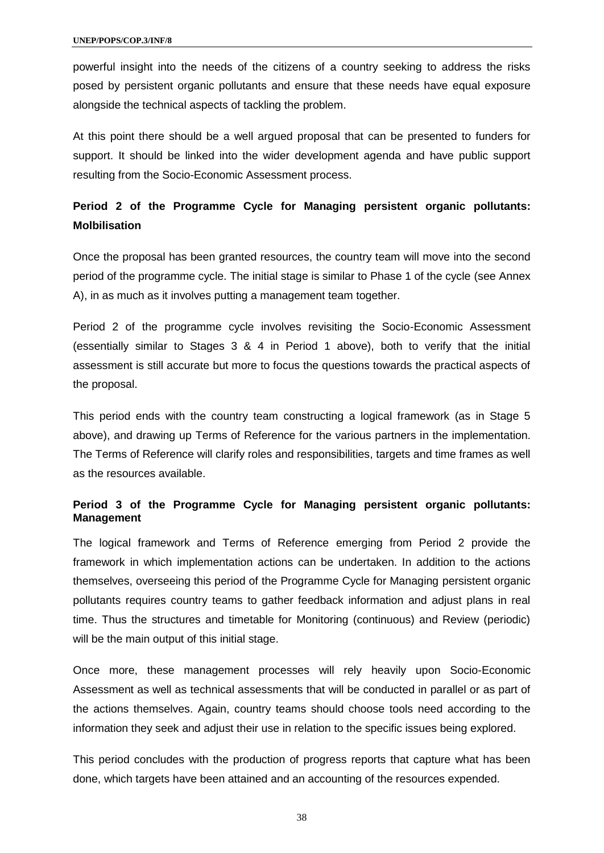powerful insight into the needs of the citizens of a country seeking to address the risks posed by persistent organic pollutants and ensure that these needs have equal exposure alongside the technical aspects of tackling the problem.

At this point there should be a well argued proposal that can be presented to funders for support. It should be linked into the wider development agenda and have public support resulting from the Socio-Economic Assessment process.

### **Period 2 of the Programme Cycle for Managing persistent organic pollutants: Molbilisation**

Once the proposal has been granted resources, the country team will move into the second period of the programme cycle. The initial stage is similar to Phase 1 of the cycle (see Annex A), in as much as it involves putting a management team together.

Period 2 of the programme cycle involves revisiting the Socio-Economic Assessment (essentially similar to Stages 3 & 4 in Period 1 above), both to verify that the initial assessment is still accurate but more to focus the questions towards the practical aspects of the proposal.

This period ends with the country team constructing a logical framework (as in Stage 5 above), and drawing up Terms of Reference for the various partners in the implementation. The Terms of Reference will clarify roles and responsibilities, targets and time frames as well as the resources available.

### **Period 3 of the Programme Cycle for Managing persistent organic pollutants: Management**

The logical framework and Terms of Reference emerging from Period 2 provide the framework in which implementation actions can be undertaken. In addition to the actions themselves, overseeing this period of the Programme Cycle for Managing persistent organic pollutants requires country teams to gather feedback information and adjust plans in real time. Thus the structures and timetable for Monitoring (continuous) and Review (periodic) will be the main output of this initial stage.

Once more, these management processes will rely heavily upon Socio-Economic Assessment as well as technical assessments that will be conducted in parallel or as part of the actions themselves. Again, country teams should choose tools need according to the information they seek and adjust their use in relation to the specific issues being explored.

This period concludes with the production of progress reports that capture what has been done, which targets have been attained and an accounting of the resources expended.

38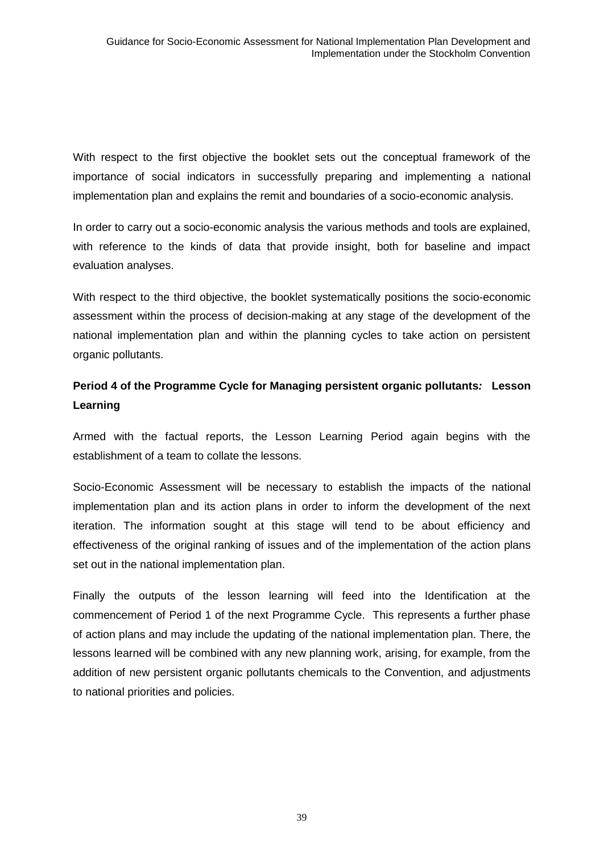With respect to the first objective the booklet sets out the conceptual framework of the importance of social indicators in successfully preparing and implementing a national implementation plan and explains the remit and boundaries of a socio-economic analysis.

In order to carry out a socio-economic analysis the various methods and tools are explained, with reference to the kinds of data that provide insight, both for baseline and impact evaluation analyses.

With respect to the third objective, the booklet systematically positions the socio-economic assessment within the process of decision-making at any stage of the development of the national implementation plan and within the planning cycles to take action on persistent organic pollutants.

### **Period 4 of the Programme Cycle for Managing persistent organic pollutants***:* **Lesson Learning**

Armed with the factual reports, the Lesson Learning Period again begins with the establishment of a team to collate the lessons.

Socio-Economic Assessment will be necessary to establish the impacts of the national implementation plan and its action plans in order to inform the development of the next iteration. The information sought at this stage will tend to be about efficiency and effectiveness of the original ranking of issues and of the implementation of the action plans set out in the national implementation plan.

Finally the outputs of the lesson learning will feed into the Identification at the commencement of Period 1 of the next Programme Cycle. This represents a further phase of action plans and may include the updating of the national implementation plan. There, the lessons learned will be combined with any new planning work, arising, for example, from the addition of new persistent organic pollutants chemicals to the Convention, and adjustments to national priorities and policies.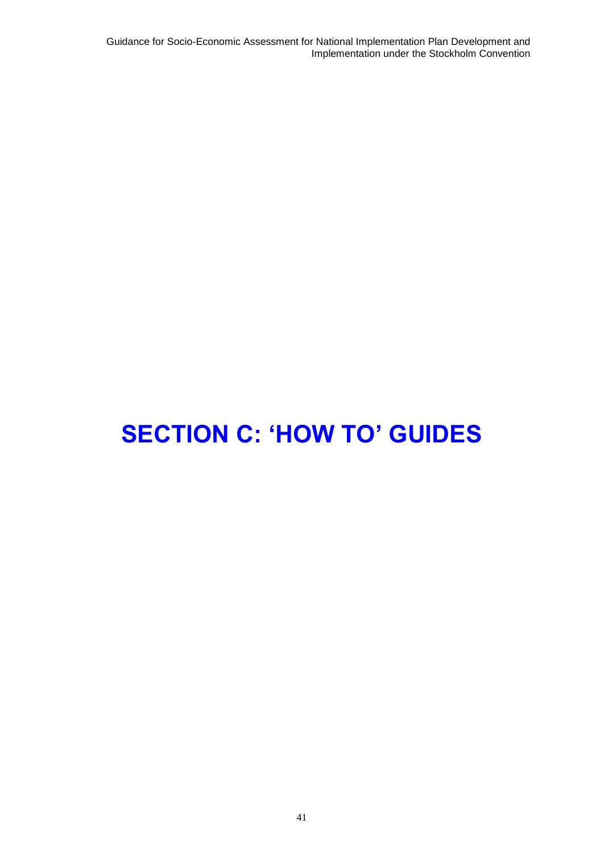Guidance for Socio-Economic Assessment for National Implementation Plan Development and Implementation under the Stockholm Convention

# **SECTION C: 'HOW TO' GUIDES**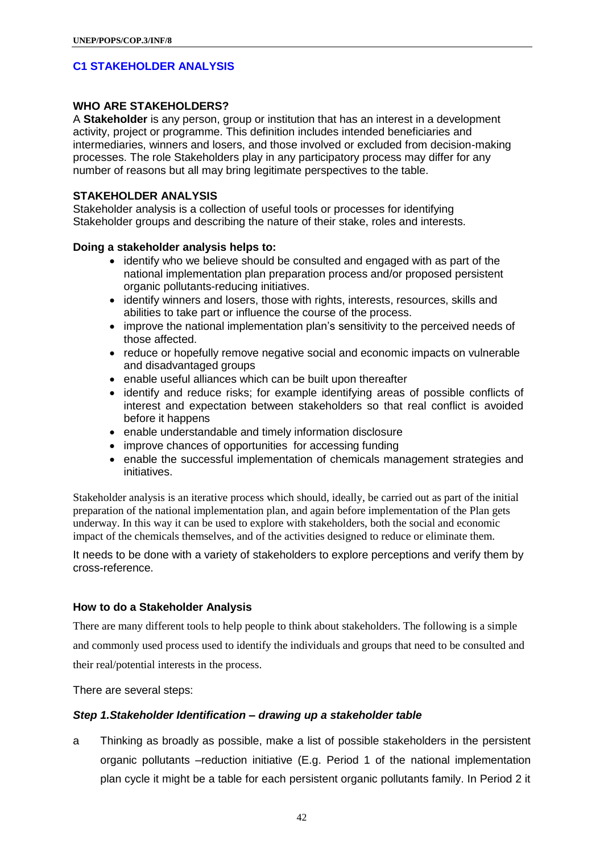### **C1 STAKEHOLDER ANALYSIS**

### **WHO ARE STAKEHOLDERS?**

A **Stakeholder** is any person, group or institution that has an interest in a development activity, project or programme. This definition includes intended beneficiaries and intermediaries, winners and losers, and those involved or excluded from decision-making processes. The role Stakeholders play in any participatory process may differ for any number of reasons but all may bring legitimate perspectives to the table.

### **STAKEHOLDER ANALYSIS**

Stakeholder analysis is a collection of useful tools or processes for identifying Stakeholder groups and describing the nature of their stake, roles and interests.

#### **Doing a stakeholder analysis helps to:**

- identify who we believe should be consulted and engaged with as part of the national implementation plan preparation process and/or proposed persistent organic pollutants-reducing initiatives.
- identify winners and losers, those with rights, interests, resources, skills and abilities to take part or influence the course of the process.
- improve the national implementation plan's sensitivity to the perceived needs of those affected.
- reduce or hopefully remove negative social and economic impacts on vulnerable and disadvantaged groups
- enable useful alliances which can be built upon thereafter
- identify and reduce risks; for example identifying areas of possible conflicts of interest and expectation between stakeholders so that real conflict is avoided before it happens
- enable understandable and timely information disclosure
- improve chances of opportunities for accessing funding
- enable the successful implementation of chemicals management strategies and initiatives.

Stakeholder analysis is an iterative process which should, ideally, be carried out as part of the initial preparation of the national implementation plan, and again before implementation of the Plan gets underway. In this way it can be used to explore with stakeholders, both the social and economic impact of the chemicals themselves, and of the activities designed to reduce or eliminate them.

It needs to be done with a variety of stakeholders to explore perceptions and verify them by cross-reference.

### **How to do a Stakeholder Analysis**

There are many different tools to help people to think about stakeholders. The following is a simple and commonly used process used to identify the individuals and groups that need to be consulted and their real/potential interests in the process.

There are several steps:

#### *Step 1.Stakeholder Identification – drawing up a stakeholder table*

a Thinking as broadly as possible, make a list of possible stakeholders in the persistent organic pollutants –reduction initiative (E.g. Period 1 of the national implementation plan cycle it might be a table for each persistent organic pollutants family. In Period 2 it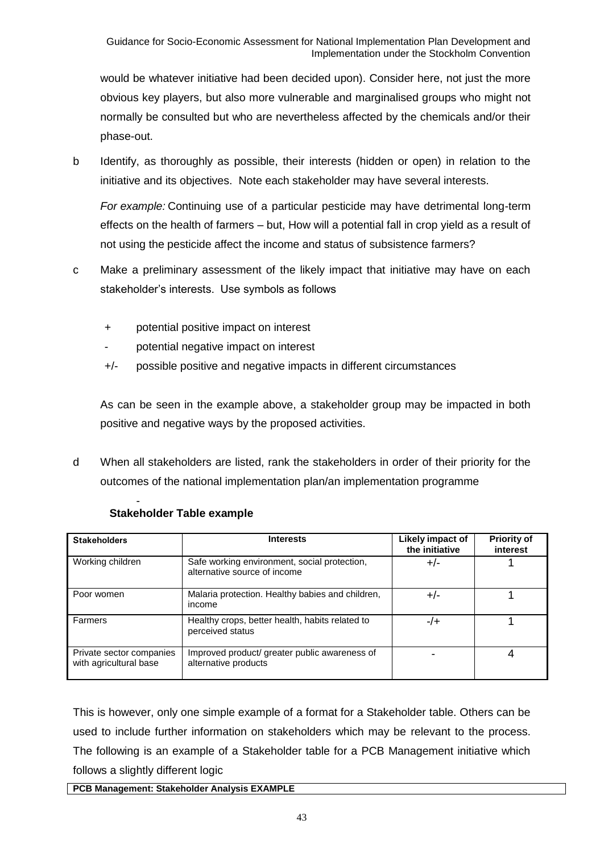would be whatever initiative had been decided upon). Consider here, not just the more obvious key players, but also more vulnerable and marginalised groups who might not normally be consulted but who are nevertheless affected by the chemicals and/or their phase-out.

b Identify, as thoroughly as possible, their interests (hidden or open) in relation to the initiative and its objectives. Note each stakeholder may have several interests.

*For example:* Continuing use of a particular pesticide may have detrimental long-term effects on the health of farmers – but, How will a potential fall in crop yield as a result of not using the pesticide affect the income and status of subsistence farmers?

- c Make a preliminary assessment of the likely impact that initiative may have on each stakeholder's interests. Use symbols as follows
	- + potential positive impact on interest
	- potential negative impact on interest
	- +/- possible positive and negative impacts in different circumstances

As can be seen in the example above, a stakeholder group may be impacted in both positive and negative ways by the proposed activities.

d When all stakeholders are listed, rank the stakeholders in order of their priority for the outcomes of the national implementation plan/an implementation programme

| <b>Stakeholders</b>                                | <b>Interests</b>                                                             | Likely impact of<br>the initiative | <b>Priority of</b><br>interest |
|----------------------------------------------------|------------------------------------------------------------------------------|------------------------------------|--------------------------------|
| Working children                                   | Safe working environment, social protection,<br>alternative source of income | $+/-$                              |                                |
| Poor women                                         | Malaria protection. Healthy babies and children,<br>income                   | +/-                                |                                |
| Farmers                                            | Healthy crops, better health, habits related to<br>perceived status          | -/+                                |                                |
| Private sector companies<br>with agricultural base | Improved product/ greater public awareness of<br>alternative products        |                                    |                                |

#### - **Stakeholder Table example**

This is however, only one simple example of a format for a Stakeholder table. Others can be used to include further information on stakeholders which may be relevant to the process. The following is an example of a Stakeholder table for a PCB Management initiative which follows a slightly different logic

### **PCB Management: Stakeholder Analysis EXAMPLE**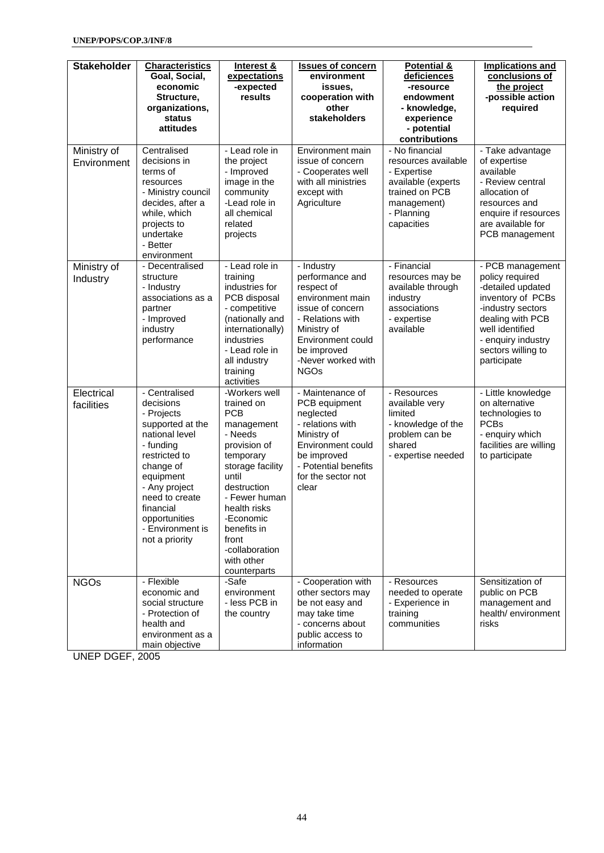| <b>Stakeholder</b>         | <b>Characteristics</b><br>Goal, Social,<br>economic<br>Structure,<br>organizations,<br>status<br>attitudes                                                                                                                                    | Interest &<br>expectations<br>-expected<br>results                                                                                                                                                                                                                | <b>Issues of concern</b><br>environment<br>issues,<br>cooperation with<br>other<br>stakeholders                                                                                                 | <b>Potential &amp;</b><br>deficiences<br>-resource<br>endowment<br>- knowledge,<br>experience<br>- potential<br>contributions           | <b>Implications and</b><br>conclusions of<br>the project<br>-possible action<br>required                                                                                                             |
|----------------------------|-----------------------------------------------------------------------------------------------------------------------------------------------------------------------------------------------------------------------------------------------|-------------------------------------------------------------------------------------------------------------------------------------------------------------------------------------------------------------------------------------------------------------------|-------------------------------------------------------------------------------------------------------------------------------------------------------------------------------------------------|-----------------------------------------------------------------------------------------------------------------------------------------|------------------------------------------------------------------------------------------------------------------------------------------------------------------------------------------------------|
| Ministry of<br>Environment | Centralised<br>decisions in<br>terms of<br>resources<br>- Ministry council<br>decides, after a<br>while, which<br>projects to<br>undertake<br>- Better<br>environment                                                                         | - Lead role in<br>the project<br>- Improved<br>image in the<br>community<br>-Lead role in<br>all chemical<br>related<br>projects                                                                                                                                  | Environment main<br>issue of concern<br>- Cooperates well<br>with all ministries<br>except with<br>Agriculture                                                                                  | - No financial<br>resources available<br>- Expertise<br>available (experts<br>trained on PCB<br>management)<br>- Planning<br>capacities | - Take advantage<br>of expertise<br>available<br>- Review central<br>allocation of<br>resources and<br>enquire if resources<br>are available for<br>PCB management                                   |
| Ministry of<br>Industry    | - Decentralised<br>structure<br>- Industry<br>associations as a<br>partner<br>- Improved<br>industry<br>performance                                                                                                                           | - Lead role in<br>training<br>industries for<br>PCB disposal<br>- competitive<br>(nationally and<br>internationally)<br>industries<br>- Lead role in<br>all industry<br>training<br>activities                                                                    | - Industry<br>performance and<br>respect of<br>environment main<br>issue of concern<br>- Relations with<br>Ministry of<br>Environment could<br>be improved<br>-Never worked with<br><b>NGOs</b> | - Financial<br>resources may be<br>available through<br>industry<br>associations<br>- expertise<br>available                            | - PCB management<br>policy required<br>-detailed updated<br>inventory of PCBs<br>-industry sectors<br>dealing with PCB<br>well identified<br>- enquiry industry<br>sectors willing to<br>participate |
| Electrical<br>facilities   | - Centralised<br>decisions<br>- Projects<br>supported at the<br>national level<br>- funding<br>restricted to<br>change of<br>equipment<br>- Any project<br>need to create<br>financial<br>opportunities<br>- Environment is<br>not a priority | -Workers well<br>trained on<br><b>PCB</b><br>management<br>- Needs<br>provision of<br>temporary<br>storage facility<br>until<br>destruction<br>- Fewer human<br>health risks<br>-Economic<br>benefits in<br>front<br>-collaboration<br>with other<br>counterparts | - Maintenance of<br>PCB equipment<br>neglected<br>- relations with<br>Ministry of<br>Environment could<br>be improved<br>- Potential benefits<br>for the sector not<br>clear                    | - Resources<br>available very<br>limited<br>- knowledge of the<br>problem can be<br>shared<br>- expertise needed                        | - Little knowledge<br>on alternative<br>technologies to<br><b>PCBs</b><br>- enquiry which<br>facilities are willing<br>to participate                                                                |
| <b>NGOs</b>                | - Flexible<br>economic and<br>social structure<br>- Protection of<br>health and<br>environment as a<br>main objective                                                                                                                         | -Safe<br>environment<br>- less PCB in<br>the country                                                                                                                                                                                                              | - Cooperation with<br>other sectors may<br>be not easy and<br>may take time<br>- concerns about<br>public access to<br>information                                                              | - Resources<br>needed to operate<br>- Experience in<br>training<br>communities                                                          | Sensitization of<br>public on PCB<br>management and<br>health/ environment<br>risks                                                                                                                  |

UNEP DGEF, 2005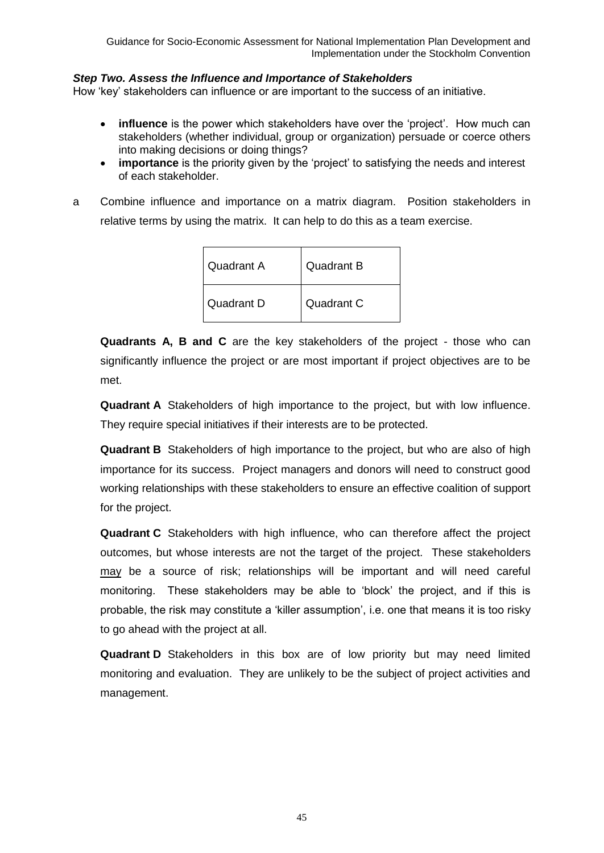### *Step Two. Assess the Influence and Importance of Stakeholders*

How 'key' stakeholders can influence or are important to the success of an initiative.

- **influence** is the power which stakeholders have over the 'project'. How much can stakeholders (whether individual, group or organization) persuade or coerce others into making decisions or doing things?
- **importance** is the priority given by the 'project' to satisfying the needs and interest of each stakeholder.
- a Combine influence and importance on a matrix diagram. Position stakeholders in relative terms by using the matrix. It can help to do this as a team exercise.

| <b>Quadrant A</b> | <b>Quadrant B</b> |
|-------------------|-------------------|
| <b>Quadrant D</b> | Quadrant C        |

**Quadrants A, B and C** are the key stakeholders of the project - those who can significantly influence the project or are most important if project objectives are to be met.

**Quadrant A** Stakeholders of high importance to the project, but with low influence. They require special initiatives if their interests are to be protected.

**Quadrant B** Stakeholders of high importance to the project, but who are also of high importance for its success. Project managers and donors will need to construct good working relationships with these stakeholders to ensure an effective coalition of support for the project.

**Quadrant C** Stakeholders with high influence, who can therefore affect the project outcomes, but whose interests are not the target of the project. These stakeholders may be a source of risk; relationships will be important and will need careful monitoring. These stakeholders may be able to 'block' the project, and if this is probable, the risk may constitute a 'killer assumption', i.e. one that means it is too risky to go ahead with the project at all.

**Quadrant D** Stakeholders in this box are of low priority but may need limited monitoring and evaluation. They are unlikely to be the subject of project activities and management.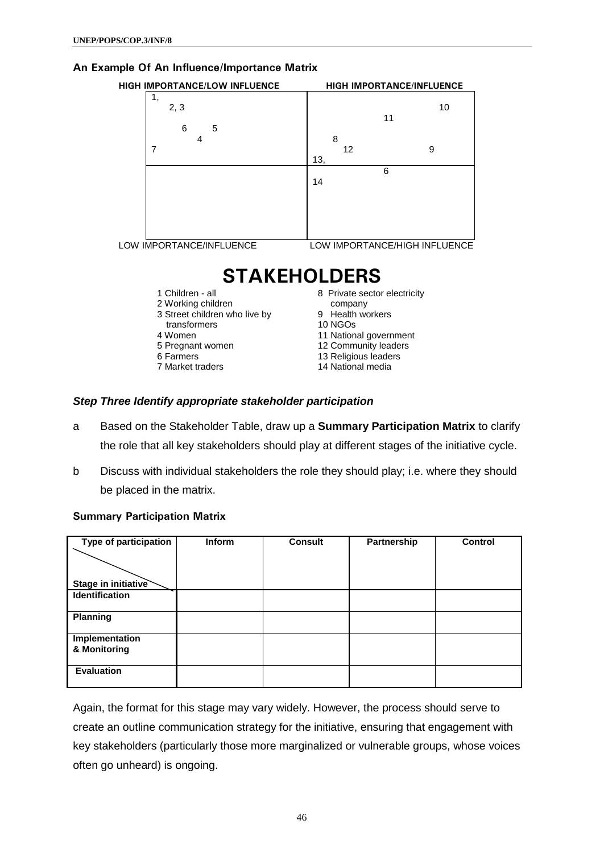### **An Example Of An Influence/Importance Matrix**

| <b>HIGH IMPORTANCE/LOW INFLUENCE</b> | <b>HIGH IMPORTANCE/INFLUENCE</b> |
|--------------------------------------|----------------------------------|
| 1,<br>2, 3                           | 10<br>11                         |
| 6<br>5<br>4                          | 8                                |
|                                      | 9<br>12<br>13,                   |
|                                      | 6<br>14                          |
|                                      |                                  |
|                                      |                                  |
| LOW IMPORTANCE/INFLUENCE             | LOW IMPORTANCE/HIGH INFLUENCE    |

**STAKEHOLDERS**

- 1 Children all
- 2 Working children
- 3 Street children who live by
- transformers
- 4 Women
- 5 Pregnant women
- 6 Farmers
- 7 Market traders

8 Private sector electricity

- company
- 9 Health workers
- 10 NGOs
- 11 National government
- 12 Community leaders
- 13 Religious leaders
- 14 National media

### *Step Three Identify appropriate stakeholder participation*

- a Based on the Stakeholder Table, draw up a **Summary Participation Matrix** to clarify the role that all key stakeholders should play at different stages of the initiative cycle.
- b Discuss with individual stakeholders the role they should play; i.e. where they should be placed in the matrix.

### **Summary Participation Matrix**

| Type of participation          | <b>Inform</b> | <b>Consult</b> | Partnership | Control |
|--------------------------------|---------------|----------------|-------------|---------|
| Stage in initiative            |               |                |             |         |
| <b>Identification</b>          |               |                |             |         |
| Planning                       |               |                |             |         |
| Implementation<br>& Monitoring |               |                |             |         |
| <b>Evaluation</b>              |               |                |             |         |

Again, the format for this stage may vary widely. However, the process should serve to create an outline communication strategy for the initiative, ensuring that engagement with key stakeholders (particularly those more marginalized or vulnerable groups, whose voices often go unheard) is ongoing.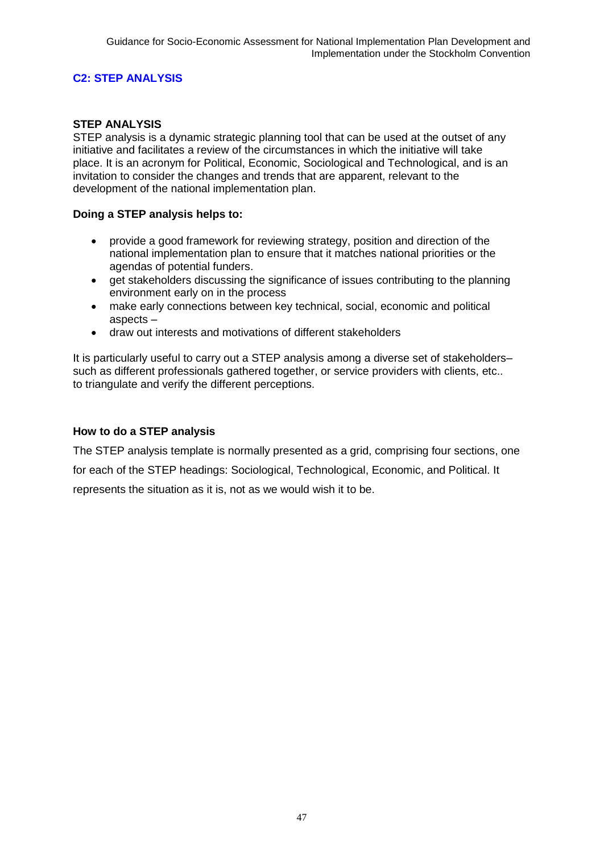### **C2: STEP ANALYSIS**

### **STEP ANALYSIS**

STEP analysis is a dynamic strategic planning tool that can be used at the outset of any initiative and facilitates a review of the circumstances in which the initiative will take place. It is an acronym for Political, Economic, Sociological and Technological, and is an invitation to consider the changes and trends that are apparent, relevant to the development of the national implementation plan.

### **Doing a STEP analysis helps to:**

- provide a good framework for reviewing strategy, position and direction of the national implementation plan to ensure that it matches national priorities or the agendas of potential funders.
- get stakeholders discussing the significance of issues contributing to the planning environment early on in the process
- make early connections between key technical, social, economic and political aspects –
- draw out interests and motivations of different stakeholders

It is particularly useful to carry out a STEP analysis among a diverse set of stakeholders– such as different professionals gathered together, or service providers with clients, etc.. to triangulate and verify the different perceptions.

### **How to do a STEP analysis**

The STEP analysis template is normally presented as a grid, comprising four sections, one for each of the STEP headings: Sociological, Technological, Economic, and Political. It represents the situation as it is, not as we would wish it to be.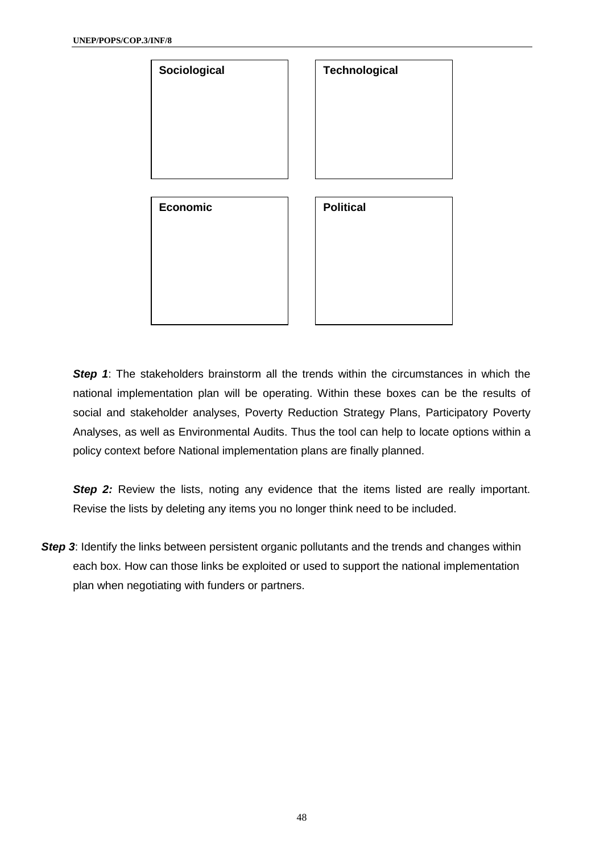

**Step 1:** The stakeholders brainstorm all the trends within the circumstances in which the national implementation plan will be operating. Within these boxes can be the results of social and stakeholder analyses, Poverty Reduction Strategy Plans, Participatory Poverty Analyses, as well as Environmental Audits. Thus the tool can help to locate options within a policy context before National implementation plans are finally planned.

**Step 2:** Review the lists, noting any evidence that the items listed are really important. Revise the lists by deleting any items you no longer think need to be included.

**Step 3:** Identify the links between persistent organic pollutants and the trends and changes within each box. How can those links be exploited or used to support the national implementation plan when negotiating with funders or partners.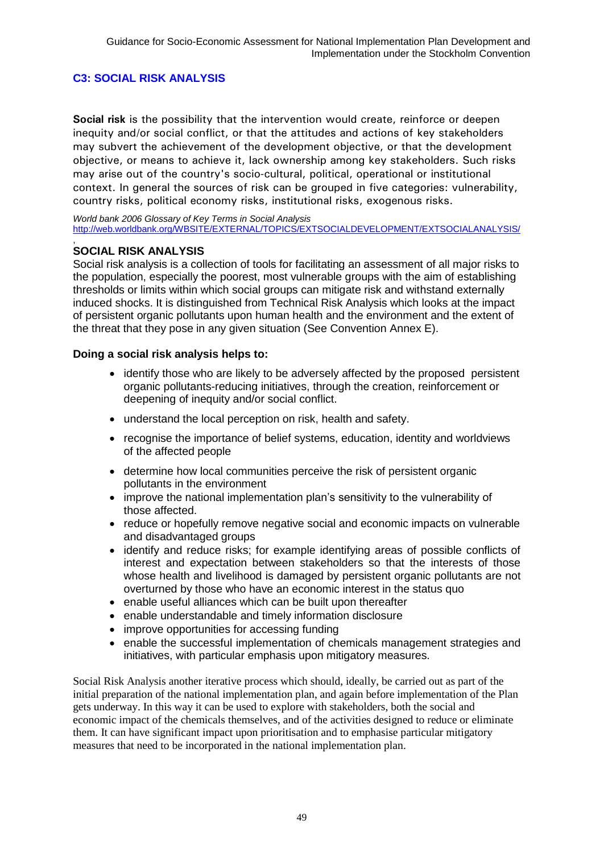### **C3: SOCIAL RISK ANALYSIS**

**Social risk** is the possibility that the intervention would create, reinforce or deepen inequity and/or social conflict, or that the attitudes and actions of key stakeholders may subvert the achievement of the development objective, or that the development objective, or means to achieve it, lack ownership among key stakeholders. Such risks may arise out of the country's socio-cultural, political, operational or institutional context. In general the sources of risk can be grouped in five categories: vulnerability, country risks, political economy risks, institutional risks, exogenous risks.

*World bank 2006 Glossary of Key Terms in Social Analysis* [http://web.worldbank.org/WBSITE/EXTERNAL/TOPICS/EXTSOCIALDEVELOPMENT/EXTSOCIALANALYSIS/](http://web.worldbank.org/WBSITE/EXTERNAL/TOPICS/EXTSOCIALDEVELOPMENT/EXTSOCIALANALYSIS/0)

#### , **SOCIAL RISK ANALYSIS**

Social risk analysis is a collection of tools for facilitating an assessment of all major risks to the population, especially the poorest, most vulnerable groups with the aim of establishing thresholds or limits within which social groups can mitigate risk and withstand externally induced shocks. It is distinguished from Technical Risk Analysis which looks at the impact of persistent organic pollutants upon human health and the environment and the extent of the threat that they pose in any given situation (See Convention Annex E).

#### **Doing a social risk analysis helps to:**

- identify those who are likely to be adversely affected by the proposed persistent organic pollutants-reducing initiatives, through the creation, reinforcement or deepening of inequity and/or social conflict.
- understand the local perception on risk, health and safety.
- recognise the importance of belief systems, education, identity and worldviews of the affected people
- determine how local communities perceive the risk of persistent organic pollutants in the environment
- improve the national implementation plan's sensitivity to the vulnerability of those affected.
- reduce or hopefully remove negative social and economic impacts on vulnerable and disadvantaged groups
- identify and reduce risks; for example identifying areas of possible conflicts of interest and expectation between stakeholders so that the interests of those whose health and livelihood is damaged by persistent organic pollutants are not overturned by those who have an economic interest in the status quo
- enable useful alliances which can be built upon thereafter
- enable understandable and timely information disclosure
- improve opportunities for accessing funding
- enable the successful implementation of chemicals management strategies and initiatives, with particular emphasis upon mitigatory measures.

Social Risk Analysis another iterative process which should, ideally, be carried out as part of the initial preparation of the national implementation plan, and again before implementation of the Plan gets underway. In this way it can be used to explore with stakeholders, both the social and economic impact of the chemicals themselves, and of the activities designed to reduce or eliminate them. It can have significant impact upon prioritisation and to emphasise particular mitigatory measures that need to be incorporated in the national implementation plan.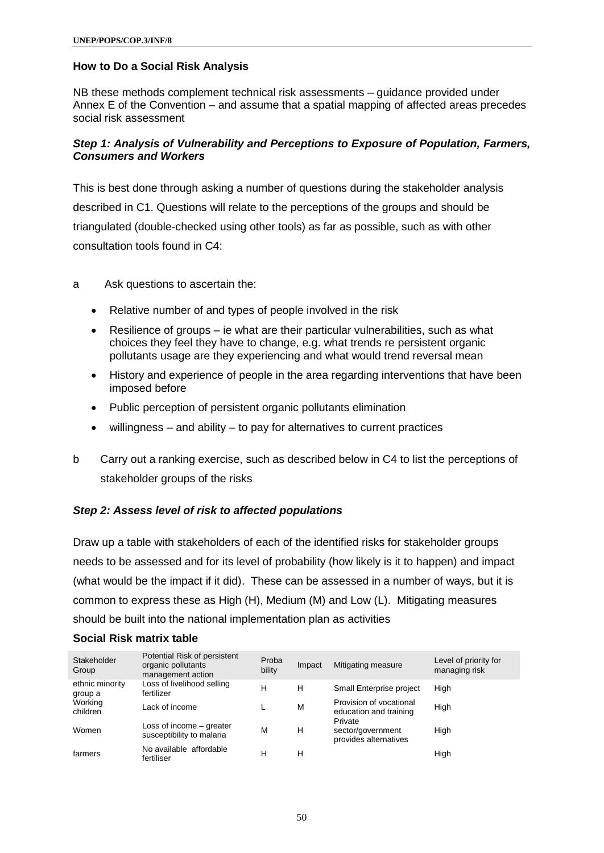### **How to Do a Social Risk Analysis**

NB these methods complement technical risk assessments – guidance provided under Annex E of the Convention – and assume that a spatial mapping of affected areas precedes social risk assessment

### *Step 1: Analysis of Vulnerability and Perceptions to Exposure of Population, Farmers, Consumers and Workers*

This is best done through asking a number of questions during the stakeholder analysis described in C1. Questions will relate to the perceptions of the groups and should be triangulated (double-checked using other tools) as far as possible, such as with other consultation tools found in C4:

- a Ask questions to ascertain the:
	- Relative number of and types of people involved in the risk
	- Resilience of groups ie what are their particular vulnerabilities, such as what choices they feel they have to change, e.g. what trends re persistent organic pollutants usage are they experiencing and what would trend reversal mean
	- History and experience of people in the area regarding interventions that have been imposed before
	- Public perception of persistent organic pollutants elimination
	- willingness and ability to pay for alternatives to current practices
- b Carry out a ranking exercise, such as described below in C4 to list the perceptions of stakeholder groups of the risks

### *Step 2: Assess level of risk to affected populations*

Draw up a table with stakeholders of each of the identified risks for stakeholder groups needs to be assessed and for its level of probability (how likely is it to happen) and impact (what would be the impact if it did). These can be assessed in a number of ways, but it is common to express these as High (H), Medium (M) and Low (L). Mitigating measures should be built into the national implementation plan as activities

#### Stakeholder Group Potential Risk of persistent organic pollutants management action Proba Proba Impact Mitigating measure Level of priority for<br>bility managing risk managing risk ethnic minority group a Loss of livelihood selling<br>fertilizer H H Small Enterprise project High **Working** violning Lack of income L M<br>children Provision of vocational Provision of vocational High Women Loss of income – greater Loss of filcome – greater M H<br>susceptibility to malaria Private sector/government provides alternatives High farmers No available affordable<br>fertiliser reduction and a set of the H H High<br>fertiliser H H H

### **Social Risk matrix table**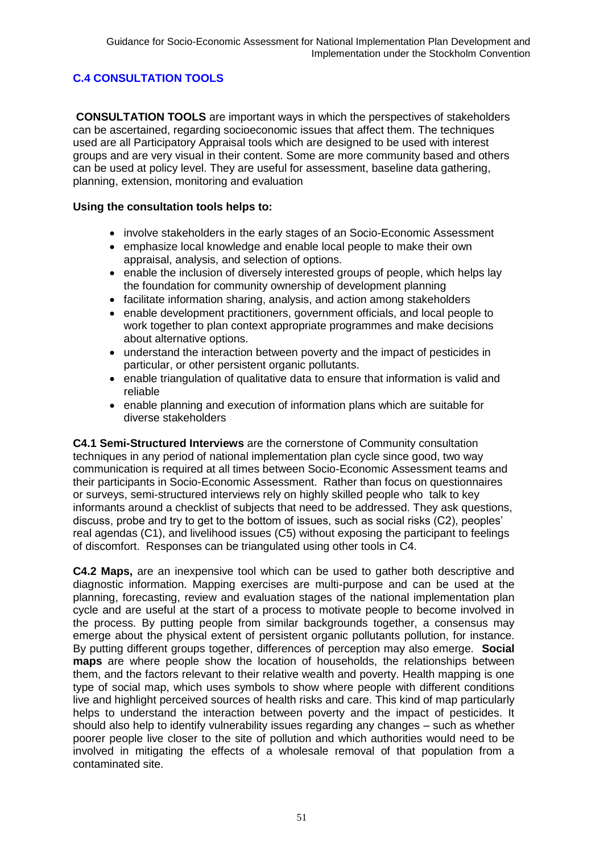### **C.4 CONSULTATION TOOLS**

**CONSULTATION TOOLS** are important ways in which the perspectives of stakeholders can be ascertained, regarding socioeconomic issues that affect them. The techniques used are all Participatory Appraisal tools which are designed to be used with interest groups and are very visual in their content. Some are more community based and others can be used at policy level. They are useful for assessment, baseline data gathering, planning, extension, monitoring and evaluation

### **Using the consultation tools helps to:**

- involve stakeholders in the early stages of an Socio-Economic Assessment
- emphasize local knowledge and enable local people to make their own appraisal, analysis, and selection of options.
- enable the inclusion of diversely interested groups of people, which helps lay the foundation for community ownership of development planning
- facilitate information sharing, analysis, and action among stakeholders
- enable development practitioners, government officials, and local people to work together to plan context appropriate programmes and make decisions about alternative options.
- understand the interaction between poverty and the impact of pesticides in particular, or other persistent organic pollutants.
- enable triangulation of qualitative data to ensure that information is valid and reliable
- enable planning and execution of information plans which are suitable for diverse stakeholders

**C4.1 Semi-Structured Interviews** are the cornerstone of Community consultation techniques in any period of national implementation plan cycle since good, two way communication is required at all times between Socio-Economic Assessment teams and their participants in Socio-Economic Assessment. Rather than focus on questionnaires or surveys, semi-structured interviews rely on highly skilled people who talk to key informants around a checklist of subjects that need to be addressed. They ask questions, discuss, probe and try to get to the bottom of issues, such as social risks (C2), peoples' real agendas (C1), and livelihood issues (C5) without exposing the participant to feelings of discomfort. Responses can be triangulated using other tools in C4.

**C4.2 Maps,** are an inexpensive tool which can be used to gather both descriptive and diagnostic information. Mapping exercises are multi-purpose and can be used at the planning, forecasting, review and evaluation stages of the national implementation plan cycle and are useful at the start of a process to motivate people to become involved in the process. By putting people from similar backgrounds together, a consensus may emerge about the physical extent of persistent organic pollutants pollution, for instance. By putting different groups together, differences of perception may also emerge. **Social maps** are where people show the location of households, the relationships between them, and the factors relevant to their relative wealth and poverty. Health mapping is one type of social map, which uses symbols to show where people with different conditions live and highlight perceived sources of health risks and care. This kind of map particularly helps to understand the interaction between poverty and the impact of pesticides. It should also help to identify vulnerability issues regarding any changes – such as whether poorer people live closer to the site of pollution and which authorities would need to be involved in mitigating the effects of a wholesale removal of that population from a contaminated site.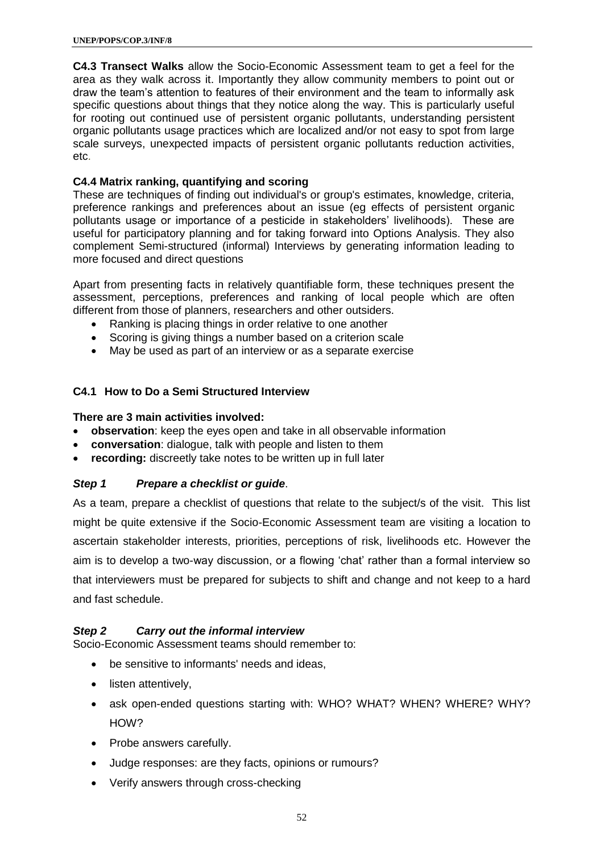**C4.3 Transect Walks** allow the Socio-Economic Assessment team to get a feel for the area as they walk across it. Importantly they allow community members to point out or draw the team's attention to features of their environment and the team to informally ask specific questions about things that they notice along the way. This is particularly useful for rooting out continued use of persistent organic pollutants, understanding persistent organic pollutants usage practices which are localized and/or not easy to spot from large scale surveys, unexpected impacts of persistent organic pollutants reduction activities, etc.

### **C4.4 Matrix ranking, quantifying and scoring**

These are techniques of finding out individual's or group's estimates, knowledge, criteria, preference rankings and preferences about an issue (eg effects of persistent organic pollutants usage or importance of a pesticide in stakeholders' livelihoods). These are useful for participatory planning and for taking forward into Options Analysis. They also complement Semi-structured (informal) Interviews by generating information leading to more focused and direct questions

Apart from presenting facts in relatively quantifiable form, these techniques present the assessment, perceptions, preferences and ranking of local people which are often different from those of planners, researchers and other outsiders.

- Ranking is placing things in order relative to one another
- Scoring is giving things a number based on a criterion scale
- May be used as part of an interview or as a separate exercise

#### **C4.1 How to Do a Semi Structured Interview**

#### **There are 3 main activities involved:**

- **observation**: keep the eyes open and take in all observable information
- **conversation**: dialogue, talk with people and listen to them
- **recording:** discreetly take notes to be written up in full later

### *Step 1 Prepare a checklist or guide*.

As a team, prepare a checklist of questions that relate to the subject/s of the visit. This list might be quite extensive if the Socio-Economic Assessment team are visiting a location to ascertain stakeholder interests, priorities, perceptions of risk, livelihoods etc. However the aim is to develop a two-way discussion, or a flowing 'chat' rather than a formal interview so that interviewers must be prepared for subjects to shift and change and not keep to a hard and fast schedule.

### *Step 2 Carry out the informal interview*

Socio-Economic Assessment teams should remember to:

- be sensitive to informants' needs and ideas,
- listen attentively,
- ask open-ended questions starting with: WHO? WHAT? WHEN? WHERE? WHY? HOW?
- Probe answers carefully.
- Judge responses: are they facts, opinions or rumours?
- Verify answers through cross-checking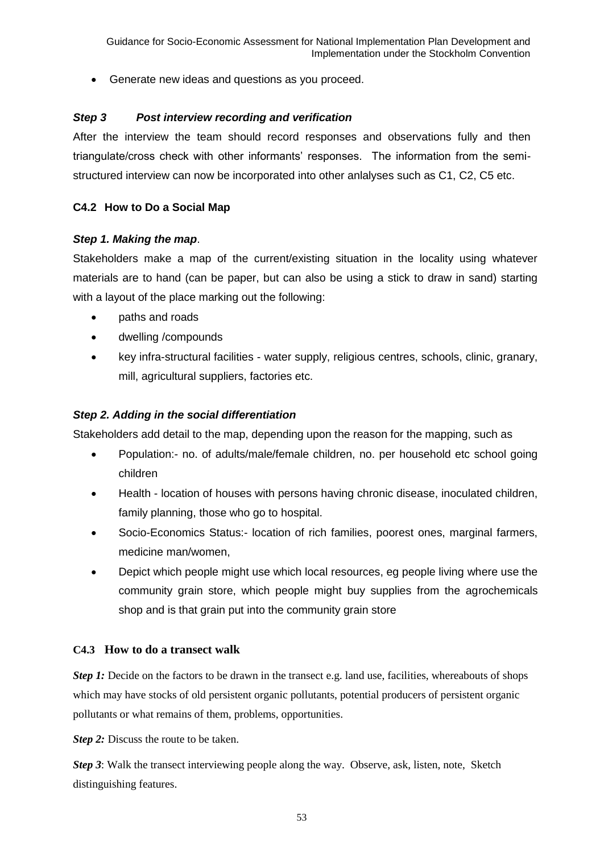Generate new ideas and questions as you proceed.

### *Step 3 Post interview recording and verification*

After the interview the team should record responses and observations fully and then triangulate/cross check with other informants' responses. The information from the semistructured interview can now be incorporated into other anlalyses such as C1, C2, C5 etc.

### **C4.2 How to Do a Social Map**

### *Step 1. Making the map*.

Stakeholders make a map of the current/existing situation in the locality using whatever materials are to hand (can be paper, but can also be using a stick to draw in sand) starting with a layout of the place marking out the following:

- paths and roads
- dwelling /compounds
- key infra-structural facilities water supply, religious centres, schools, clinic, granary, mill, agricultural suppliers, factories etc.

### *Step 2. Adding in the social differentiation*

Stakeholders add detail to the map, depending upon the reason for the mapping, such as

- Population:- no. of adults/male/female children, no. per household etc school going children
- Health location of houses with persons having chronic disease, inoculated children, family planning, those who go to hospital.
- Socio-Economics Status:- location of rich families, poorest ones, marginal farmers, medicine man/women,
- Depict which people might use which local resources, eg people living where use the community grain store, which people might buy supplies from the agrochemicals shop and is that grain put into the community grain store

### **C4.3 How to do a transect walk**

*Step 1:* Decide on the factors to be drawn in the transect e.g. land use, facilities, whereabouts of shops which may have stocks of old persistent organic pollutants, potential producers of persistent organic pollutants or what remains of them, problems, opportunities.

*Step 2:* Discuss the route to be taken.

*Step 3*: Walk the transect interviewing people along the way. Observe, ask, listen, note, Sketch distinguishing features.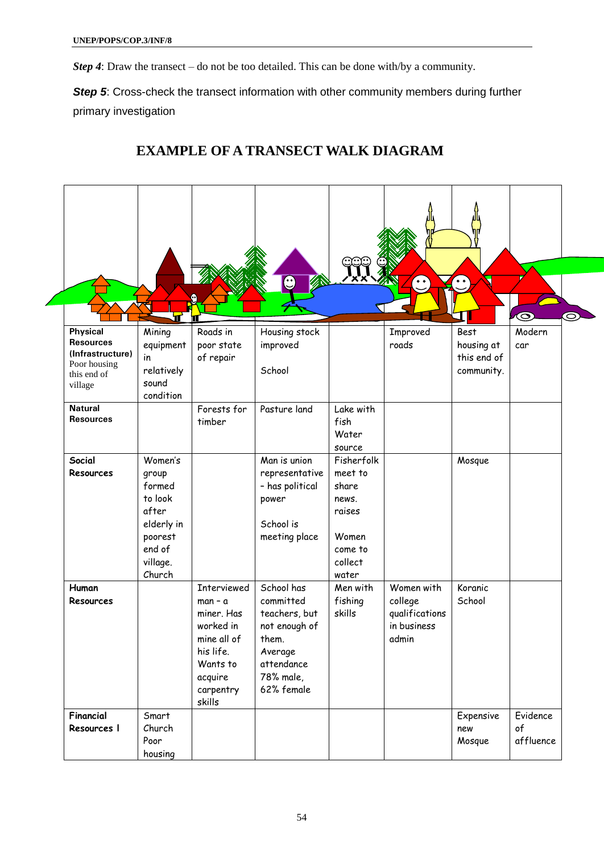*Step 4*: Draw the transect – do not be too detailed. This can be done with/by a community.

**Step 5:** Cross-check the transect information with other community members during further primary investigation

### **EXAMPLE OF A TRANSECT WALK DIAGRAM**

|                                                                                            | П                                                                                                       | П                                                                                                                                    | $\mathbf{C}$                                                                                                           | අඅ                                                                                        | $\sim$                                                          | $\circ$ $\circ$                                        | $\bullet$<br>$\bm{\odot}$   |
|--------------------------------------------------------------------------------------------|---------------------------------------------------------------------------------------------------------|--------------------------------------------------------------------------------------------------------------------------------------|------------------------------------------------------------------------------------------------------------------------|-------------------------------------------------------------------------------------------|-----------------------------------------------------------------|--------------------------------------------------------|-----------------------------|
| Physical<br><b>Resources</b><br>(Infrastructure)<br>Poor housing<br>this end of<br>village | Mining<br>equipment<br>in<br>relatively<br>sound<br>condition                                           | Roads in<br>poor state<br>of repair                                                                                                  | Housing stock<br>improved<br>School                                                                                    |                                                                                           | Improved<br>roads                                               | <b>Best</b><br>housing at<br>this end of<br>community. | Modern<br>car               |
| <b>Natural</b><br><b>Resources</b>                                                         |                                                                                                         | Forests for<br>timber                                                                                                                | Pasture land                                                                                                           | Lake with<br>fish<br>Water<br>source                                                      |                                                                 |                                                        |                             |
| Social<br><b>Resources</b>                                                                 | Women's<br>group<br>formed<br>to look<br>after<br>elderly in<br>poorest<br>end of<br>village.<br>Church |                                                                                                                                      | Man is union<br>representative<br>- has political<br>power<br>School is<br>meeting place                               | Fisherfolk<br>meet to<br>share<br>news.<br>raises<br>Women<br>come to<br>collect<br>water |                                                                 | Mosque                                                 |                             |
| Human<br>Resources                                                                         |                                                                                                         | <b>Interviewed</b><br>$man - a$<br>miner. Has<br>worked in<br>mine all of<br>his life.<br>Wants to<br>acquire<br>carpentry<br>skills | School has<br>committed<br>teachers, but<br>not enough of<br>them.<br>Average<br>attendance<br>78% male,<br>62% female | Men with<br>fishing<br>skills                                                             | Women with<br>college<br>qualifications<br>in business<br>admin | Koranic<br>School                                      |                             |
| Financial<br>Resources I                                                                   | Smart<br>Church<br>Poor<br>housing                                                                      |                                                                                                                                      |                                                                                                                        |                                                                                           |                                                                 | Expensive<br>new<br>Mosque                             | Evidence<br>of<br>affluence |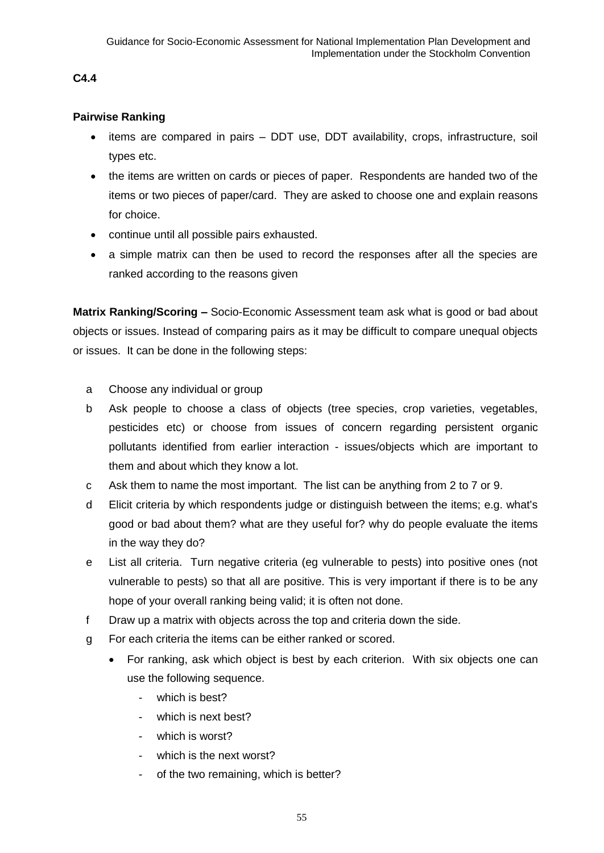### **C4.4**

### **Pairwise Ranking**

- items are compared in pairs DDT use, DDT availability, crops, infrastructure, soil types etc.
- the items are written on cards or pieces of paper. Respondents are handed two of the items or two pieces of paper/card. They are asked to choose one and explain reasons for choice.
- continue until all possible pairs exhausted.
- a simple matrix can then be used to record the responses after all the species are ranked according to the reasons given

**Matrix Ranking/Scoring –** Socio-Economic Assessment team ask what is good or bad about objects or issues. Instead of comparing pairs as it may be difficult to compare unequal objects or issues. It can be done in the following steps:

- a Choose any individual or group
- b Ask people to choose a class of objects (tree species, crop varieties, vegetables, pesticides etc) or choose from issues of concern regarding persistent organic pollutants identified from earlier interaction - issues/objects which are important to them and about which they know a lot.
- c Ask them to name the most important. The list can be anything from 2 to 7 or 9.
- d Elicit criteria by which respondents judge or distinguish between the items; e.g. what's good or bad about them? what are they useful for? why do people evaluate the items in the way they do?
- e List all criteria. Turn negative criteria (eg vulnerable to pests) into positive ones (not vulnerable to pests) so that all are positive. This is very important if there is to be any hope of your overall ranking being valid; it is often not done.
- f Draw up a matrix with objects across the top and criteria down the side.
- g For each criteria the items can be either ranked or scored.
	- For ranking, ask which object is best by each criterion. With six objects one can use the following sequence.
		- which is best?
		- which is next best?
		- which is worst?
		- which is the next worst?
		- of the two remaining, which is better?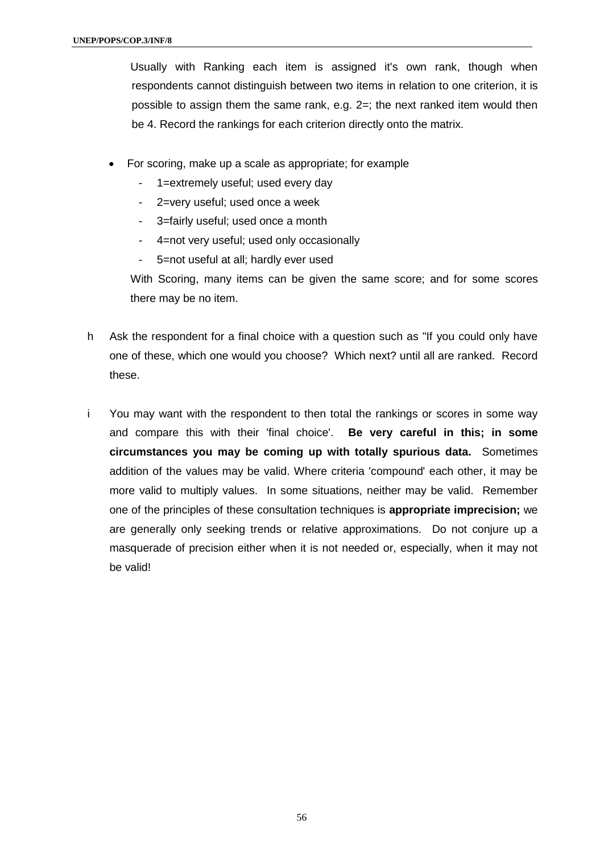Usually with Ranking each item is assigned it's own rank, though when respondents cannot distinguish between two items in relation to one criterion, it is possible to assign them the same rank, e.g. 2=; the next ranked item would then be 4. Record the rankings for each criterion directly onto the matrix.

- For scoring, make up a scale as appropriate; for example
	- 1=extremely useful; used every day
	- 2=very useful; used once a week
	- 3=fairly useful; used once a month
	- 4=not very useful; used only occasionally
	- 5=not useful at all; hardly ever used

With Scoring, many items can be given the same score; and for some scores there may be no item.

- h Ask the respondent for a final choice with a question such as "If you could only have one of these, which one would you choose? Which next? until all are ranked. Record these.
- i You may want with the respondent to then total the rankings or scores in some way and compare this with their 'final choice'. **Be very careful in this; in some circumstances you may be coming up with totally spurious data.** Sometimes addition of the values may be valid. Where criteria 'compound' each other, it may be more valid to multiply values. In some situations, neither may be valid. Remember one of the principles of these consultation techniques is **appropriate imprecision;** we are generally only seeking trends or relative approximations. Do not conjure up a masquerade of precision either when it is not needed or, especially, when it may not be valid!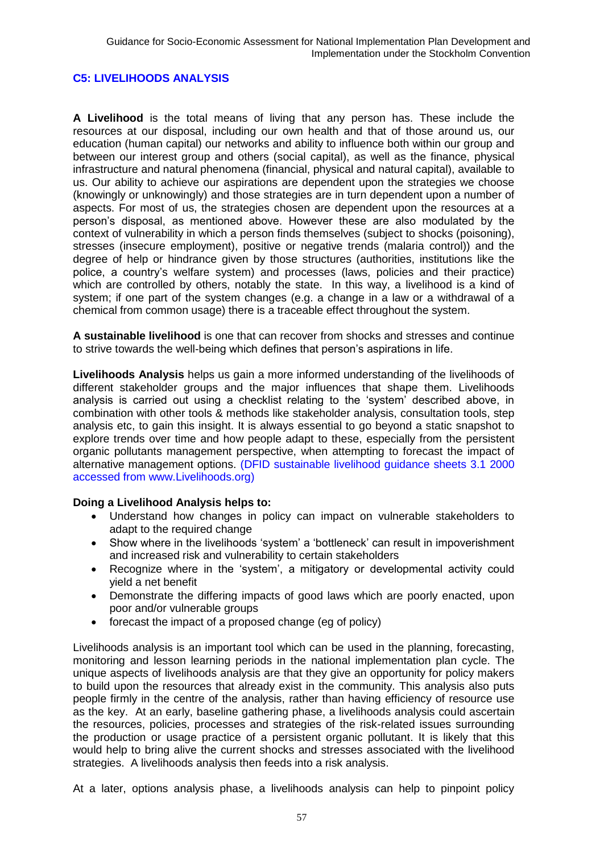### **C5: LIVELIHOODS ANALYSIS**

**A Livelihood** is the total means of living that any person has. These include the resources at our disposal, including our own health and that of those around us, our education (human capital) our networks and ability to influence both within our group and between our interest group and others (social capital), as well as the finance, physical infrastructure and natural phenomena (financial, physical and natural capital), available to us. Our ability to achieve our aspirations are dependent upon the strategies we choose (knowingly or unknowingly) and those strategies are in turn dependent upon a number of aspects. For most of us, the strategies chosen are dependent upon the resources at a person's disposal, as mentioned above. However these are also modulated by the context of vulnerability in which a person finds themselves (subject to shocks (poisoning), stresses (insecure employment), positive or negative trends (malaria control)) and the degree of help or hindrance given by those structures (authorities, institutions like the police, a country's welfare system) and processes (laws, policies and their practice) which are controlled by others, notably the state. In this way, a livelihood is a kind of system; if one part of the system changes (e.g. a change in a law or a withdrawal of a chemical from common usage) there is a traceable effect throughout the system.

**A sustainable livelihood** is one that can recover from shocks and stresses and continue to strive towards the well-being which defines that person's aspirations in life.

**Livelihoods Analysis** helps us gain a more informed understanding of the livelihoods of different stakeholder groups and the major influences that shape them. Livelihoods analysis is carried out using a checklist relating to the 'system' described above, in combination with other tools & methods like stakeholder analysis, consultation tools, step analysis etc, to gain this insight. It is always essential to go beyond a static snapshot to explore trends over time and how people adapt to these, especially from the persistent organic pollutants management perspective, when attempting to forecast the impact of alternative management options. (DFID sustainable livelihood guidance sheets 3.1 2000 accessed from www.Livelihoods.org)

### **Doing a Livelihood Analysis helps to:**

- Understand how changes in policy can impact on vulnerable stakeholders to adapt to the required change
- Show where in the livelihoods 'system' a 'bottleneck' can result in impoverishment and increased risk and vulnerability to certain stakeholders
- Recognize where in the 'system', a mitigatory or developmental activity could yield a net benefit
- Demonstrate the differing impacts of good laws which are poorly enacted, upon poor and/or vulnerable groups
- forecast the impact of a proposed change (eg of policy)

Livelihoods analysis is an important tool which can be used in the planning, forecasting, monitoring and lesson learning periods in the national implementation plan cycle. The unique aspects of livelihoods analysis are that they give an opportunity for policy makers to build upon the resources that already exist in the community. This analysis also puts people firmly in the centre of the analysis, rather than having efficiency of resource use as the key. At an early, baseline gathering phase, a livelihoods analysis could ascertain the resources, policies, processes and strategies of the risk-related issues surrounding the production or usage practice of a persistent organic pollutant. It is likely that this would help to bring alive the current shocks and stresses associated with the livelihood strategies. A livelihoods analysis then feeds into a risk analysis.

At a later, options analysis phase, a livelihoods analysis can help to pinpoint policy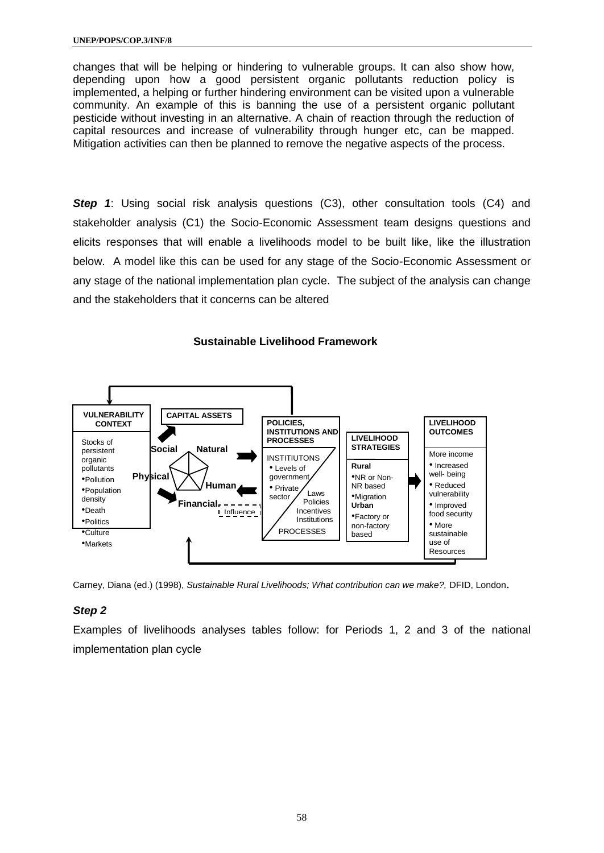changes that will be helping or hindering to vulnerable groups. It can also show how, depending upon how a good persistent organic pollutants reduction policy is implemented, a helping or further hindering environment can be visited upon a vulnerable community. An example of this is banning the use of a persistent organic pollutant pesticide without investing in an alternative. A chain of reaction through the reduction of capital resources and increase of vulnerability through hunger etc, can be mapped. Mitigation activities can then be planned to remove the negative aspects of the process.

**Step 1:** Using social risk analysis questions (C3), other consultation tools (C4) and stakeholder analysis (C1) the Socio-Economic Assessment team designs questions and elicits responses that will enable a livelihoods model to be built like, like the illustration below. A model like this can be used for any stage of the Socio-Economic Assessment or any stage of the national implementation plan cycle. The subject of the analysis can change and the stakeholders that it concerns can be altered





Carney, Diana (ed.) (1998), *Sustainable Rural Livelihoods; What contribution can we make?,* DFID, London.

### *Step 2*

Examples of livelihoods analyses tables follow: for Periods 1, 2 and 3 of the national implementation plan cycle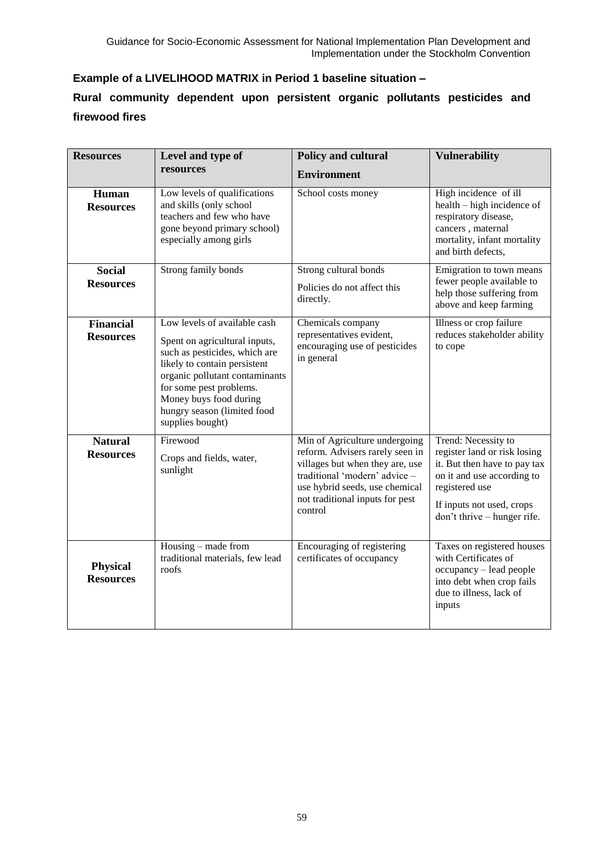### **Example of a LIVELIHOOD MATRIX in Period 1 baseline situation –**

### **Rural community dependent upon persistent organic pollutants pesticides and firewood fires**

| <b>Resources</b>                     | Level and type of                                                                                                                                                                                                                                                        | Policy and cultural                                                                                                                                                                                                  | <b>Vulnerability</b>                                                                                                                                                                            |
|--------------------------------------|--------------------------------------------------------------------------------------------------------------------------------------------------------------------------------------------------------------------------------------------------------------------------|----------------------------------------------------------------------------------------------------------------------------------------------------------------------------------------------------------------------|-------------------------------------------------------------------------------------------------------------------------------------------------------------------------------------------------|
|                                      | resources                                                                                                                                                                                                                                                                | <b>Environment</b>                                                                                                                                                                                                   |                                                                                                                                                                                                 |
| Human<br><b>Resources</b>            | Low levels of qualifications<br>and skills (only school<br>teachers and few who have<br>gone beyond primary school)<br>especially among girls                                                                                                                            | School costs money                                                                                                                                                                                                   | High incidence of ill<br>health – high incidence of<br>respiratory disease,<br>cancers, maternal<br>mortality, infant mortality<br>and birth defects,                                           |
| <b>Social</b><br><b>Resources</b>    | Strong family bonds                                                                                                                                                                                                                                                      | Strong cultural bonds<br>Policies do not affect this<br>directly.                                                                                                                                                    | Emigration to town means<br>fewer people available to<br>help those suffering from<br>above and keep farming                                                                                    |
| <b>Financial</b><br><b>Resources</b> | Low levels of available cash<br>Spent on agricultural inputs,<br>such as pesticides, which are<br>likely to contain persistent<br>organic pollutant contaminants<br>for some pest problems.<br>Money buys food during<br>hungry season (limited food<br>supplies bought) | Chemicals company<br>representatives evident,<br>encouraging use of pesticides<br>in general                                                                                                                         | Illness or crop failure<br>reduces stakeholder ability<br>to cope                                                                                                                               |
| <b>Natural</b><br><b>Resources</b>   | Firewood<br>Crops and fields, water,<br>sunlight                                                                                                                                                                                                                         | Min of Agriculture undergoing<br>reform. Advisers rarely seen in<br>villages but when they are, use<br>traditional 'modern' advice -<br>use hybrid seeds, use chemical<br>not traditional inputs for pest<br>control | Trend: Necessity to<br>register land or risk losing<br>it. But then have to pay tax<br>on it and use according to<br>registered use<br>If inputs not used, crops<br>don't thrive - hunger rife. |
| <b>Physical</b><br><b>Resources</b>  | Housing – made from<br>traditional materials, few lead<br>roofs                                                                                                                                                                                                          | Encouraging of registering<br>certificates of occupancy                                                                                                                                                              | Taxes on registered houses<br>with Certificates of<br>occupancy - lead people<br>into debt when crop fails<br>due to illness, lack of<br>inputs                                                 |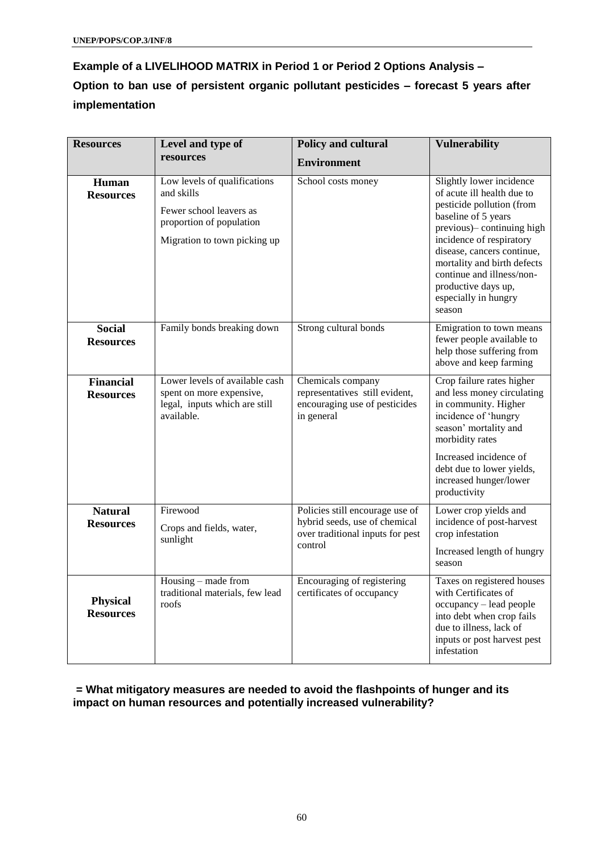## **Example of a LIVELIHOOD MATRIX in Period 1 or Period 2 Options Analysis – Option to ban use of persistent organic pollutant pesticides – forecast 5 years after implementation**

| <b>Resources</b>                     | Level and type of                                                                                                                 | Policy and cultural                                                                                             | <b>Vulnerability</b>                                                                                                                                                                                                                                                                                                    |
|--------------------------------------|-----------------------------------------------------------------------------------------------------------------------------------|-----------------------------------------------------------------------------------------------------------------|-------------------------------------------------------------------------------------------------------------------------------------------------------------------------------------------------------------------------------------------------------------------------------------------------------------------------|
|                                      | resources                                                                                                                         | <b>Environment</b>                                                                                              |                                                                                                                                                                                                                                                                                                                         |
| Human<br><b>Resources</b>            | Low levels of qualifications<br>and skills<br>Fewer school leavers as<br>proportion of population<br>Migration to town picking up | School costs money                                                                                              | Slightly lower incidence<br>of acute ill health due to<br>pesticide pollution (from<br>baseline of 5 years<br>previous)- continuing high<br>incidence of respiratory<br>disease, cancers continue,<br>mortality and birth defects<br>continue and illness/non-<br>productive days up,<br>especially in hungry<br>season |
| <b>Social</b><br><b>Resources</b>    | Family bonds breaking down                                                                                                        | Strong cultural bonds                                                                                           | Emigration to town means<br>fewer people available to<br>help those suffering from<br>above and keep farming                                                                                                                                                                                                            |
| <b>Financial</b><br><b>Resources</b> | Lower levels of available cash<br>spent on more expensive,<br>legal, inputs which are still<br>available.                         | Chemicals company<br>representatives still evident,<br>encouraging use of pesticides<br>in general              | Crop failure rates higher<br>and less money circulating<br>in community. Higher<br>incidence of 'hungry<br>season' mortality and<br>morbidity rates<br>Increased incidence of<br>debt due to lower yields,<br>increased hunger/lower<br>productivity                                                                    |
| <b>Natural</b><br><b>Resources</b>   | Firewood<br>Crops and fields, water,<br>sunlight                                                                                  | Policies still encourage use of<br>hybrid seeds, use of chemical<br>over traditional inputs for pest<br>control | Lower crop yields and<br>incidence of post-harvest<br>crop infestation<br>Increased length of hungry<br>season                                                                                                                                                                                                          |
| <b>Physical</b><br><b>Resources</b>  | Housing - made from<br>traditional materials, few lead<br>roofs                                                                   | Encouraging of registering<br>certificates of occupancy                                                         | Taxes on registered houses<br>with Certificates of<br>occupancy - lead people<br>into debt when crop fails<br>due to illness, lack of<br>inputs or post harvest pest<br>infestation                                                                                                                                     |

**= What mitigatory measures are needed to avoid the flashpoints of hunger and its impact on human resources and potentially increased vulnerability?**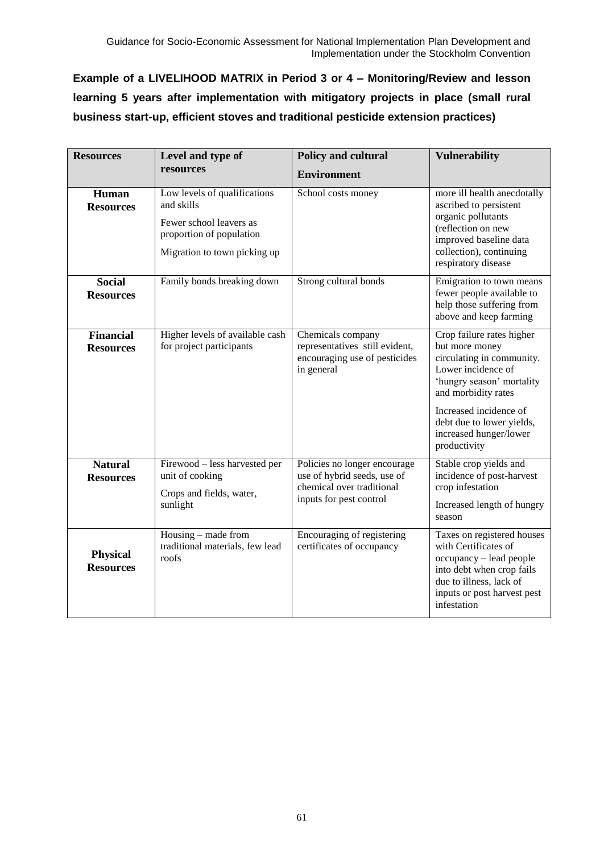**Example of a LIVELIHOOD MATRIX in Period 3 or 4 – Monitoring/Review and lesson learning 5 years after implementation with mitigatory projects in place (small rural business start-up, efficient stoves and traditional pesticide extension practices)**

| <b>Resources</b>                     | Level and type of                                                                                                                 | Policy and cultural                                                                                                 | <b>Vulnerability</b>                                                                                                                                                                                                                                |
|--------------------------------------|-----------------------------------------------------------------------------------------------------------------------------------|---------------------------------------------------------------------------------------------------------------------|-----------------------------------------------------------------------------------------------------------------------------------------------------------------------------------------------------------------------------------------------------|
|                                      | resources                                                                                                                         | <b>Environment</b>                                                                                                  |                                                                                                                                                                                                                                                     |
| Human<br><b>Resources</b>            | Low levels of qualifications<br>and skills<br>Fewer school leavers as<br>proportion of population<br>Migration to town picking up | School costs money                                                                                                  | more ill health anecdotally<br>ascribed to persistent<br>organic pollutants<br>(reflection on new<br>improved baseline data<br>collection), continuing<br>respiratory disease                                                                       |
| <b>Social</b><br><b>Resources</b>    | Family bonds breaking down                                                                                                        | Strong cultural bonds                                                                                               | Emigration to town means<br>fewer people available to<br>help those suffering from<br>above and keep farming                                                                                                                                        |
| <b>Financial</b><br><b>Resources</b> | Higher levels of available cash<br>for project participants                                                                       | Chemicals company<br>representatives still evident,<br>encouraging use of pesticides<br>in general                  | Crop failure rates higher<br>but more money<br>circulating in community.<br>Lower incidence of<br>'hungry season' mortality<br>and morbidity rates<br>Increased incidence of<br>debt due to lower yields,<br>increased hunger/lower<br>productivity |
| <b>Natural</b><br><b>Resources</b>   | Firewood - less harvested per<br>unit of cooking<br>Crops and fields, water,<br>sunlight                                          | Policies no longer encourage<br>use of hybrid seeds, use of<br>chemical over traditional<br>inputs for pest control | Stable crop yields and<br>incidence of post-harvest<br>crop infestation<br>Increased length of hungry<br>season                                                                                                                                     |
| <b>Physical</b><br><b>Resources</b>  | Housing – made from<br>traditional materials, few lead<br>roofs                                                                   | Encouraging of registering<br>certificates of occupancy                                                             | Taxes on registered houses<br>with Certificates of<br>occupancy - lead people<br>into debt when crop fails<br>due to illness, lack of<br>inputs or post harvest pest<br>infestation                                                                 |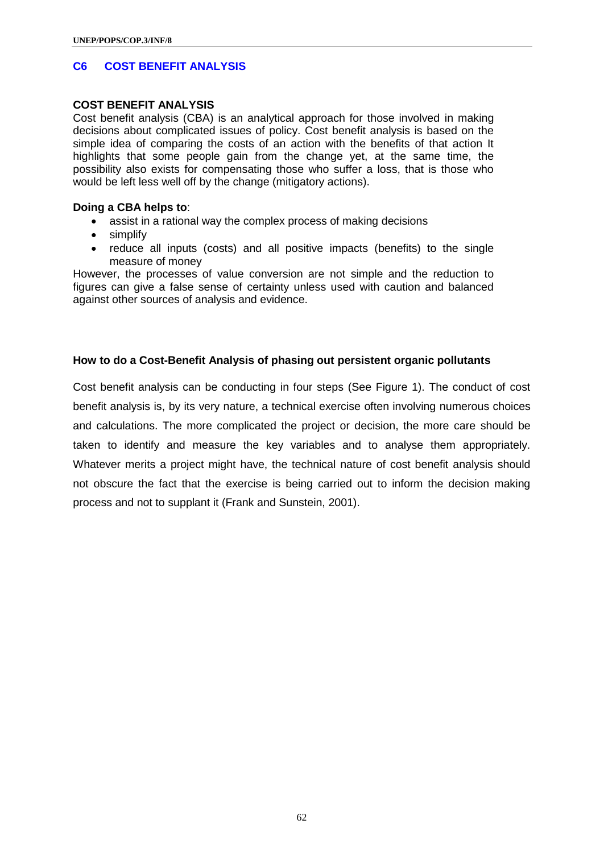### **C6 COST BENEFIT ANALYSIS**

#### **COST BENEFIT ANALYSIS**

Cost benefit analysis (CBA) is an analytical approach for those involved in making decisions about complicated issues of policy. Cost benefit analysis is based on the simple idea of comparing the costs of an action with the benefits of that action It highlights that some people gain from the change yet, at the same time, the possibility also exists for compensating those who suffer a loss, that is those who would be left less well off by the change (mitigatory actions).

#### **Doing a CBA helps to**:

- assist in a rational way the complex process of making decisions
- simplify
- reduce all inputs (costs) and all positive impacts (benefits) to the single measure of money

However, the processes of value conversion are not simple and the reduction to figures can give a false sense of certainty unless used with caution and balanced against other sources of analysis and evidence.

### **How to do a Cost-Benefit Analysis of phasing out persistent organic pollutants**

Cost benefit analysis can be conducting in four steps (See Figure 1). The conduct of cost benefit analysis is, by its very nature, a technical exercise often involving numerous choices and calculations. The more complicated the project or decision, the more care should be taken to identify and measure the key variables and to analyse them appropriately. Whatever merits a project might have, the technical nature of cost benefit analysis should not obscure the fact that the exercise is being carried out to inform the decision making process and not to supplant it (Frank and Sunstein, 2001).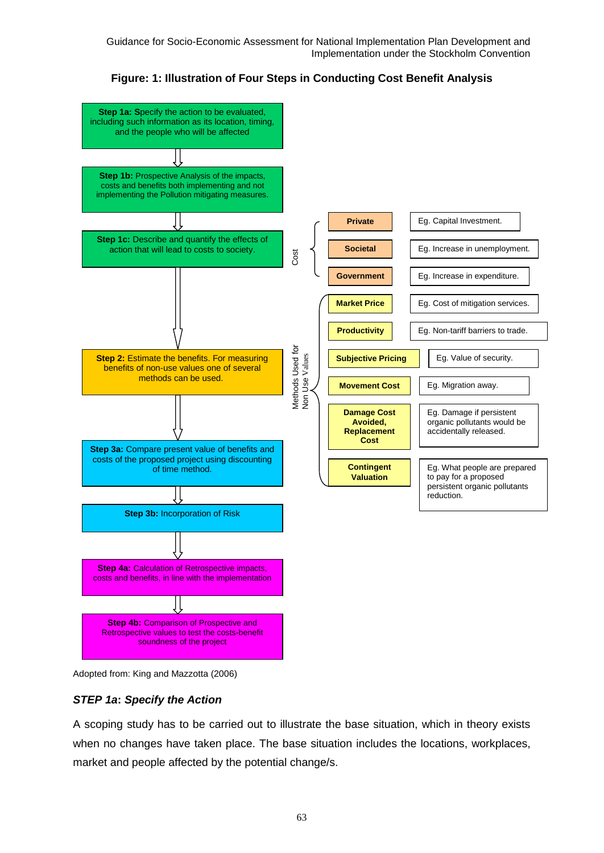

**Figure: 1: Illustration of Four Steps in Conducting Cost Benefit Analysis**



### *STEP 1a***:** *Specify the Action*

A scoping study has to be carried out to illustrate the base situation, which in theory exists when no changes have taken place. The base situation includes the locations, workplaces,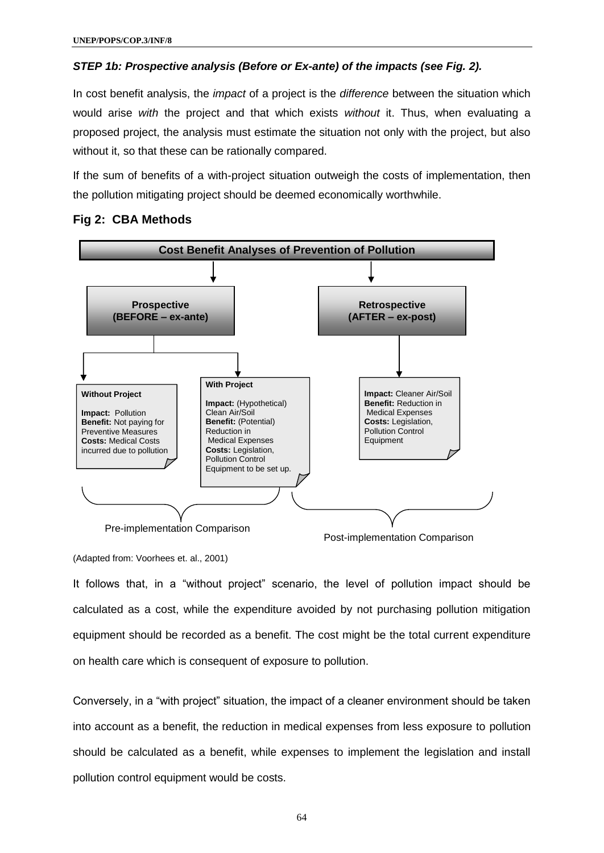#### *STEP 1b: Prospective analysis (Before or Ex-ante) of the impacts (see Fig. 2).*

In cost benefit analysis, the *impact* of a project is the *difference* between the situation which would arise *with* the project and that which exists *without* it. Thus, when evaluating a proposed project, the analysis must estimate the situation not only with the project, but also without it, so that these can be rationally compared.

If the sum of benefits of a with-project situation outweigh the costs of implementation, then the pollution mitigating project should be deemed economically worthwhile.



### **Fig 2: CBA Methods**

(Adapted from: Voorhees et. al., 2001)

It follows that, in a "without project" scenario, the level of pollution impact should be calculated as a cost, while the expenditure avoided by not purchasing pollution mitigation equipment should be recorded as a benefit. The cost might be the total current expenditure on health care which is consequent of exposure to pollution.

Conversely, in a "with project" situation, the impact of a cleaner environment should be taken into account as a benefit, the reduction in medical expenses from less exposure to pollution should be calculated as a benefit, while expenses to implement the legislation and install pollution control equipment would be costs.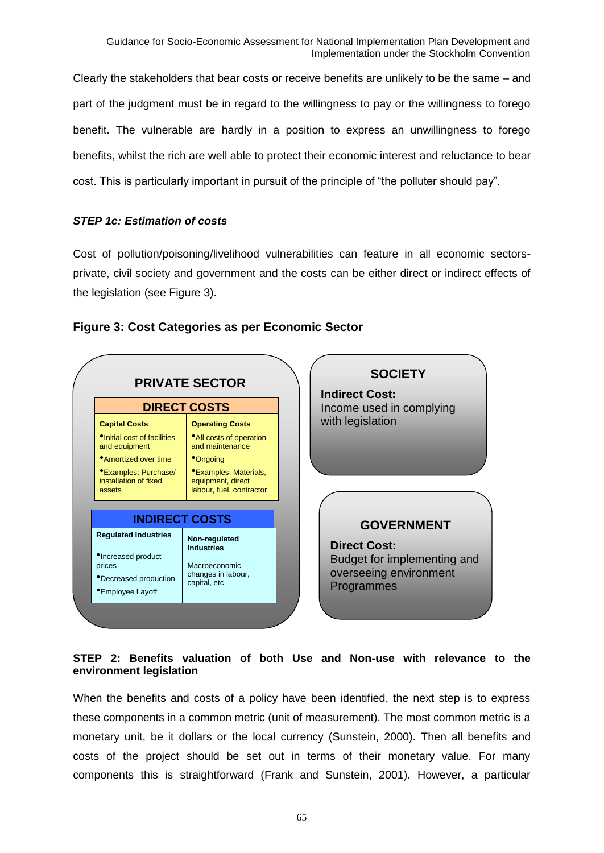Clearly the stakeholders that bear costs or receive benefits are unlikely to be the same – and part of the judgment must be in regard to the willingness to pay or the willingness to forego benefit. The vulnerable are hardly in a position to express an unwillingness to forego benefits, whilst the rich are well able to protect their economic interest and reluctance to bear cost. This is particularly important in pursuit of the principle of "the polluter should pay".

### *STEP 1c: Estimation of costs*

Cost of pollution/poisoning/livelihood vulnerabilities can feature in all economic sectorsprivate, civil society and government and the costs can be either direct or indirect effects of the legislation (see Figure 3).



### **Figure 3: Cost Categories as per Economic Sector**

### **STEP 2: Benefits valuation of both Use and Non-use with relevance to the environment legislation**

When the benefits and costs of a policy have been identified, the next step is to express these components in a common metric (unit of measurement). The most common metric is a monetary unit, be it dollars or the local currency (Sunstein, 2000). Then all benefits and costs of the project should be set out in terms of their monetary value. For many components this is straightforward (Frank and Sunstein, 2001). However, a particular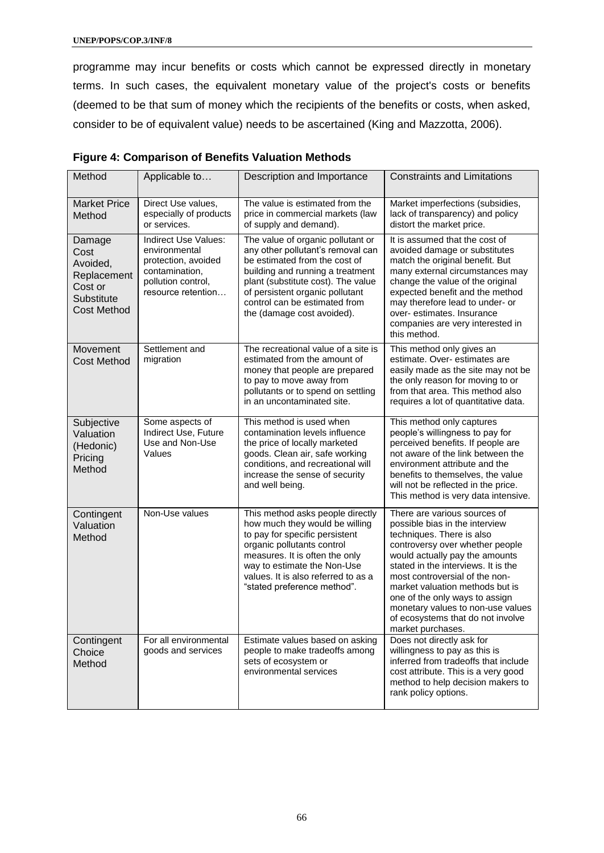programme may incur benefits or costs which cannot be expressed directly in monetary terms. In such cases, the equivalent monetary value of the project's costs or benefits (deemed to be that sum of money which the recipients of the benefits or costs, when asked, consider to be of equivalent value) needs to be ascertained (King and Mazzotta, 2006).

| Method                                                                                   | Applicable to                                                                                                              | Description and Importance                                                                                                                                                                                                                                                          | <b>Constraints and Limitations</b>                                                                                                                                                                                                                                                                                                                                                                            |
|------------------------------------------------------------------------------------------|----------------------------------------------------------------------------------------------------------------------------|-------------------------------------------------------------------------------------------------------------------------------------------------------------------------------------------------------------------------------------------------------------------------------------|---------------------------------------------------------------------------------------------------------------------------------------------------------------------------------------------------------------------------------------------------------------------------------------------------------------------------------------------------------------------------------------------------------------|
| <b>Market Price</b><br>Method                                                            | Direct Use values,<br>especially of products<br>or services.                                                               | The value is estimated from the<br>price in commercial markets (law<br>of supply and demand).                                                                                                                                                                                       | Market imperfections (subsidies,<br>lack of transparency) and policy<br>distort the market price.                                                                                                                                                                                                                                                                                                             |
| Damage<br>Cost<br>Avoided,<br>Replacement<br>Cost or<br>Substitute<br><b>Cost Method</b> | Indirect Use Values:<br>environmental<br>protection, avoided<br>contamination,<br>pollution control,<br>resource retention | The value of organic pollutant or<br>any other pollutant's removal can<br>be estimated from the cost of<br>building and running a treatment<br>plant (substitute cost). The value<br>of persistent organic pollutant<br>control can be estimated from<br>the (damage cost avoided). | It is assumed that the cost of<br>avoided damage or substitutes<br>match the original benefit. But<br>many external circumstances may<br>change the value of the original<br>expected benefit and the method<br>may therefore lead to under- or<br>over- estimates. Insurance<br>companies are very interested in<br>this method.                                                                             |
| Movement<br><b>Cost Method</b>                                                           | Settlement and<br>migration                                                                                                | The recreational value of a site is<br>estimated from the amount of<br>money that people are prepared<br>to pay to move away from<br>pollutants or to spend on settling<br>in an uncontaminated site.                                                                               | This method only gives an<br>estimate. Over- estimates are<br>easily made as the site may not be<br>the only reason for moving to or<br>from that area. This method also<br>requires a lot of quantitative data.                                                                                                                                                                                              |
| Subjective<br>Valuation<br>(Hedonic)<br>Pricing<br>Method                                | Some aspects of<br>Indirect Use, Future<br>Use and Non-Use<br>Values                                                       | This method is used when<br>contamination levels influence<br>the price of locally marketed<br>goods. Clean air, safe working<br>conditions, and recreational will<br>increase the sense of security<br>and well being.                                                             | This method only captures<br>people's willingness to pay for<br>perceived benefits. If people are<br>not aware of the link between the<br>environment attribute and the<br>benefits to themselves, the value<br>will not be reflected in the price.<br>This method is very data intensive.                                                                                                                    |
| Contingent<br>Valuation<br>Method                                                        | Non-Use values                                                                                                             | This method asks people directly<br>how much they would be willing<br>to pay for specific persistent<br>organic pollutants control<br>measures. It is often the only<br>way to estimate the Non-Use<br>values. It is also referred to as a<br>"stated preference method".           | There are various sources of<br>possible bias in the interview<br>techniques. There is also<br>controversy over whether people<br>would actually pay the amounts<br>stated in the interviews. It is the<br>most controversial of the non-<br>market valuation methods but is<br>one of the only ways to assign<br>monetary values to non-use values<br>of ecosystems that do not involve<br>market purchases. |
| Contingent<br>Choice<br>Method                                                           | For all environmental<br>goods and services                                                                                | Estimate values based on asking<br>people to make tradeoffs among<br>sets of ecosystem or<br>environmental services                                                                                                                                                                 | Does not directly ask for<br>willingness to pay as this is<br>inferred from tradeoffs that include<br>cost attribute. This is a very good<br>method to help decision makers to<br>rank policy options.                                                                                                                                                                                                        |

| <b>Figure 4: Comparison of Benefits Valuation Methods</b> |
|-----------------------------------------------------------|
|-----------------------------------------------------------|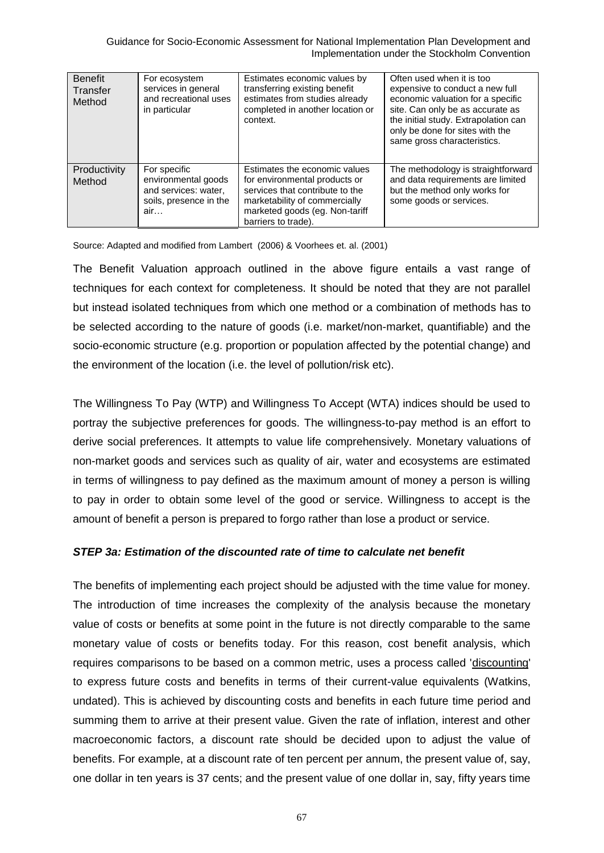Guidance for Socio-Economic Assessment for National Implementation Plan Development and Implementation under the Stockholm Convention

| <b>Benefit</b><br>Transfer<br>Method | For ecosystem<br>services in general<br>and recreational uses<br>in particular               | Estimates economic values by<br>transferring existing benefit<br>estimates from studies already<br>completed in another location or<br>context.                                             | Often used when it is too<br>expensive to conduct a new full<br>economic valuation for a specific<br>site. Can only be as accurate as<br>the initial study. Extrapolation can<br>only be done for sites with the<br>same gross characteristics. |
|--------------------------------------|----------------------------------------------------------------------------------------------|---------------------------------------------------------------------------------------------------------------------------------------------------------------------------------------------|-------------------------------------------------------------------------------------------------------------------------------------------------------------------------------------------------------------------------------------------------|
| Productivity<br>Method               | For specific<br>environmental goods<br>and services: water,<br>soils, presence in the<br>air | Estimates the economic values<br>for environmental products or<br>services that contribute to the<br>marketability of commercially<br>marketed goods (eg. Non-tariff<br>barriers to trade). | The methodology is straightforward<br>and data requirements are limited<br>but the method only works for<br>some goods or services.                                                                                                             |

Source: Adapted and modified from Lambert (2006) & Voorhees et. al. (2001)

The Benefit Valuation approach outlined in the above figure entails a vast range of techniques for each context for completeness. It should be noted that they are not parallel but instead isolated techniques from which one method or a combination of methods has to be selected according to the nature of goods (i.e. market/non-market, quantifiable) and the socio-economic structure (e.g. proportion or population affected by the potential change) and the environment of the location (i.e. the level of pollution/risk etc).

The Willingness To Pay (WTP) and Willingness To Accept (WTA) indices should be used to portray the subjective preferences for goods. The willingness-to-pay method is an effort to derive social preferences. It attempts to value life comprehensively. Monetary valuations of non-market goods and services such as quality of air, water and ecosystems are estimated in terms of willingness to pay defined as the maximum amount of money a person is willing to pay in order to obtain some level of the good or service. Willingness to accept is the amount of benefit a person is prepared to forgo rather than lose a product or service.

### *STEP 3a: Estimation of the discounted rate of time to calculate net benefit*

The benefits of implementing each project should be adjusted with the time value for money. The introduction of time increases the complexity of the analysis because the monetary value of costs or benefits at some point in the future is not directly comparable to the same monetary value of costs or benefits today. For this reason, cost benefit analysis, which requires comparisons to be based on a common metric, uses a process called ['discounting'](http://sunsite.utk.edu/ncedr/tools/othertools/costbenefit/module4.htm)  to express future costs and benefits in terms of their current-value equivalents (Watkins, undated). This is achieved by discounting costs and benefits in each future time period and summing them to arrive at their present value. Given the rate of inflation, interest and other macroeconomic factors, a discount rate should be decided upon to adjust the value of benefits. For example, at a discount rate of ten percent per annum, the present value of, say, one dollar in ten years is 37 cents; and the present value of one dollar in, say, fifty years time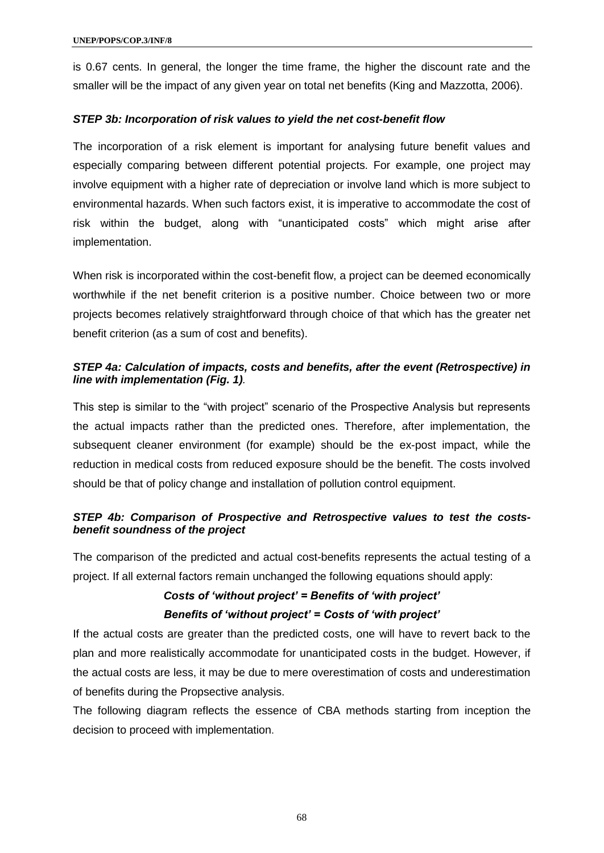is 0.67 cents. In general, the longer the time frame, the higher the discount rate and the smaller will be the impact of any given year on total net benefits (King and Mazzotta, 2006).

### *STEP 3b: Incorporation of risk values to yield the net cost-benefit flow*

The incorporation of a risk element is important for analysing future benefit values and especially comparing between different potential projects. For example, one project may involve equipment with a higher rate of depreciation or involve land which is more subject to environmental hazards. When such factors exist, it is imperative to accommodate the cost of risk within the budget, along with "unanticipated costs" which might arise after implementation.

When risk is incorporated within the cost-benefit flow, a project can be deemed economically worthwhile if the net benefit criterion is a positive number. Choice between two or more projects becomes relatively straightforward through choice of that which has the greater net benefit criterion (as a sum of cost and benefits).

### *STEP 4a: Calculation of impacts, costs and benefits, after the event (Retrospective) in line with implementation (Fig. 1).*

This step is similar to the "with project" scenario of the Prospective Analysis but represents the actual impacts rather than the predicted ones. Therefore, after implementation, the subsequent cleaner environment (for example) should be the ex-post impact, while the reduction in medical costs from reduced exposure should be the benefit. The costs involved should be that of policy change and installation of pollution control equipment.

### *STEP 4b: Comparison of Prospective and Retrospective values to test the costsbenefit soundness of the project*

The comparison of the predicted and actual cost-benefits represents the actual testing of a project. If all external factors remain unchanged the following equations should apply:

### *Costs of 'without project' = Benefits of 'with project' Benefits of 'without project' = Costs of 'with project'*

If the actual costs are greater than the predicted costs, one will have to revert back to the plan and more realistically accommodate for unanticipated costs in the budget. However, if the actual costs are less, it may be due to mere overestimation of costs and underestimation of benefits during the Propsective analysis.

The following diagram reflects the essence of CBA methods starting from inception the decision to proceed with implementation.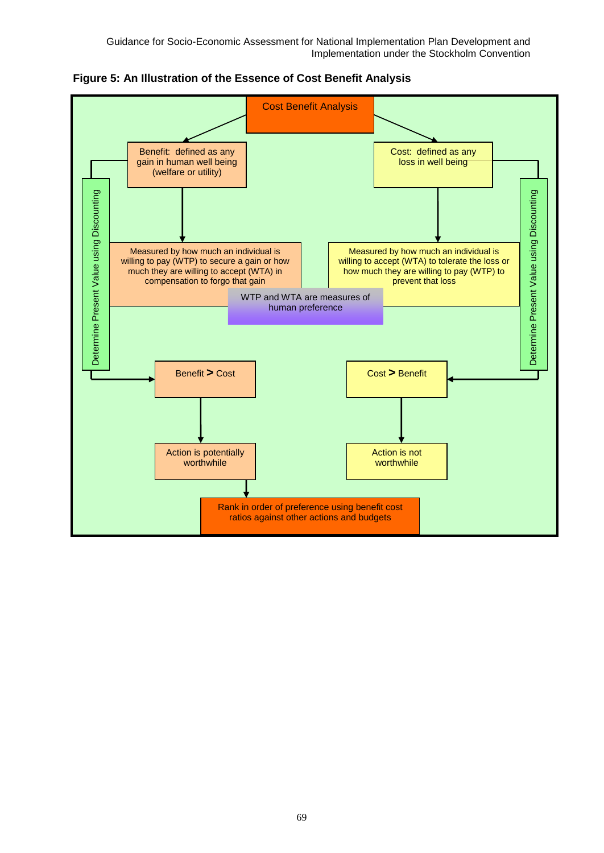Guidance for Socio-Economic Assessment for National Implementation Plan Development and Implementation under the Stockholm Convention



**Figure 5: An Illustration of the Essence of Cost Benefit Analysis**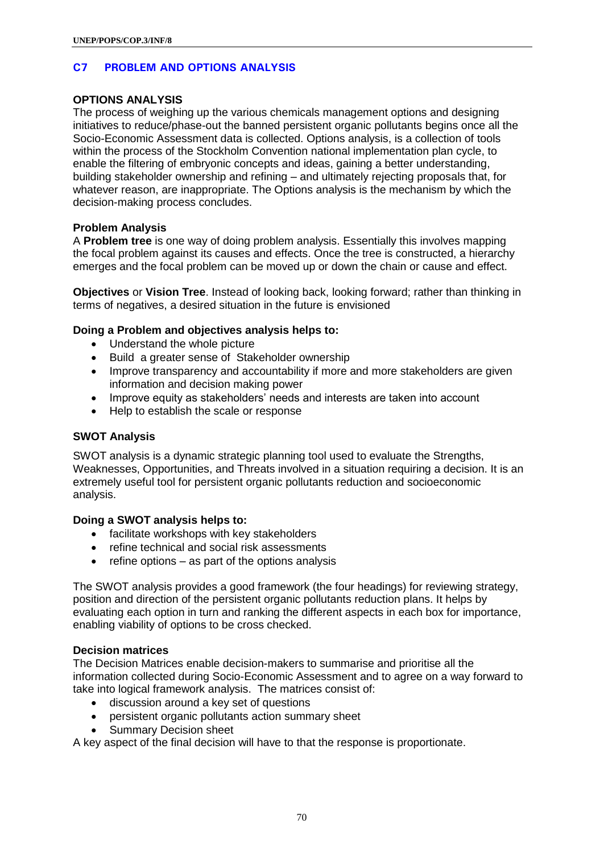### **C7 PROBLEM AND OPTIONS ANALYSIS**

### **OPTIONS ANALYSIS**

The process of weighing up the various chemicals management options and designing initiatives to reduce/phase-out the banned persistent organic pollutants begins once all the Socio-Economic Assessment data is collected. Options analysis, is a collection of tools within the process of the Stockholm Convention national implementation plan cycle, to enable the filtering of embryonic concepts and ideas, gaining a better understanding, building stakeholder ownership and refining – and ultimately rejecting proposals that, for whatever reason, are inappropriate. The Options analysis is the mechanism by which the decision-making process concludes.

### **Problem Analysis**

A **Problem tree** is one way of doing problem analysis. Essentially this involves mapping the focal problem against its causes and effects. Once the tree is constructed, a hierarchy emerges and the focal problem can be moved up or down the chain or cause and effect.

**Objectives** or **Vision Tree**. Instead of looking back, looking forward; rather than thinking in terms of negatives, a desired situation in the future is envisioned

### **Doing a Problem and objectives analysis helps to:**

- Understand the whole picture
- Build a greater sense of Stakeholder ownership
- Improve transparency and accountability if more and more stakeholders are given information and decision making power
- Improve equity as stakeholders' needs and interests are taken into account
- Help to establish the scale or response

### **SWOT Analysis**

SWOT analysis is a dynamic strategic planning tool used to evaluate the Strengths, Weaknesses, Opportunities, and Threats involved in a situation requiring a decision. It is an extremely useful tool for persistent organic pollutants reduction and socioeconomic analysis.

#### **Doing a SWOT analysis helps to:**

- facilitate workshops with key stakeholders
- refine technical and social risk assessments
- $\bullet$  refine options as part of the options analysis

The SWOT analysis provides a good framework (the four headings) for reviewing strategy, position and direction of the persistent organic pollutants reduction plans. It helps by evaluating each option in turn and ranking the different aspects in each box for importance, enabling viability of options to be cross checked.

#### **Decision matrices**

The Decision Matrices enable decision-makers to summarise and prioritise all the information collected during Socio-Economic Assessment and to agree on a way forward to take into logical framework analysis. The matrices consist of:

- discussion around a key set of questions
- persistent organic pollutants action summary sheet
- Summary Decision sheet

A key aspect of the final decision will have to that the response is proportionate.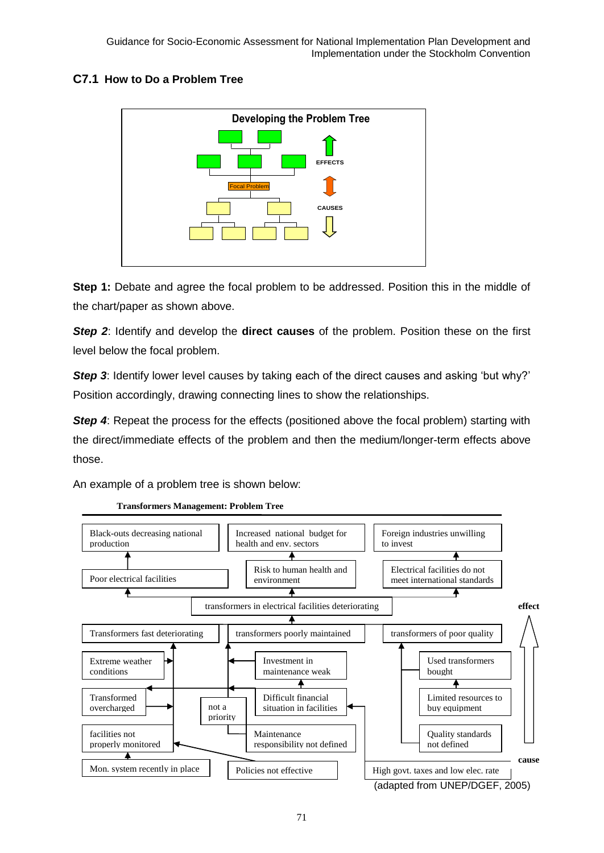### **C7.1 How to Do a Problem Tree**



**Step 1:** Debate and agree the focal problem to be addressed. Position this in the middle of the chart/paper as shown above.

**Step 2:** Identify and develop the **direct causes** of the problem. Position these on the first level below the focal problem.

**Step 3:** Identify lower level causes by taking each of the direct causes and asking 'but why?' Position accordingly, drawing connecting lines to show the relationships.

**Step 4:** Repeat the process for the effects (positioned above the focal problem) starting with the direct/immediate effects of the problem and then the medium/longer-term effects above those.

An example of a problem tree is shown below:



**Transformers Management: Problem Tree**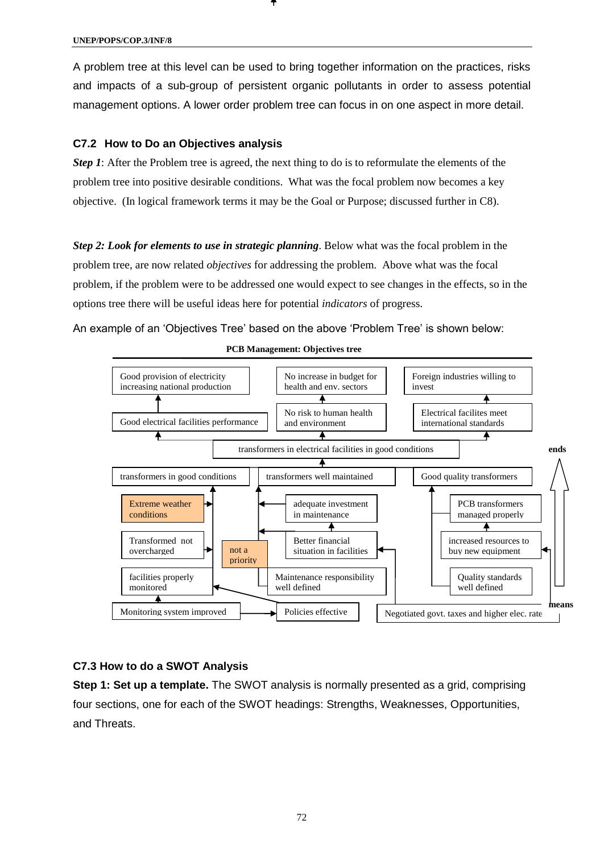**UNEP/POPS/COP.3/INF/8**

A problem tree at this level can be used to bring together information on the practices, risks and impacts of a sub-group of persistent organic pollutants in order to assess potential management options. A lower order problem tree can focus in on one aspect in more detail.

#### **C7.2 How to Do an Objectives analysis**

*Step 1*: After the Problem tree is agreed, the next thing to do is to reformulate the elements of the problem tree into positive desirable conditions. What was the focal problem now becomes a key objective. (In logical framework terms it may be the Goal or Purpose; discussed further in C8).

*Step 2: Look for elements to use in strategic planning*. Below what was the focal problem in the problem tree, are now related *objectives* for addressing the problem. Above what was the focal problem, if the problem were to be addressed one would expect to see changes in the effects, so in the options tree there will be useful ideas here for potential *indicators* of progress.

An example of an 'Objectives Tree' based on the above 'Problem Tree' is shown below:



#### **PCB Management: Objectives tree**

#### **C7.3 How to do a SWOT Analysis**

**Step 1: Set up a template.** The SWOT analysis is normally presented as a grid, comprising four sections, one for each of the SWOT headings: Strengths, Weaknesses, Opportunities, and Threats.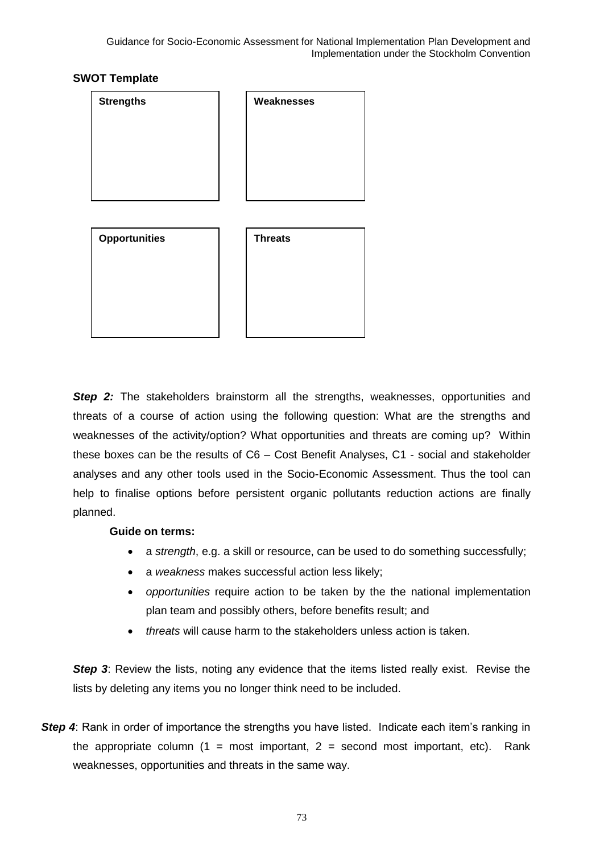# **SWOT Template**



**Step 2:** The stakeholders brainstorm all the strengths, weaknesses, opportunities and threats of a course of action using the following question: What are the strengths and weaknesses of the activity/option? What opportunities and threats are coming up? Within these boxes can be the results of C6 – Cost Benefit Analyses, C1 - social and stakeholder analyses and any other tools used in the Socio-Economic Assessment. Thus the tool can help to finalise options before persistent organic pollutants reduction actions are finally planned.

### **Guide on terms:**

- a *strength*, e.g. a skill or resource, can be used to do something successfully;
- a *weakness* makes successful action less likely;
- *opportunities* require action to be taken by the the national implementation plan team and possibly others, before benefits result; and
- *threats* will cause harm to the stakeholders unless action is taken.

**Step 3:** Review the lists, noting any evidence that the items listed really exist. Revise the lists by deleting any items you no longer think need to be included.

**Step 4:** Rank in order of importance the strengths you have listed. Indicate each item's ranking in the appropriate column  $(1 = \text{most important}, 2 = \text{second most important}, \text{etc}).$  Rank weaknesses, opportunities and threats in the same way.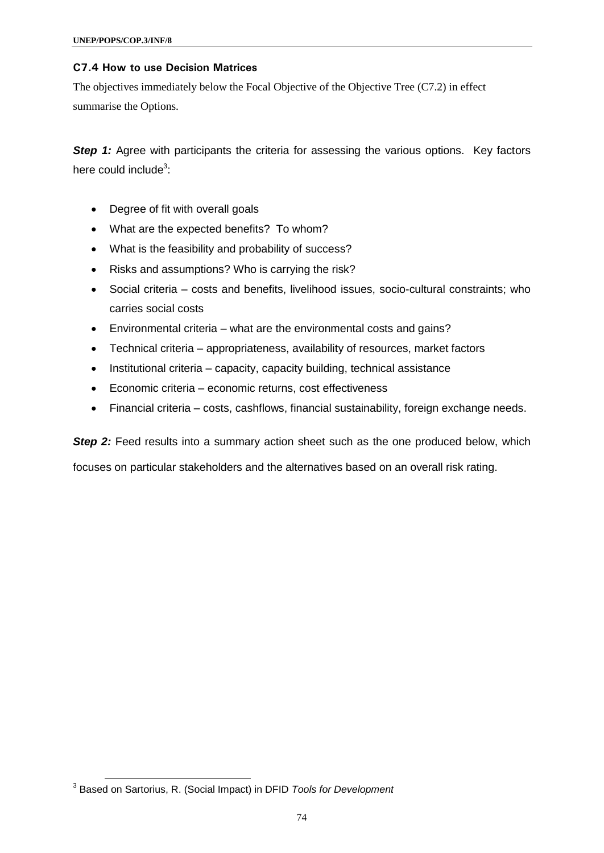### **C7.4 How to use Decision Matrices**

The objectives immediately below the Focal Objective of the Objective Tree (C7.2) in effect summarise the Options.

**Step 1:** Agree with participants the criteria for assessing the various options. Key factors here could include<sup>3</sup>:

- Degree of fit with overall goals
- What are the expected benefits? To whom?
- What is the feasibility and probability of success?
- Risks and assumptions? Who is carrying the risk?
- Social criteria costs and benefits, livelihood issues, socio-cultural constraints; who carries social costs
- Environmental criteria what are the environmental costs and gains?
- Technical criteria appropriateness, availability of resources, market factors
- Institutional criteria capacity, capacity building, technical assistance
- Economic criteria economic returns, cost effectiveness
- Financial criteria costs, cashflows, financial sustainability, foreign exchange needs.

**Step 2:** Feed results into a summary action sheet such as the one produced below, which

focuses on particular stakeholders and the alternatives based on an overall risk rating.

 $\overline{a}$ 

<sup>3</sup> Based on Sartorius, R. (Social Impact) in DFID *Tools for Development*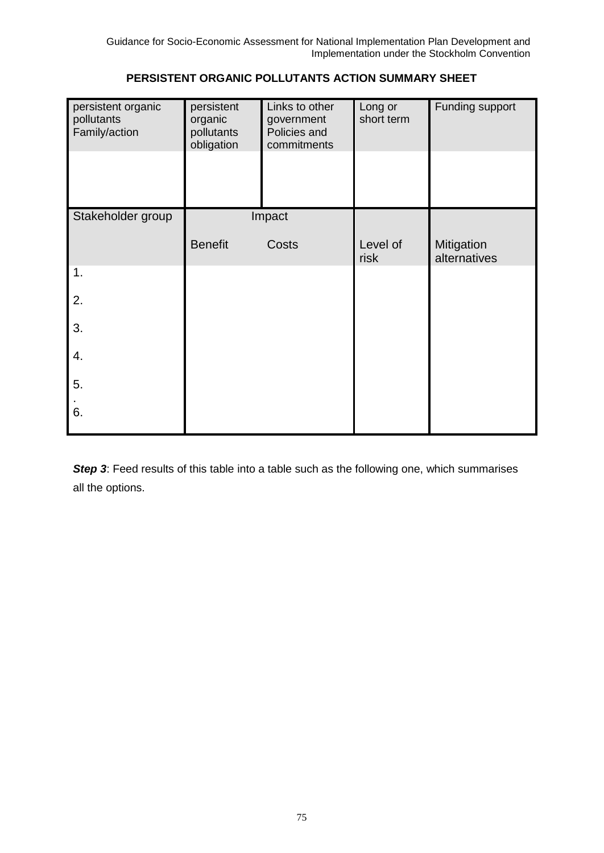| persistent organic<br>pollutants<br>Family/action | persistent<br>organic<br>pollutants<br>obligation | Links to other<br>government<br>Policies and<br>commitments | Long or<br>short term | Funding support            |
|---------------------------------------------------|---------------------------------------------------|-------------------------------------------------------------|-----------------------|----------------------------|
| Stakeholder group                                 | Impact                                            |                                                             |                       |                            |
|                                                   | <b>Benefit</b>                                    | Costs                                                       | Level of<br>risk      | Mitigation<br>alternatives |
| 1.                                                |                                                   |                                                             |                       |                            |
| 2.                                                |                                                   |                                                             |                       |                            |
| 3.                                                |                                                   |                                                             |                       |                            |
| 4.                                                |                                                   |                                                             |                       |                            |
| 5.                                                |                                                   |                                                             |                       |                            |
| 6.                                                |                                                   |                                                             |                       |                            |

**Step 3:** Feed results of this table into a table such as the following one, which summarises all the options.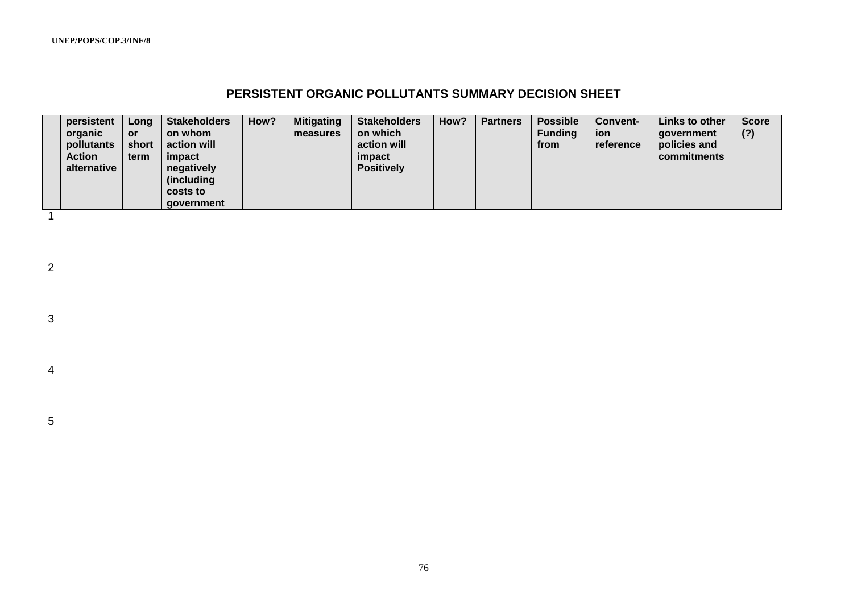**UNEP/POPS/COP.3/INF/8**

# **PERSISTENT ORGANIC POLLUTANTS SUMMARY DECISION SHEET**

| persistent<br>organic<br>pollutants<br><b>Action</b><br>alternative | Long<br><b>or</b><br>short<br>term | <b>Stakeholders</b><br>on whom<br>action will<br>impact<br>negatively<br>(including)<br>costs to<br>qovernment | How? | <b>Mitigating</b><br>measures | <b>Stakeholders</b><br>on which<br>action will<br>impact<br><b>Positively</b> | How? | <b>Partners</b> | <b>Possible</b><br><b>Funding</b><br>from | <b>Convent-</b><br>ion<br>reference | Links to other<br>qovernment<br>policies and<br>commitments | <b>Score</b><br>(?) |
|---------------------------------------------------------------------|------------------------------------|----------------------------------------------------------------------------------------------------------------|------|-------------------------------|-------------------------------------------------------------------------------|------|-----------------|-------------------------------------------|-------------------------------------|-------------------------------------------------------------|---------------------|
|---------------------------------------------------------------------|------------------------------------|----------------------------------------------------------------------------------------------------------------|------|-------------------------------|-------------------------------------------------------------------------------|------|-----------------|-------------------------------------------|-------------------------------------|-------------------------------------------------------------|---------------------|

2

1

3

4

5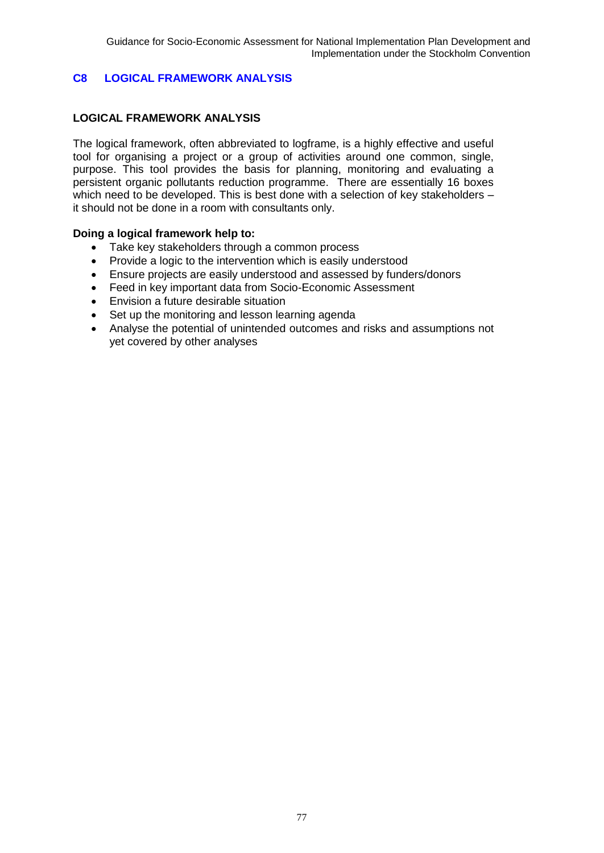# **C8 LOGICAL FRAMEWORK ANALYSIS**

## **LOGICAL FRAMEWORK ANALYSIS**

The logical framework, often abbreviated to logframe, is a highly effective and useful tool for organising a project or a group of activities around one common, single, purpose. This tool provides the basis for planning, monitoring and evaluating a persistent organic pollutants reduction programme. There are essentially 16 boxes which need to be developed. This is best done with a selection of key stakeholders – it should not be done in a room with consultants only.

### **Doing a logical framework help to:**

- Take key stakeholders through a common process
- Provide a logic to the intervention which is easily understood
- Ensure projects are easily understood and assessed by funders/donors
- Feed in key important data from Socio-Economic Assessment
- Envision a future desirable situation
- Set up the monitoring and lesson learning agenda
- Analyse the potential of unintended outcomes and risks and assumptions not yet covered by other analyses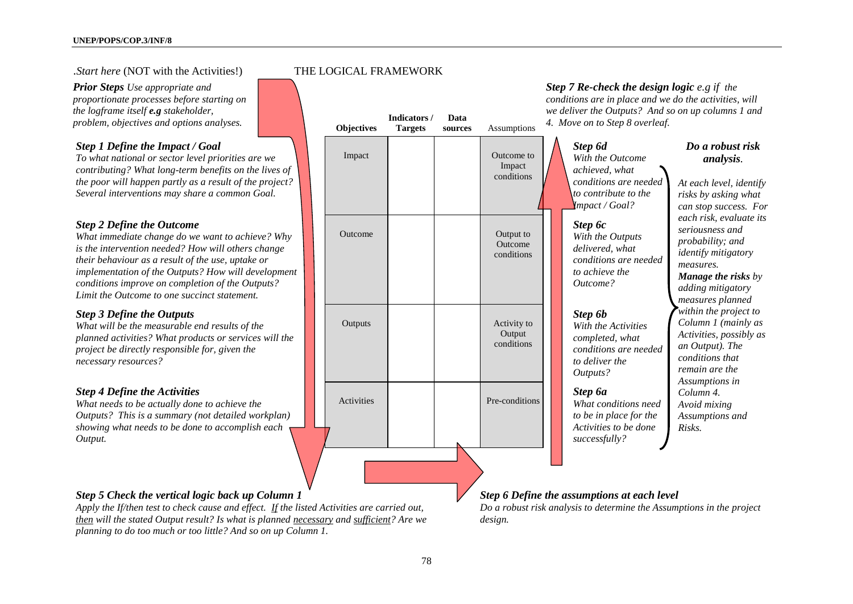#### .*Start here* (NOT with the Activities!) THE LOGICAL FRAMEWORK

*Prior Steps Use appropriate and proportionate processes before starting on the logframe itself e.g stakeholder, problem, objectives and options analyses.* **Objectives** 

### *Step 1 Define the Impact / Goal*

*To what national or sector level priorities are we contributing? What long-term benefits on the lives of the poor will happen partly as a result of the project? Several interventions may share a common Goal.*

#### *Step 2 Define the Outcome*

*What immediate change do we want to achieve? Why is the intervention needed? How will others change their behaviour as a result of the use, uptake or implementation of the Outputs? How will development conditions improve on completion of the Outputs? Limit the Outcome to one succinct statement.*

#### *Step 3 Define the Outputs*

*What will be the measurable end results of the planned activities? What products or services will the project be directly responsible for, given the necessary resources?* 

#### *Step 4 Define the Activities*

*What needs to be actually done to achieve the Outputs? This is a summary (not detailed workplan) showing what needs to be done to accomplish each Output.* 



#### *Step 7 Re-check the design logic e.g if the conditions are in place and we do the activities, will we deliver the Outputs? And so on up columns 1 and*

*Step 6d With the Outcome achieved, what conditions are needed to contribute to the Impact / Goal? Do a robust risk analysis. At each level, identify risks by asking what can stop success. For measures. Step 6c With the Outputs delivered, what conditions are needed to achieve the Outcome? Step 6b*

*With the Activities completed, what conditions are needed to deliver the Outputs?*

*Step 6a What conditions need to be in place for the Activities to be done successfully?*

### *each risk, evaluate its seriousness and probability; and identify mitigatory Manage the risks by adding mitigatory measures planned within the project to Column 1 (mainly as Activities, possibly as an Output). The conditions that remain are the Assumptions in Column 4. Avoid mixing Assumptions and Risks.*

### *Step 5 Check the vertical logic back up Column 1*

*Apply the If/then test to check cause and effect. If the listed Activities are carried out, then will the stated Output result? Is what is planned necessary and sufficient? Are we planning to do too much or too little? And so on up Column 1.*

# *Step 6 Define the assumptions at each level*

*Do a robust risk analysis to determine the Assumptions in the project design.*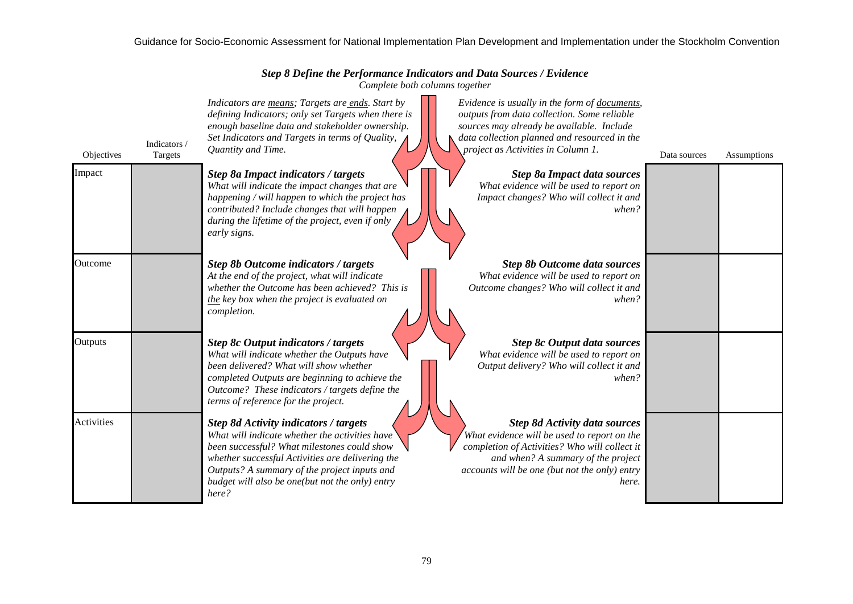## Guidance for Socio-Economic Assessment for National Implementation Plan Development and Implementation under the Stockholm Convention

*Step 8 Define the Performance Indicators and Data Sources / Evidence*

*Complete both columns together*

| Objectives | Indicators /<br>Targets | Indicators are means; Targets are ends. Start by<br>defining Indicators; only set Targets when there is<br>enough baseline data and stakeholder ownership.<br>Set Indicators and Targets in terms of Quality,<br>Quantity and Time.                                                                           | Evidence is usually in the form of documents,<br>outputs from data collection. Some reliable<br>sources may already be available. Include<br>data collection planned and resourced in the<br>project as Activities in Column 1.      | Data sources | Assumptions |
|------------|-------------------------|---------------------------------------------------------------------------------------------------------------------------------------------------------------------------------------------------------------------------------------------------------------------------------------------------------------|--------------------------------------------------------------------------------------------------------------------------------------------------------------------------------------------------------------------------------------|--------------|-------------|
| Impact     |                         | <b>Step 8a Impact indicators / targets</b><br>What will indicate the impact changes that are<br>happening / will happen to which the project has<br>contributed? Include changes that will happen<br>during the lifetime of the project, even if only<br>early signs.                                         | <b>Step 8a Impact data sources</b><br>What evidence will be used to report on<br>Impact changes? Who will collect it and<br>when?                                                                                                    |              |             |
| Outcome    |                         | <b>Step 8b Outcome indicators / targets</b><br>At the end of the project, what will indicate<br>whether the Outcome has been achieved? This is<br>the key box when the project is evaluated on<br>completion.                                                                                                 | <b>Step 8b Outcome data sources</b><br>What evidence will be used to report on<br>Outcome changes? Who will collect it and<br>when?                                                                                                  |              |             |
| Outputs    |                         | <b>Step 8c Output indicators / targets</b><br>What will indicate whether the Outputs have<br>been delivered? What will show whether<br>completed Outputs are beginning to achieve the<br>Outcome? These indicators / targets define the<br>terms of reference for the project.                                | <b>Step 8c Output data sources</b><br>What evidence will be used to report on<br>Output delivery? Who will collect it and<br>when?                                                                                                   |              |             |
| Activities |                         | <b>Step 8d Activity indicators / targets</b><br>What will indicate whether the activities have<br>been successful? What milestones could show<br>whether successful Activities are delivering the<br>Outputs? A summary of the project inputs and<br>budget will also be one(but not the only) entry<br>here? | <b>Step 8d Activity data sources</b><br>What evidence will be used to report on the<br>completion of Activities? Who will collect it<br>and when? A summary of the project<br>accounts will be one (but not the only) entry<br>here. |              |             |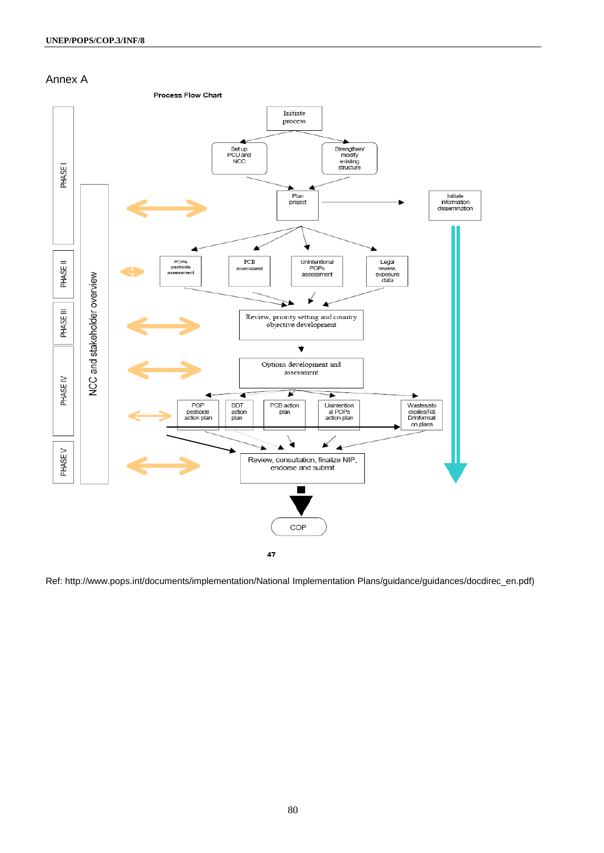

Ref: http://www.pops.int/documents/implementation/National Implementation Plans/guidance/guidances/docdirec\_en.pdf)

47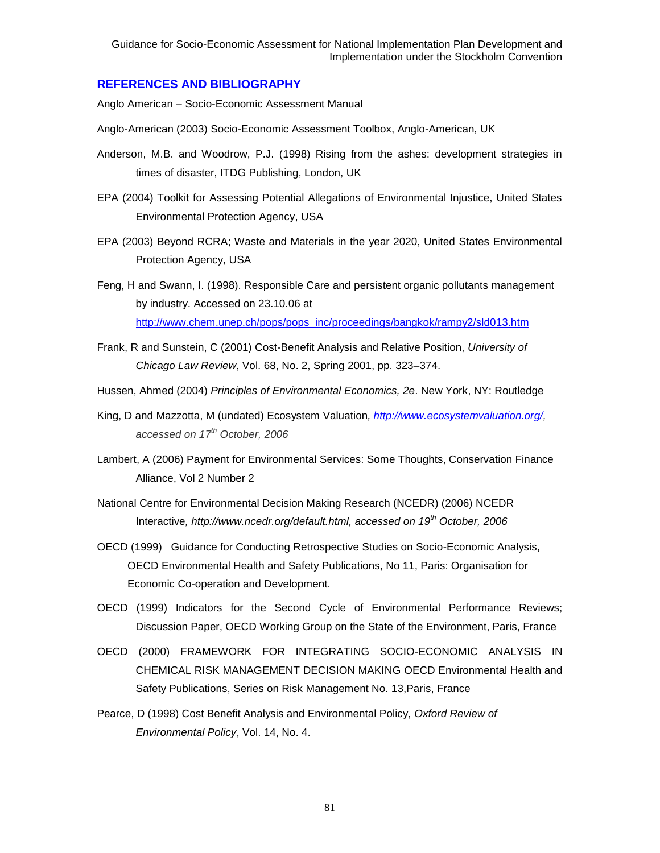### **REFERENCES AND BIBLIOGRAPHY**

Anglo American – Socio-Economic Assessment Manual

- Anglo-American (2003) Socio-Economic Assessment Toolbox, Anglo-American, UK
- Anderson, M.B. and Woodrow, P.J. (1998) Rising from the ashes: development strategies in times of disaster, ITDG Publishing, London, UK
- EPA (2004) Toolkit for Assessing Potential Allegations of Environmental Injustice, United States Environmental Protection Agency, USA
- EPA (2003) Beyond RCRA; Waste and Materials in the year 2020, United States Environmental Protection Agency, USA
- Feng, H and Swann, I. (1998). Responsible Care and persistent organic pollutants management by industry. Accessed on 23.10.06 at [http://www.chem.unep.ch/pops/pops\\_inc/proceedings/bangkok/rampy2/sld013.htm](http://www.chem.unep.ch/pops/pops_inc/proceedings/bangkok/rampy2/sld013.htm)
- Frank, R and Sunstein, C (2001) Cost-Benefit Analysis and Relative Position, *University of Chicago Law Review*, Vol. 68, No. 2, Spring 2001, pp. 323–374.
- Hussen, Ahmed (2004) *Principles of Environmental Economics, 2e*. New York, NY: Routledge
- King, D and Mazzotta, M (undated) [Ecosystem Valuation](http://www.ecosystemvaluation.org/index.html)*, [http://www.ecosystemvaluation.org/,](http://www.ecosystemvaluation.org/) accessed on 17th October, 2006*
- Lambert, A (2006) Payment for Environmental Services: Some Thoughts, Conservation Finance Alliance, Vol 2 Number 2
- National Centre for Environmental Decision Making Research (NCEDR) (2006) NCEDR Interactive*, [http://www.ncedr.org/default.html,](http://www.ncedr.org/default.html) accessed on 19th October, 2006*
- OECD (1999) Guidance for Conducting Retrospective Studies on Socio-Economic Analysis, OECD Environmental Health and Safety Publications, No 11, Paris: Organisation for Economic Co-operation and Development.
- OECD (1999) Indicators for the Second Cycle of Environmental Performance Reviews; Discussion Paper, OECD Working Group on the State of the Environment, Paris, France
- OECD (2000) FRAMEWORK FOR INTEGRATING SOCIO-ECONOMIC ANALYSIS IN CHEMICAL RISK MANAGEMENT DECISION MAKING OECD Environmental Health and Safety Publications, Series on Risk Management No. 13,Paris, France
- Pearce, D (1998) Cost Benefit Analysis and Environmental Policy, *Oxford Review of Environmental Policy*, Vol. 14, No. 4.